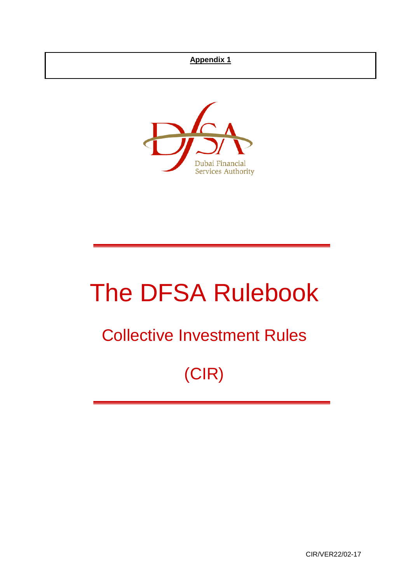# **Appendix 1**



# The DFSA Rulebook

# Collective Investment Rules

# (CIR)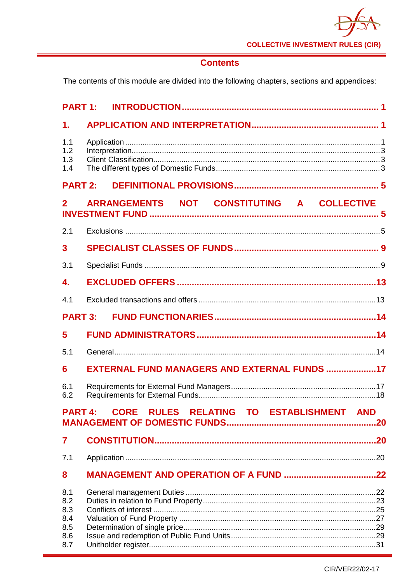

# **Contents**

The contents of this module are divided into the following chapters, sections and appendices:

| <b>PART 1:</b>           |                                                            |
|--------------------------|------------------------------------------------------------|
| 1.                       |                                                            |
| 1.1<br>1.2<br>1.3<br>1.4 |                                                            |
| <b>PART 2:</b>           |                                                            |
| $\mathbf{2}$             | ARRANGEMENTS NOT CONSTITUTING A COLLECTIVE                 |
| 2.1                      |                                                            |
| $\mathbf{3}$             |                                                            |
| 3.1                      |                                                            |
| 4.                       |                                                            |
| 4.1                      |                                                            |
| <b>PART 3:</b>           |                                                            |
| 5                        |                                                            |
| 5.1                      |                                                            |
| 6                        | EXTERNAL FUND MANAGERS AND EXTERNAL FUNDS 17               |
| 6.1<br>6.2               |                                                            |
|                          | <b>PART 4:</b><br>CORE RULES RELATING TO ESTABLISHMENT AND |
| 7                        |                                                            |
| 7.1                      |                                                            |
| 8                        |                                                            |
| 8.1<br>8.2<br>8.3<br>8.4 |                                                            |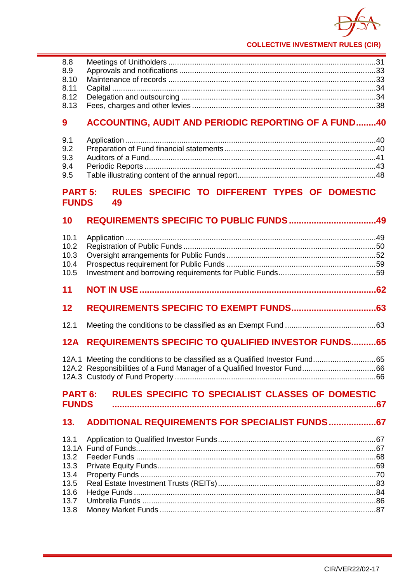

# **9 [ACCOUNTING, AUDIT AND PERIODIC REPORTING](#page-44-0) OF A FUND........40**

# **PART 5: [RULES SPECIFIC TO DIFFERENT TYPES OF DOMESTIC](#page-53-0)  [FUNDS](#page-53-0) 49**

| 12A.1 Meeting the conditions to be classified as a Qualified Investor Fund65 |                                                                                                                                                                                  |
|------------------------------------------------------------------------------|----------------------------------------------------------------------------------------------------------------------------------------------------------------------------------|
| <b>PART 6:</b><br><b>FUNDS</b>                                               |                                                                                                                                                                                  |
|                                                                              |                                                                                                                                                                                  |
| 13.1A                                                                        |                                                                                                                                                                                  |
|                                                                              | <b>REQUIREMENTS SPECIFIC TO QUALIFIED INVESTOR FUNDS 65</b><br><b>RULES SPECIFIC TO SPECIALIST CLASSES OF DOMESTIC</b><br><b>ADDITIONAL REQUIREMENTS FOR SPECIALIST FUNDS 67</b> |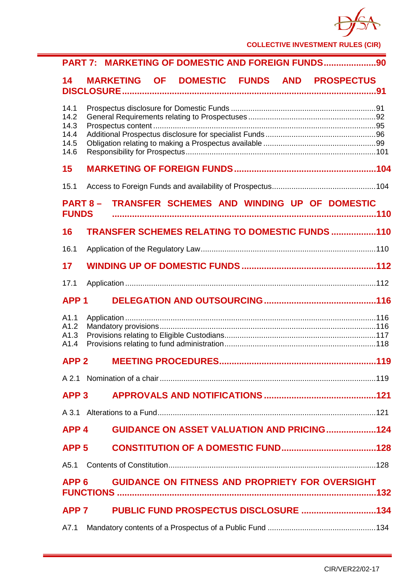

| PART 7: MARKETING OF DOMESTIC AND FOREIGN FUNDS90                             |  |  |  |
|-------------------------------------------------------------------------------|--|--|--|
| MARKETING OF DOMESTIC FUNDS AND PROSPECTUS<br>14                              |  |  |  |
| 14.1<br>14.2<br>14.3<br>14.4<br>14.5<br>14.6                                  |  |  |  |
| 15                                                                            |  |  |  |
| 15.1                                                                          |  |  |  |
| TRANSFER SCHEMES AND WINDING UP OF DOMESTIC<br><b>PART 8-</b><br><b>FUNDS</b> |  |  |  |
| TRANSFER SCHEMES RELATING TO DOMESTIC FUNDS 110<br>16                         |  |  |  |
| 16.1                                                                          |  |  |  |
| 17                                                                            |  |  |  |
| 17.1                                                                          |  |  |  |
| APP <sub>1</sub>                                                              |  |  |  |
| A1.1<br>A1.2<br>A1.3<br>A1.4                                                  |  |  |  |
| APP <sub>2</sub>                                                              |  |  |  |
|                                                                               |  |  |  |
| APP <sub>3</sub>                                                              |  |  |  |
| A 3.1                                                                         |  |  |  |
| <b>GUIDANCE ON ASSET VALUATION AND PRICING124</b><br>APP <sub>4</sub>         |  |  |  |
| APP <sub>5</sub>                                                              |  |  |  |
| A5.1                                                                          |  |  |  |
| <b>GUIDANCE ON FITNESS AND PROPRIETY FOR OVERSIGHT</b><br>APP <sub>6</sub>    |  |  |  |
| APP <sub>7</sub>                                                              |  |  |  |
| A7.1                                                                          |  |  |  |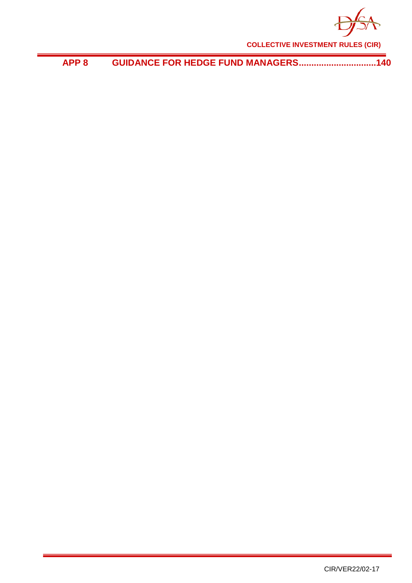

**APP 8 [GUIDANCE FOR HEDGE FUND MANAGERS...............................140](#page-144-0)**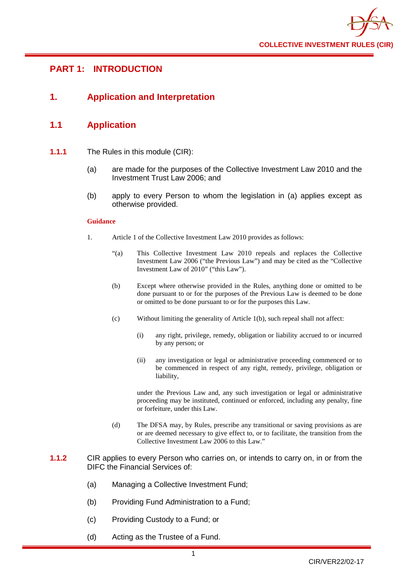

# <span id="page-5-0"></span>**PART 1: INTRODUCTION**

# <span id="page-5-1"></span>**1. Application and Interpretation**

## <span id="page-5-2"></span>**1.1 Application**

- **1.1.1** The Rules in this module (CIR):
	- (a) are made for the purposes of the Collective Investment Law 2010 and the Investment Trust Law 2006; and
	- (b) apply to every Person to whom the legislation in (a) applies except as otherwise provided.

#### **Guidance**

- 1. Article 1 of the Collective Investment Law 2010 provides as follows:
	- "(a) This Collective Investment Law 2010 repeals and replaces the Collective Investment Law 2006 ("the Previous Law") and may be cited as the "Collective Investment Law of 2010" ("this Law").
	- (b) Except where otherwise provided in the Rules, anything done or omitted to be done pursuant to or for the purposes of the Previous Law is deemed to be done or omitted to be done pursuant to or for the purposes this Law.
	- (c) Without limiting the generality of Article 1(b), such repeal shall not affect:
		- (i) any right, privilege, remedy, obligation or liability accrued to or incurred by any person; or
		- (ii) any investigation or legal or administrative proceeding commenced or to be commenced in respect of any right, remedy, privilege, obligation or liability,

under the Previous Law and, any such investigation or legal or administrative proceeding may be instituted, continued or enforced, including any penalty, fine or forfeiture, under this Law.

- (d) The DFSA may, by Rules, prescribe any transitional or saving provisions as are or are deemed necessary to give effect to, or to facilitate, the transition from the Collective Investment Law 2006 to this Law."
- **1.1.2** CIR applies to every Person who carries on, or intends to carry on, in or from the DIFC the Financial Services of:
	- (a) Managing a Collective Investment Fund;
	- (b) Providing Fund Administration to a Fund;
	- (c) Providing Custody to a Fund; or
	- (d) Acting as the Trustee of a Fund.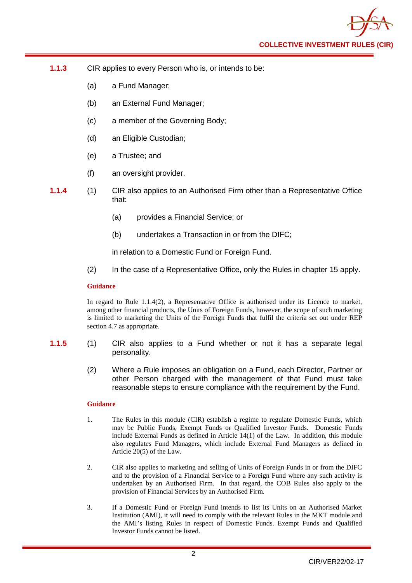- **1.1.3** CIR applies to every Person who is, or intends to be:
	- (a) a Fund Manager;
	- (b) an External Fund Manager;
	- (c) a member of the Governing Body;
	- (d) an Eligible Custodian;
	- (e) a Trustee; and
	- (f) an oversight provider.
- **1.1.4** (1) CIR also applies to an Authorised Firm other than a Representative Office that:
	- (a) provides a Financial Service; or
	- (b) undertakes a Transaction in or from the DIFC;

in relation to a Domestic Fund or Foreign Fund.

(2) In the case of a Representative Office, only the Rules in chapter 15 apply.

### **Guidance**

In regard to Rule 1.1.4(2), a Representative Office is authorised under its Licence to market, among other financial products, the Units of Foreign Funds, however, the scope of such marketing is limited to marketing the Units of the Foreign Funds that fulfil the criteria set out under REP section 4.7 as appropriate.

- **1.1.5** (1) CIR also applies to a Fund whether or not it has a separate legal personality.
	- (2) Where a Rule imposes an obligation on a Fund, each Director, Partner or other Person charged with the management of that Fund must take reasonable steps to ensure compliance with the requirement by the Fund.

#### **Guidance**

- 1. The Rules in this module (CIR) establish a regime to regulate Domestic Funds, which may be Public Funds, Exempt Funds or Qualified Investor Funds. Domestic Funds include External Funds as defined in Article 14(1) of the Law. In addition, this module also regulates Fund Managers, which include External Fund Managers as defined in Article 20(5) of the Law.
- 2. CIR also applies to marketing and selling of Units of Foreign Funds in or from the DIFC and to the provision of a Financial Service to a Foreign Fund where any such activity is undertaken by an Authorised Firm. In that regard, the COB Rules also apply to the provision of Financial Services by an Authorised Firm.
- 3. If a Domestic Fund or Foreign Fund intends to list its Units on an Authorised Market Institution (AMI), it will need to comply with the relevant Rules in the MKT module and the AMI's listing Rules in respect of Domestic Funds. Exempt Funds and Qualified Investor Funds cannot be listed.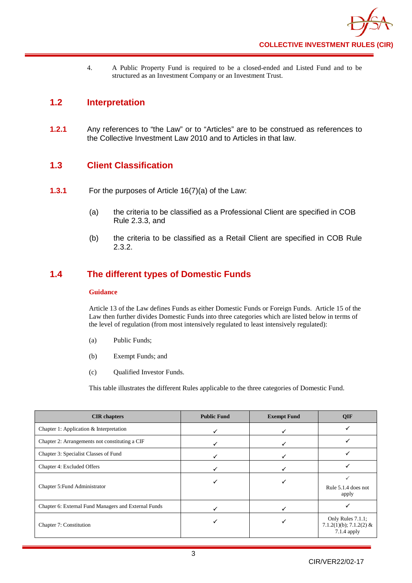4. A Public Property Fund is required to be a closed-ended and Listed Fund and to be structured as an Investment Company or an Investment Trust.

# <span id="page-7-0"></span>**1.2 Interpretation**

**1.2.1** Any references to "the Law" or to "Articles" are to be construed as references to the Collective Investment Law 2010 and to Articles in that law.

# <span id="page-7-1"></span>**1.3 Client Classification**

- **1.3.1** For the purposes of Article 16(7)(a) of the Law:
	- (a) the criteria to be classified as a Professional Client are specified in COB Rule 2.3.3, and
	- (b) the criteria to be classified as a Retail Client are specified in COB Rule 2.3.2.

# <span id="page-7-2"></span>**1.4 The different types of Domestic Funds**

## **Guidance**

Article 13 of the Law defines Funds as either Domestic Funds or Foreign Funds. Article 15 of the Law then further divides Domestic Funds into three categories which are listed below in terms of the level of regulation (from most intensively regulated to least intensively regulated):

- (a) Public Funds;
- (b) Exempt Funds; and
- (c) Qualified Investor Funds.

This table illustrates the different Rules applicable to the three categories of Domestic Fund.

| <b>CIR</b> chapters                                  | <b>Public Fund</b> | <b>Exempt Fund</b> | <b>QIF</b>                                                  |
|------------------------------------------------------|--------------------|--------------------|-------------------------------------------------------------|
| Chapter 1: Application $&$ Interpretation            |                    |                    |                                                             |
| Chapter 2: Arrangements not constituting a CIF       |                    |                    |                                                             |
| Chapter 3: Specialist Classes of Fund                |                    |                    |                                                             |
| Chapter 4: Excluded Offers                           |                    |                    |                                                             |
| Chapter 5: Fund Administrator                        |                    |                    | Rule 5.1.4 does not<br>apply                                |
| Chapter 6: External Fund Managers and External Funds |                    |                    |                                                             |
| Chapter 7: Constitution                              |                    |                    | Only Rules 7.1.1;<br>7.1.2(1)(b); 7.1.2(2) &<br>7.1.4 apply |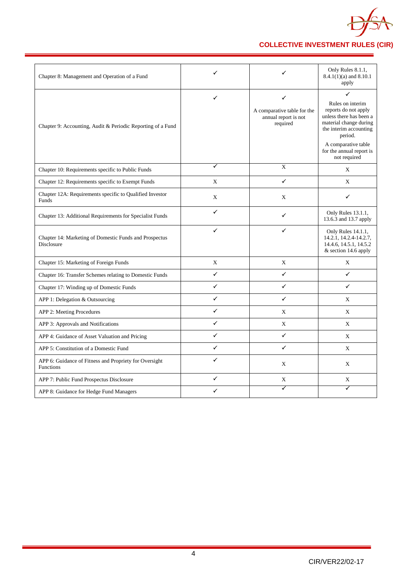

| Chapter 8: Management and Operation of a Fund                              | ✓           | ✓                                                                               | Only Rules 8.1.1,<br>$8.4.1(1)(a)$ and $8.10.1$<br>apply                                                                                                                                                   |
|----------------------------------------------------------------------------|-------------|---------------------------------------------------------------------------------|------------------------------------------------------------------------------------------------------------------------------------------------------------------------------------------------------------|
| Chapter 9: Accounting, Audit & Periodic Reporting of a Fund                | ✓           | $\checkmark$<br>A comparative table for the<br>annual report is not<br>required | ✓<br>Rules on interim<br>reports do not apply<br>unless there has been a<br>material change during<br>the interim accounting<br>period.<br>A comparative table<br>for the annual report is<br>not required |
| Chapter 10: Requirements specific to Public Funds                          | ✓           | X                                                                               | X                                                                                                                                                                                                          |
| Chapter 12: Requirements specific to Exempt Funds                          | X           | ✓                                                                               | X                                                                                                                                                                                                          |
| Chapter 12A: Requirements specific to Qualified Investor<br>Funds          | X           | X                                                                               | ✓                                                                                                                                                                                                          |
| Chapter 13: Additional Requirements for Specialist Funds                   | ✓           | ✓                                                                               | Only Rules 13.1.1,<br>13.6.3 and 13.7 apply                                                                                                                                                                |
| Chapter 14: Marketing of Domestic Funds and Prospectus<br>Disclosure       | ✓           | ✓                                                                               | Only Rules 14.1.1,<br>14.2.1, 14.2.4-14.2.7,<br>14.4.6, 14.5.1, 14.5.2<br>& section 14.6 apply                                                                                                             |
| Chapter 15: Marketing of Foreign Funds                                     | $\mathbf X$ | X                                                                               | X                                                                                                                                                                                                          |
| Chapter 16: Transfer Schemes relating to Domestic Funds                    | ✓           | ✓                                                                               | $\checkmark$                                                                                                                                                                                               |
| Chapter 17: Winding up of Domestic Funds                                   | ✓           | $\checkmark$                                                                    | $\checkmark$                                                                                                                                                                                               |
| APP 1: Delegation & Outsourcing                                            | ✓           | ✓                                                                               | X                                                                                                                                                                                                          |
| APP 2: Meeting Procedures                                                  | ✓           | X                                                                               | X                                                                                                                                                                                                          |
| APP 3: Approvals and Notifications                                         | ✓           | X                                                                               | X                                                                                                                                                                                                          |
| APP 4: Guidance of Asset Valuation and Pricing                             | ✓           | $\checkmark$                                                                    | X                                                                                                                                                                                                          |
| APP 5: Constitution of a Domestic Fund                                     | ✓           | ✓                                                                               | X                                                                                                                                                                                                          |
| APP 6: Guidance of Fitness and Propriety for Oversight<br><b>Functions</b> | ✓           | X                                                                               | X                                                                                                                                                                                                          |
| APP 7: Public Fund Prospectus Disclosure                                   | ✓           | $\mathbf X$                                                                     | $\mathbf X$                                                                                                                                                                                                |
| APP 8: Guidance for Hedge Fund Managers                                    | ✓           | ✓                                                                               | ✓                                                                                                                                                                                                          |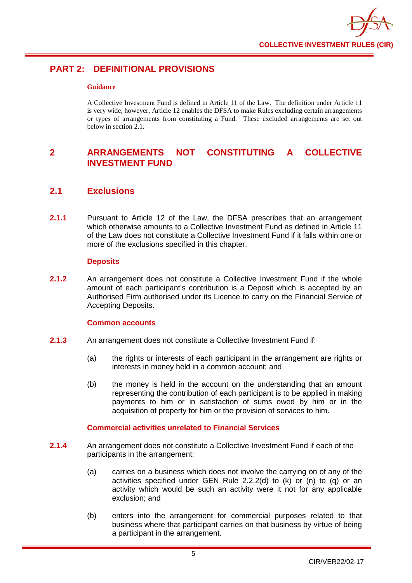

# <span id="page-9-0"></span>**PART 2: DEFINITIONAL PROVISIONS**

## **Guidance**

A Collective Investment Fund is defined in Article 11 of the Law. The definition under Article 11 is very wide, however, Article 12 enables the DFSA to make Rules excluding certain arrangements or types of arrangements from constituting a Fund. These excluded arrangements are set out below in section  $2.1$ .

# <span id="page-9-1"></span>**2 ARRANGEMENTS NOT CONSTITUTING A COLLECTIVE INVESTMENT FUND**

# <span id="page-9-2"></span>**2.1 Exclusions**

**2.1.1** Pursuant to Article 12 of the Law, the DFSA prescribes that an arrangement which otherwise amounts to a Collective Investment Fund as defined in Article 11 of the Law does not constitute a Collective Investment Fund if it falls within one or more of the exclusions specified in this chapter.

## **Deposits**

**2.1.2** An arrangement does not constitute a Collective Investment Fund if the whole amount of each participant's contribution is a Deposit which is accepted by an Authorised Firm authorised under its Licence to carry on the Financial Service of Accepting Deposits.

## **Common accounts**

- **2.1.3** An arrangement does not constitute a Collective Investment Fund if:
	- (a) the rights or interests of each participant in the arrangement are rights or interests in money held in a common account; and
	- (b) the money is held in the account on the understanding that an amount representing the contribution of each participant is to be applied in making payments to him or in satisfaction of sums owed by him or in the acquisition of property for him or the provision of services to him.

## **Commercial activities unrelated to Financial Services**

- **2.1.4** An arrangement does not constitute a Collective Investment Fund if each of the participants in the arrangement:
	- (a) carries on a business which does not involve the carrying on of any of the activities specified under GEN Rule 2.2.2(d) to  $(k)$  or  $(n)$  to  $(q)$  or an activity which would be such an activity were it not for any applicable exclusion; and
	- (b) enters into the arrangement for commercial purposes related to that business where that participant carries on that business by virtue of being a participant in the arrangement.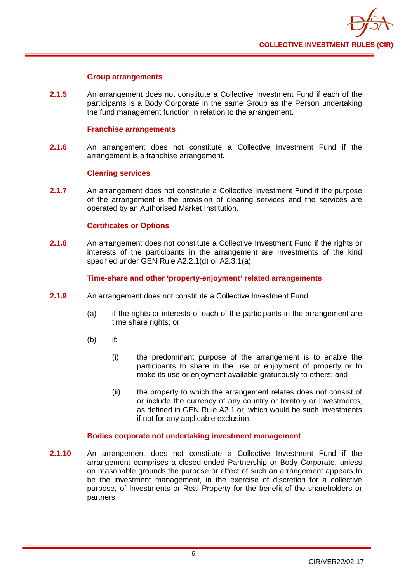

## **Group arrangements**

**2.1.5** An arrangement does not constitute a Collective Investment Fund if each of the participants is a Body Corporate in the same Group as the Person undertaking the fund management function in relation to the arrangement.

## **Franchise arrangements**

**2.1.6** An arrangement does not constitute a Collective Investment Fund if the arrangement is a franchise arrangement.

### **Clearing services**

**2.1.7** An arrangement does not constitute a Collective Investment Fund if the purpose of the arrangement is the provision of clearing services and the services are operated by an Authorised Market Institution.

## **Certificates or Options**

**2.1.8** An arrangement does not constitute a Collective Investment Fund if the rights or interests of the participants in the arrangement are Investments of the kind specified under GEN Rule A2.2.1(d) or A2.3.1(a).

## **Time-share and other 'property-enjoyment' related arrangements**

- **2.1.9** An arrangement does not constitute a Collective Investment Fund:
	- (a) if the rights or interests of each of the participants in the arrangement are time share rights; or
	- (b) if:
		- (i) the predominant purpose of the arrangement is to enable the participants to share in the use or enjoyment of property or to make its use or enjoyment available gratuitously to others; and
		- (ii) the property to which the arrangement relates does not consist of or include the currency of any country or territory or Investments, as defined in GEN Rule A2.1 or, which would be such Investments if not for any applicable exclusion.

#### **Bodies corporate not undertaking investment management**

**2.1.10** An arrangement does not constitute a Collective Investment Fund if the arrangement comprises a closed-ended Partnership or Body Corporate, unless on reasonable grounds the purpose or effect of such an arrangement appears to be the investment management, in the exercise of discretion for a collective purpose, of Investments or Real Property for the benefit of the shareholders or partners.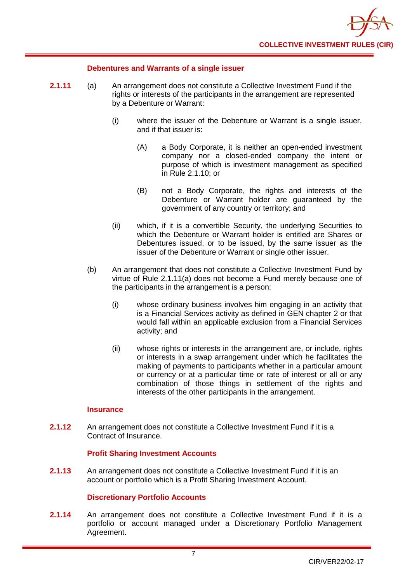

## **Debentures and Warrants of a single issuer**

- **2.1.11** (a) An arrangement does not constitute a Collective Investment Fund if the rights or interests of the participants in the arrangement are represented by a Debenture or Warrant:
	- (i) where the issuer of the Debenture or Warrant is a single issuer, and if that issuer is:
		- (A) a Body Corporate, it is neither an open-ended investment company nor a closed-ended company the intent or purpose of which is investment management as specified in Rule 2.1.10; or
		- (B) not a Body Corporate, the rights and interests of the Debenture or Warrant holder are guaranteed by the government of any country or territory; and
	- (ii) which, if it is a convertible Security, the underlying Securities to which the Debenture or Warrant holder is entitled are Shares or Debentures issued, or to be issued, by the same issuer as the issuer of the Debenture or Warrant or single other issuer.
	- (b) An arrangement that does not constitute a Collective Investment Fund by virtue of Rule 2.1.11(a) does not become a Fund merely because one of the participants in the arrangement is a person:
		- (i) whose ordinary business involves him engaging in an activity that is a Financial Services activity as defined in GEN chapter 2 or that would fall within an applicable exclusion from a Financial Services activity; and
		- (ii) whose rights or interests in the arrangement are, or include, rights or interests in a swap arrangement under which he facilitates the making of payments to participants whether in a particular amount or currency or at a particular time or rate of interest or all or any combination of those things in settlement of the rights and interests of the other participants in the arrangement.

## **Insurance**

**2.1.12** An arrangement does not constitute a Collective Investment Fund if it is a Contract of Insurance.

## **Profit Sharing Investment Accounts**

**2.1.13** An arrangement does not constitute a Collective Investment Fund if it is an account or portfolio which is a Profit Sharing Investment Account.

## **Discretionary Portfolio Accounts**

**2.1.14** An arrangement does not constitute a Collective Investment Fund if it is a portfolio or account managed under a Discretionary Portfolio Management Agreement.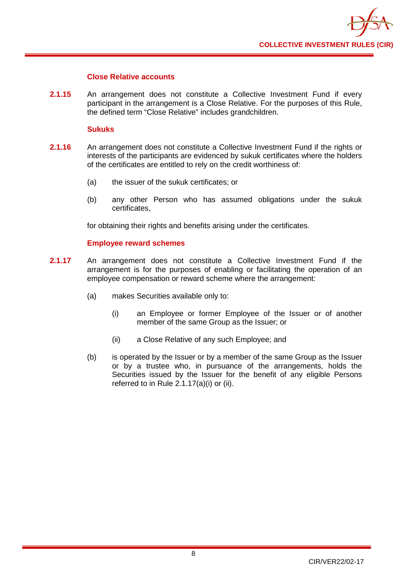

## **Close Relative accounts**

**2.1.15** An arrangement does not constitute a Collective Investment Fund if every participant in the arrangement is a Close Relative. For the purposes of this Rule, the defined term "Close Relative" includes grandchildren.

## **Sukuks**

- **2.1.16** An arrangement does not constitute a Collective Investment Fund if the rights or interests of the participants are evidenced by sukuk certificates where the holders of the certificates are entitled to rely on the credit worthiness of:
	- (a) the issuer of the sukuk certificates; or
	- (b) any other Person who has assumed obligations under the sukuk certificates,

for obtaining their rights and benefits arising under the certificates.

## **Employee reward schemes**

- **2.1.17** An arrangement does not constitute a Collective Investment Fund if the arrangement is for the purposes of enabling or facilitating the operation of an employee compensation or reward scheme where the arrangement:
	- (a) makes Securities available only to:
		- (i) an Employee or former Employee of the Issuer or of another member of the same Group as the Issuer; or
		- (ii) a Close Relative of any such Employee; and
	- (b) is operated by the Issuer or by a member of the same Group as the Issuer or by a trustee who, in pursuance of the arrangements, holds the Securities issued by the Issuer for the benefit of any eligible Persons referred to in Rule 2.1.17(a)(i) or (ii).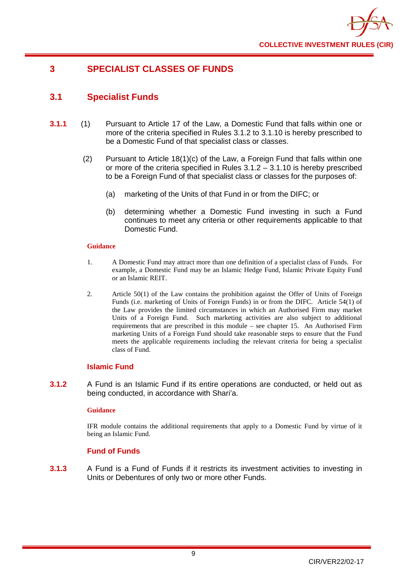

# <span id="page-13-0"></span>**3 SPECIALIST CLASSES OF FUNDS**

# <span id="page-13-1"></span>**3.1 Specialist Funds**

- **3.1.1** (1) Pursuant to Article 17 of the Law, a Domestic Fund that falls within one or more of the criteria specified in Rules 3.1.2 to 3.1.10 is hereby prescribed to be a Domestic Fund of that specialist class or classes.
	- (2) Pursuant to Article 18(1)(c) of the Law, a Foreign Fund that falls within one or more of the criteria specified in Rules 3.1.2 – 3.1.10 is hereby prescribed to be a Foreign Fund of that specialist class or classes for the purposes of:
		- (a) marketing of the Units of that Fund in or from the DIFC; or
		- (b) determining whether a Domestic Fund investing in such a Fund continues to meet any criteria or other requirements applicable to that Domestic Fund.

### **Guidance**

- 1. A Domestic Fund may attract more than one definition of a specialist class of Funds. For example, a Domestic Fund may be an Islamic Hedge Fund, Islamic Private Equity Fund or an Islamic REIT.
- 2. Article 50(1) of the Law contains the prohibition against the Offer of Units of Foreign Funds (i.e. marketing of Units of Foreign Funds) in or from the DIFC. Article 54(1) of the Law provides the limited circumstances in which an Authorised Firm may market Units of a Foreign Fund. Such marketing activities are also subject to additional requirements that are prescribed in this module – see chapter 15. An Authorised Firm marketing Units of a Foreign Fund should take reasonable steps to ensure that the Fund meets the applicable requirements including the relevant criteria for being a specialist class of Fund.

## **Islamic Fund**

**3.1.2** A Fund is an Islamic Fund if its entire operations are conducted, or held out as being conducted, in accordance with Shari'a.

## **Guidance**

IFR module contains the additional requirements that apply to a Domestic Fund by virtue of it being an Islamic Fund.

## **Fund of Funds**

**3.1.3** A Fund is a Fund of Funds if it restricts its investment activities to investing in Units or Debentures of only two or more other Funds.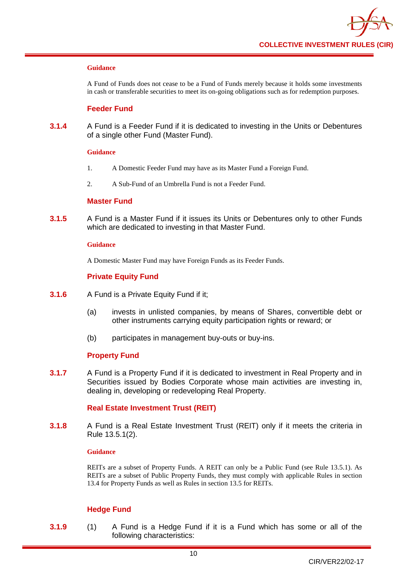A Fund of Funds does not cease to be a Fund of Funds merely because it holds some investments in cash or transferable securities to meet its on-going obligations such as for redemption purposes.

## **Feeder Fund**

**3.1.4** A Fund is a Feeder Fund if it is dedicated to investing in the Units or Debentures of a single other Fund (Master Fund).

#### **Guidance**

- 1. A Domestic Feeder Fund may have as its Master Fund a Foreign Fund.
- 2. A Sub-Fund of an Umbrella Fund is not a Feeder Fund.

## **Master Fund**

**3.1.5** A Fund is a Master Fund if it issues its Units or Debentures only to other Funds which are dedicated to investing in that Master Fund.

#### **Guidance**

A Domestic Master Fund may have Foreign Funds as its Feeder Funds.

## **Private Equity Fund**

- **3.1.6** A Fund is a Private Equity Fund if it;
	- (a) invests in unlisted companies, by means of Shares, convertible debt or other instruments carrying equity participation rights or reward; or
	- (b) participates in management buy-outs or buy-ins.

## **Property Fund**

**3.1.7** A Fund is a Property Fund if it is dedicated to investment in Real Property and in Securities issued by Bodies Corporate whose main activities are investing in, dealing in, developing or redeveloping Real Property.

## **Real Estate Investment Trust (REIT)**

**3.1.8** A Fund is a Real Estate Investment Trust (REIT) only if it meets the criteria in Rule 13.5.1(2).

## **Guidance**

REITs are a subset of Property Funds. A REIT can only be a Public Fund (see Rule 13.5.1). As REITs are a subset of Public Property Funds, they must comply with applicable Rules in section 13.4 for Property Funds as well as Rules in section 13.5 for REITs.

## **Hedge Fund**

**3.1.9** (1) A Fund is a Hedge Fund if it is a Fund which has some or all of the following characteristics: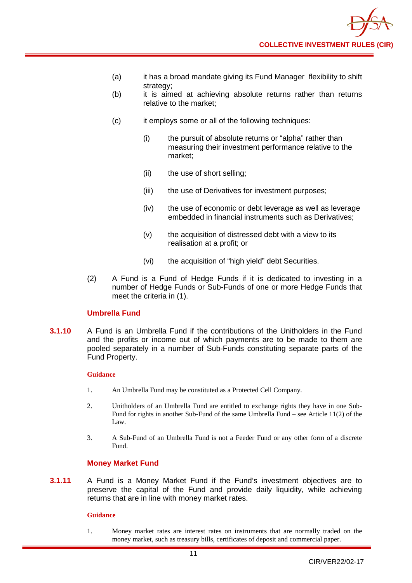

- (a) it has a broad mandate giving its Fund Manager flexibility to shift strategy;
- (b) it is aimed at achieving absolute returns rather than returns relative to the market;
- (c) it employs some or all of the following techniques:
	- (i) the pursuit of absolute returns or "alpha" rather than measuring their investment performance relative to the market;
	- (ii) the use of short selling;
	- (iii) the use of Derivatives for investment purposes;
	- (iv) the use of economic or debt leverage as well as leverage embedded in financial instruments such as Derivatives;
	- (v) the acquisition of distressed debt with a view to its realisation at a profit; or
	- (vi) the acquisition of "high yield" debt Securities.
- (2) A Fund is a Fund of Hedge Funds if it is dedicated to investing in a number of Hedge Funds or Sub-Funds of one or more Hedge Funds that meet the criteria in (1).

## **Umbrella Fund**

**3.1.10** A Fund is an Umbrella Fund if the contributions of the Unitholders in the Fund and the profits or income out of which payments are to be made to them are pooled separately in a number of Sub-Funds constituting separate parts of the Fund Property.

#### **Guidance**

- 1. An Umbrella Fund may be constituted as a Protected Cell Company.
- 2. Unitholders of an Umbrella Fund are entitled to exchange rights they have in one Sub-Fund for rights in another Sub-Fund of the same Umbrella Fund – see Article 11(2) of the Law.
- 3. A Sub-Fund of an Umbrella Fund is not a Feeder Fund or any other form of a discrete Fund.

## **Money Market Fund**

**3.1.11** A Fund is a Money Market Fund if the Fund's investment objectives are to preserve the capital of the Fund and provide daily liquidity, while achieving returns that are in line with money market rates.

#### **Guidance**

1. Money market rates are interest rates on instruments that are normally traded on the money market, such as treasury bills, certificates of deposit and commercial paper.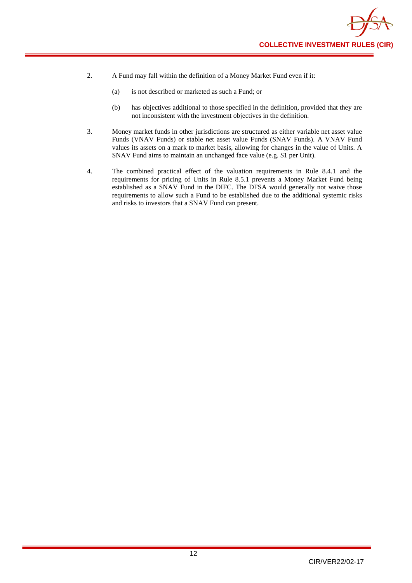

- 2. A Fund may fall within the definition of a Money Market Fund even if it:
	- (a) is not described or marketed as such a Fund; or
	- (b) has objectives additional to those specified in the definition, provided that they are not inconsistent with the investment objectives in the definition.
- 3. Money market funds in other jurisdictions are structured as either variable net asset value Funds (VNAV Funds) or stable net asset value Funds (SNAV Funds). A VNAV Fund values its assets on a mark to market basis, allowing for changes in the value of Units. A SNAV Fund aims to maintain an unchanged face value (e.g. \$1 per Unit).
- 4. The combined practical effect of the valuation requirements in Rule 8.4.1 and the requirements for pricing of Units in Rule 8.5.1 prevents a Money Market Fund being established as a SNAV Fund in the DIFC. The DFSA would generally not waive those requirements to allow such a Fund to be established due to the additional systemic risks and risks to investors that a SNAV Fund can present.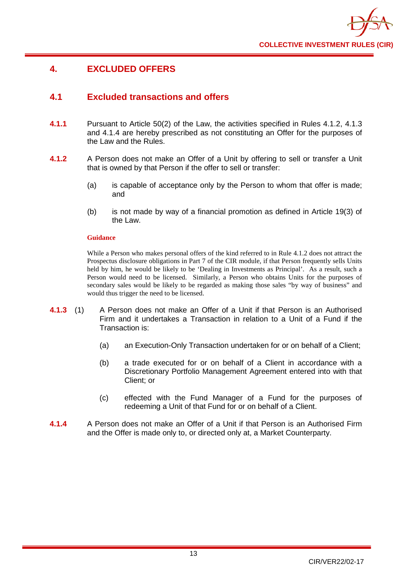

# <span id="page-17-0"></span>**4. EXCLUDED OFFERS**

# <span id="page-17-1"></span>**4.1 Excluded transactions and offers**

- **4.1.1** Pursuant to Article 50(2) of the Law, the activities specified in Rules 4.1.2, 4.1.3 and 4.1.4 are hereby prescribed as not constituting an Offer for the purposes of the Law and the Rules.
- **4.1.2** A Person does not make an Offer of a Unit by offering to sell or transfer a Unit that is owned by that Person if the offer to sell or transfer:
	- (a) is capable of acceptance only by the Person to whom that offer is made; and
	- (b) is not made by way of a financial promotion as defined in Article 19(3) of the Law.

### **Guidance**

While a Person who makes personal offers of the kind referred to in Rule 4.1.2 does not attract the Prospectus disclosure obligations in Part 7 of the CIR module, if that Person frequently sells Units held by him, he would be likely to be 'Dealing in Investments as Principal'. As a result, such a Person would need to be licensed. Similarly, a Person who obtains Units for the purposes of secondary sales would be likely to be regarded as making those sales "by way of business" and would thus trigger the need to be licensed.

- **4.1.3** (1) A Person does not make an Offer of a Unit if that Person is an Authorised Firm and it undertakes a Transaction in relation to a Unit of a Fund if the Transaction is:
	- (a) an Execution-Only Transaction undertaken for or on behalf of a Client;
	- (b) a trade executed for or on behalf of a Client in accordance with a Discretionary Portfolio Management Agreement entered into with that Client; or
	- (c) effected with the Fund Manager of a Fund for the purposes of redeeming a Unit of that Fund for or on behalf of a Client.
- **4.1.4** A Person does not make an Offer of a Unit if that Person is an Authorised Firm and the Offer is made only to, or directed only at, a Market Counterparty.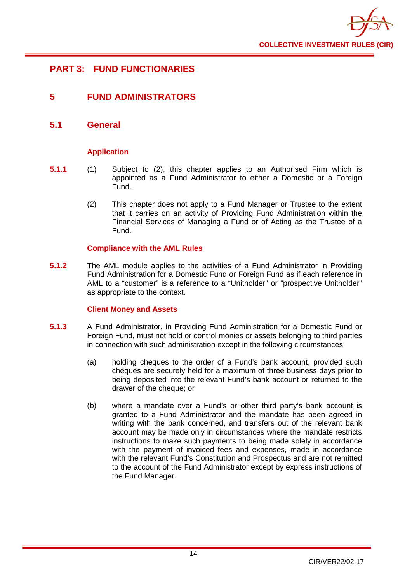

# <span id="page-18-0"></span>**PART 3: FUND FUNCTIONARIES**

# <span id="page-18-1"></span>**5 FUND ADMINISTRATORS**

## <span id="page-18-2"></span>**5.1 General**

## **Application**

- **5.1.1** (1) Subject to (2), this chapter applies to an Authorised Firm which is appointed as a Fund Administrator to either a Domestic or a Foreign Fund.
	- (2) This chapter does not apply to a Fund Manager or Trustee to the extent that it carries on an activity of Providing Fund Administration within the Financial Services of Managing a Fund or of Acting as the Trustee of a Fund.

## **Compliance with the AML Rules**

**5.1.2** The AML module applies to the activities of a Fund Administrator in Providing Fund Administration for a Domestic Fund or Foreign Fund as if each reference in AML to a "customer" is a reference to a "Unitholder" or "prospective Unitholder" as appropriate to the context.

## **Client Money and Assets**

- **5.1.3** A Fund Administrator, in Providing Fund Administration for a Domestic Fund or Foreign Fund, must not hold or control monies or assets belonging to third parties in connection with such administration except in the following circumstances:
	- (a) holding cheques to the order of a Fund's bank account, provided such cheques are securely held for a maximum of three business days prior to being deposited into the relevant Fund's bank account or returned to the drawer of the cheque; or
	- (b) where a mandate over a Fund's or other third party's bank account is granted to a Fund Administrator and the mandate has been agreed in writing with the bank concerned, and transfers out of the relevant bank account may be made only in circumstances where the mandate restricts instructions to make such payments to being made solely in accordance with the payment of invoiced fees and expenses, made in accordance with the relevant Fund's Constitution and Prospectus and are not remitted to the account of the Fund Administrator except by express instructions of the Fund Manager.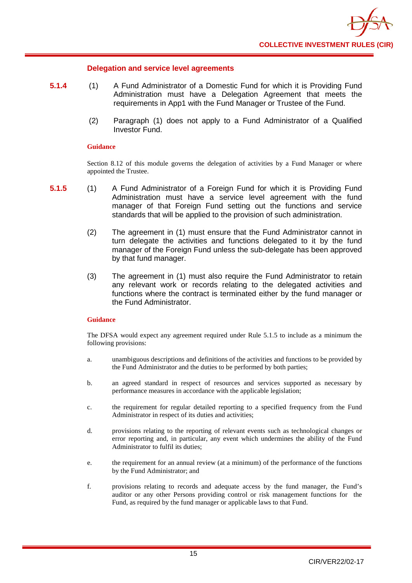## **Delegation and service level agreements**

- **5.1.4** (1) A Fund Administrator of a Domestic Fund for which it is Providing Fund Administration must have a Delegation Agreement that meets the requirements in App1 with the Fund Manager or Trustee of the Fund.
	- (2) Paragraph (1) does not apply to a Fund Administrator of a Qualified Investor Fund.

### **Guidance**

Section 8.12 of this module governs the delegation of activities by a Fund Manager or where appointed the Trustee.

- **5.1.5** (1) A Fund Administrator of a Foreign Fund for which it is Providing Fund Administration must have a service level agreement with the fund manager of that Foreign Fund setting out the functions and service standards that will be applied to the provision of such administration.
	- (2) The agreement in (1) must ensure that the Fund Administrator cannot in turn delegate the activities and functions delegated to it by the fund manager of the Foreign Fund unless the sub-delegate has been approved by that fund manager.
	- (3) The agreement in (1) must also require the Fund Administrator to retain any relevant work or records relating to the delegated activities and functions where the contract is terminated either by the fund manager or the Fund Administrator.

## **Guidance**

The DFSA would expect any agreement required under Rule 5.1.5 to include as a minimum the following provisions:

- a. unambiguous descriptions and definitions of the activities and functions to be provided by the Fund Administrator and the duties to be performed by both parties;
- b. an agreed standard in respect of resources and services supported as necessary by performance measures in accordance with the applicable legislation;
- c. the requirement for regular detailed reporting to a specified frequency from the Fund Administrator in respect of its duties and activities;
- d. provisions relating to the reporting of relevant events such as technological changes or error reporting and, in particular, any event which undermines the ability of the Fund Administrator to fulfil its duties;
- e. the requirement for an annual review (at a minimum) of the performance of the functions by the Fund Administrator; and
- f. provisions relating to records and adequate access by the fund manager, the Fund's auditor or any other Persons providing control or risk management functions for the Fund, as required by the fund manager or applicable laws to that Fund.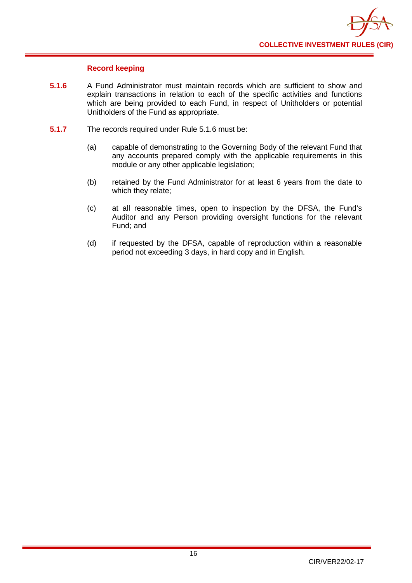

## **Record keeping**

- **5.1.6** A Fund Administrator must maintain records which are sufficient to show and explain transactions in relation to each of the specific activities and functions which are being provided to each Fund, in respect of Unitholders or potential Unitholders of the Fund as appropriate.
- **5.1.7** The records required under Rule 5.1.6 must be:
	- (a) capable of demonstrating to the Governing Body of the relevant Fund that any accounts prepared comply with the applicable requirements in this module or any other applicable legislation;
	- (b) retained by the Fund Administrator for at least 6 years from the date to which they relate;
	- (c) at all reasonable times, open to inspection by the DFSA, the Fund's Auditor and any Person providing oversight functions for the relevant Fund; and
	- (d) if requested by the DFSA, capable of reproduction within a reasonable period not exceeding 3 days, in hard copy and in English.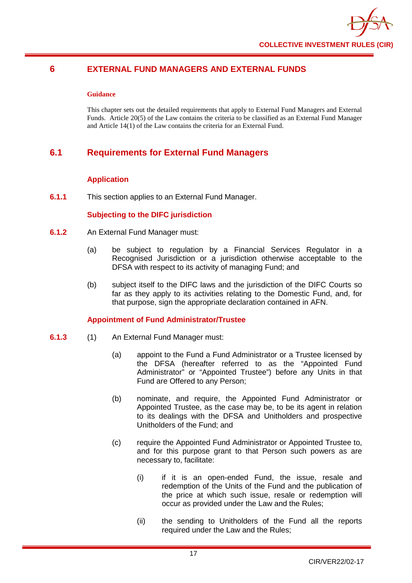

## <span id="page-21-0"></span>**6 EXTERNAL FUND MANAGERS AND EXTERNAL FUNDS**

## **Guidance**

This chapter sets out the detailed requirements that apply to External Fund Managers and External Funds. Article 20(5) of the Law contains the criteria to be classified as an External Fund Manager and Article 14(1) of the Law contains the criteria for an External Fund.

# <span id="page-21-1"></span>**6.1 Requirements for External Fund Managers**

## **Application**

**6.1.1** This section applies to an External Fund Manager.

## **Subjecting to the DIFC jurisdiction**

- **6.1.2** An External Fund Manager must:
	- (a) be subject to regulation by a Financial Services Regulator in a Recognised Jurisdiction or a jurisdiction otherwise acceptable to the DFSA with respect to its activity of managing Fund; and
	- (b) subject itself to the DIFC laws and the jurisdiction of the DIFC Courts so far as they apply to its activities relating to the Domestic Fund, and, for that purpose, sign the appropriate declaration contained in AFN.

## **Appointment of Fund Administrator/Trustee**

- **6.1.3** (1) An External Fund Manager must:
	- (a) appoint to the Fund a Fund Administrator or a Trustee licensed by the DFSA (hereafter referred to as the "Appointed Fund Administrator" or "Appointed Trustee") before any Units in that Fund are Offered to any Person;
	- (b) nominate, and require, the Appointed Fund Administrator or Appointed Trustee, as the case may be, to be its agent in relation to its dealings with the DFSA and Unitholders and prospective Unitholders of the Fund; and
	- (c) require the Appointed Fund Administrator or Appointed Trustee to, and for this purpose grant to that Person such powers as are necessary to, facilitate:
		- (i) if it is an open-ended Fund, the issue, resale and redemption of the Units of the Fund and the publication of the price at which such issue, resale or redemption will occur as provided under the Law and the Rules;
		- (ii) the sending to Unitholders of the Fund all the reports required under the Law and the Rules;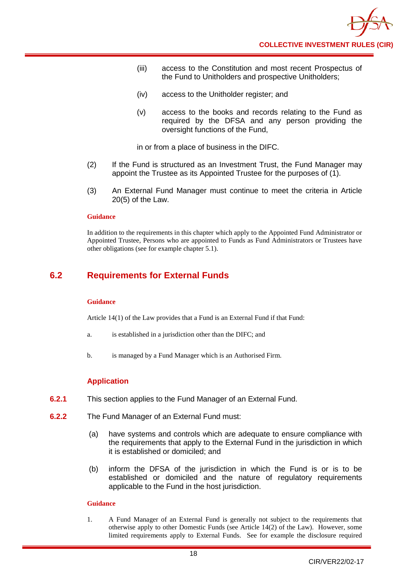- (iii) access to the Constitution and most recent Prospectus of the Fund to Unitholders and prospective Unitholders;
- (iv) access to the Unitholder register; and
- (v) access to the books and records relating to the Fund as required by the DFSA and any person providing the oversight functions of the Fund,

in or from a place of business in the DIFC.

- (2) If the Fund is structured as an Investment Trust, the Fund Manager may appoint the Trustee as its Appointed Trustee for the purposes of (1).
- (3) An External Fund Manager must continue to meet the criteria in Article 20(5) of the Law.

### **Guidance**

In addition to the requirements in this chapter which apply to the Appointed Fund Administrator or Appointed Trustee, Persons who are appointed to Funds as Fund Administrators or Trustees have other obligations (see for example chapter 5.1).

# <span id="page-22-0"></span>**6.2 Requirements for External Funds**

#### **Guidance**

Article 14(1) of the Law provides that a Fund is an External Fund if that Fund:

- a. is established in a jurisdiction other than the DIFC; and
- b. is managed by a Fund Manager which is an Authorised Firm.

## **Application**

- **6.2.1** This section applies to the Fund Manager of an External Fund.
- **6.2.2** The Fund Manager of an External Fund must:
	- (a) have systems and controls which are adequate to ensure compliance with the requirements that apply to the External Fund in the jurisdiction in which it is established or domiciled; and
	- (b) inform the DFSA of the jurisdiction in which the Fund is or is to be established or domiciled and the nature of regulatory requirements applicable to the Fund in the host jurisdiction.

## **Guidance**

1. A Fund Manager of an External Fund is generally not subject to the requirements that otherwise apply to other Domestic Funds (see Article 14(2) of the Law). However, some limited requirements apply to External Funds. See for example the disclosure required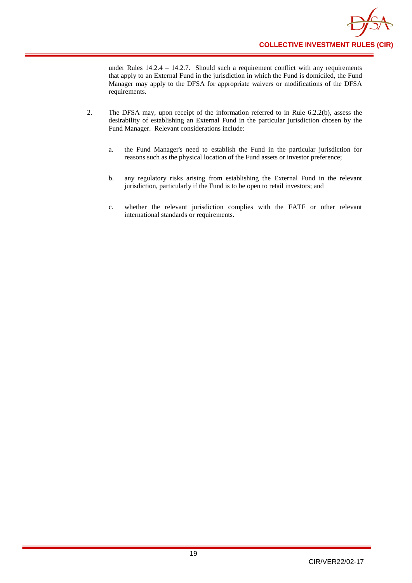

under Rules 14.2.4 – 14.2.7. Should such a requirement conflict with any requirements that apply to an External Fund in the jurisdiction in which the Fund is domiciled, the Fund Manager may apply to the DFSA for appropriate waivers or modifications of the DFSA requirements.

- 2. The DFSA may, upon receipt of the information referred to in Rule 6.2.2(b), assess the desirability of establishing an External Fund in the particular jurisdiction chosen by the Fund Manager. Relevant considerations include:
	- a. the Fund Manager's need to establish the Fund in the particular jurisdiction for reasons such as the physical location of the Fund assets or investor preference;
	- b. any regulatory risks arising from establishing the External Fund in the relevant jurisdiction, particularly if the Fund is to be open to retail investors; and
	- c. whether the relevant jurisdiction complies with the FATF or other relevant international standards or requirements.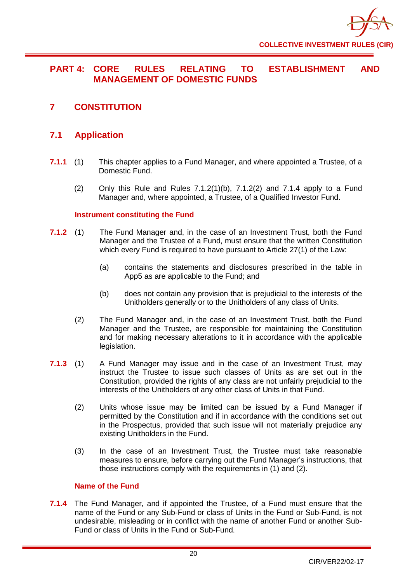

# <span id="page-24-0"></span>**PART 4: CORE RULES RELATING TO ESTABLISHMENT AND MANAGEMENT OF DOMESTIC FUNDS**

<span id="page-24-1"></span>**7 CONSTITUTION**

# <span id="page-24-2"></span>**7.1 Application**

- **7.1.1** (1) This chapter applies to a Fund Manager, and where appointed a Trustee, of a Domestic Fund.
	- (2) Only this Rule and Rules  $7.1.2(1)(b)$ ,  $7.1.2(2)$  and  $7.1.4$  apply to a Fund Manager and, where appointed, a Trustee, of a Qualified Investor Fund.

## **Instrument constituting the Fund**

- **7.1.2** (1) The Fund Manager and, in the case of an Investment Trust, both the Fund Manager and the Trustee of a Fund, must ensure that the written Constitution which every Fund is required to have pursuant to Article 27(1) of the Law:
	- (a) contains the statements and disclosures prescribed in the table in App5 as are applicable to the Fund; and
	- (b) does not contain any provision that is prejudicial to the interests of the Unitholders generally or to the Unitholders of any class of Units.
	- (2) The Fund Manager and, in the case of an Investment Trust, both the Fund Manager and the Trustee, are responsible for maintaining the Constitution and for making necessary alterations to it in accordance with the applicable legislation.
- **7.1.3** (1) A Fund Manager may issue and in the case of an Investment Trust, may instruct the Trustee to issue such classes of Units as are set out in the Constitution, provided the rights of any class are not unfairly prejudicial to the interests of the Unitholders of any other class of Units in that Fund.
	- (2) Units whose issue may be limited can be issued by a Fund Manager if permitted by the Constitution and if in accordance with the conditions set out in the Prospectus, provided that such issue will not materially prejudice any existing Unitholders in the Fund.
	- (3) In the case of an Investment Trust, the Trustee must take reasonable measures to ensure, before carrying out the Fund Manager's instructions, that those instructions comply with the requirements in (1) and (2).

## **Name of the Fund**

**7.1.4** The Fund Manager, and if appointed the Trustee, of a Fund must ensure that the name of the Fund or any Sub-Fund or class of Units in the Fund or Sub-Fund, is not undesirable, misleading or in conflict with the name of another Fund or another Sub-Fund or class of Units in the Fund or Sub-Fund.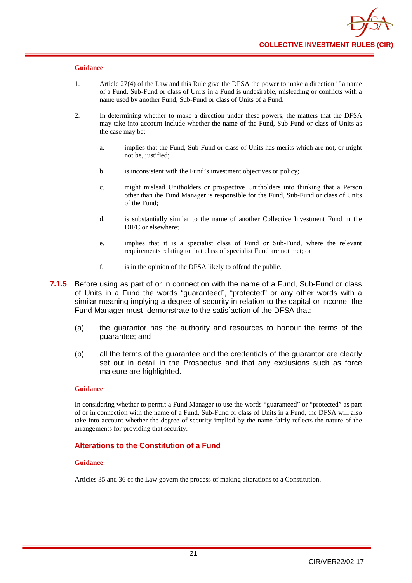- 1. Article 27(4) of the Law and this Rule give the DFSA the power to make a direction if a name of a Fund, Sub-Fund or class of Units in a Fund is undesirable, misleading or conflicts with a name used by another Fund, Sub-Fund or class of Units of a Fund.
- 2. In determining whether to make a direction under these powers, the matters that the DFSA may take into account include whether the name of the Fund, Sub-Fund or class of Units as the case may be:
	- a. implies that the Fund, Sub-Fund or class of Units has merits which are not, or might not be, justified;
	- b. is inconsistent with the Fund's investment objectives or policy;
	- c. might mislead Unitholders or prospective Unitholders into thinking that a Person other than the Fund Manager is responsible for the Fund, Sub-Fund or class of Units of the Fund;
	- d. is substantially similar to the name of another Collective Investment Fund in the DIFC or elsewhere;
	- e. implies that it is a specialist class of Fund or Sub-Fund, where the relevant requirements relating to that class of specialist Fund are not met; or
	- f. is in the opinion of the DFSA likely to offend the public.
- **7.1.5** Before using as part of or in connection with the name of a Fund, Sub-Fund or class of Units in a Fund the words "guaranteed", "protected" or any other words with a similar meaning implying a degree of security in relation to the capital or income, the Fund Manager must demonstrate to the satisfaction of the DFSA that:
	- (a) the guarantor has the authority and resources to honour the terms of the guarantee; and
	- (b) all the terms of the guarantee and the credentials of the guarantor are clearly set out in detail in the Prospectus and that any exclusions such as force majeure are highlighted.

#### **Guidance**

In considering whether to permit a Fund Manager to use the words "guaranteed" or "protected" as part of or in connection with the name of a Fund, Sub-Fund or class of Units in a Fund, the DFSA will also take into account whether the degree of security implied by the name fairly reflects the nature of the arrangements for providing that security.

## **Alterations to the Constitution of a Fund**

#### **Guidance**

Articles 35 and 36 of the Law govern the process of making alterations to a Constitution.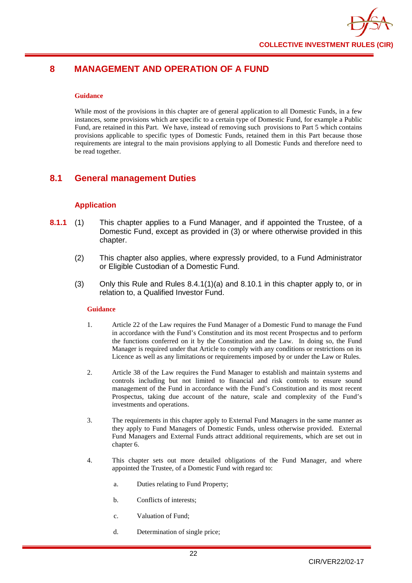# <span id="page-26-0"></span>**8 MANAGEMENT AND OPERATION OF A FUND**

#### **Guidance**

While most of the provisions in this chapter are of general application to all Domestic Funds, in a few instances, some provisions which are specific to a certain type of Domestic Fund, for example a Public Fund, are retained in this Part. We have, instead of removing such provisions to Part 5 which contains provisions applicable to specific types of Domestic Funds, retained them in this Part because those requirements are integral to the main provisions applying to all Domestic Funds and therefore need to be read together.

# <span id="page-26-1"></span>**8.1 General management Duties**

## **Application**

- **8.1.1** (1) This chapter applies to a Fund Manager, and if appointed the Trustee, of a Domestic Fund, except as provided in (3) or where otherwise provided in this chapter.
	- (2) This chapter also applies, where expressly provided, to a Fund Administrator or Eligible Custodian of a Domestic Fund.
	- (3) Only this Rule and Rules 8.4.1(1)(a) and 8.10.1 in this chapter apply to, or in relation to, a Qualified Investor Fund.

#### **Guidance**

- 1. Article 22 of the Law requires the Fund Manager of a Domestic Fund to manage the Fund in accordance with the Fund's Constitution and its most recent Prospectus and to perform the functions conferred on it by the Constitution and the Law. In doing so, the Fund Manager is required under that Article to comply with any conditions or restrictions on its Licence as well as any limitations or requirements imposed by or under the Law or Rules.
- 2. Article 38 of the Law requires the Fund Manager to establish and maintain systems and controls including but not limited to financial and risk controls to ensure sound management of the Fund in accordance with the Fund's Constitution and its most recent Prospectus, taking due account of the nature, scale and complexity of the Fund's investments and operations.
- 3. The requirements in this chapter apply to External Fund Managers in the same manner as they apply to Fund Managers of Domestic Funds, unless otherwise provided. External Fund Managers and External Funds attract additional requirements, which are set out in chapter 6.
- 4. This chapter sets out more detailed obligations of the Fund Manager, and where appointed the Trustee, of a Domestic Fund with regard to:
	- a. Duties relating to Fund Property;
	- b. Conflicts of interests;
	- c. Valuation of Fund;
	- d. Determination of single price;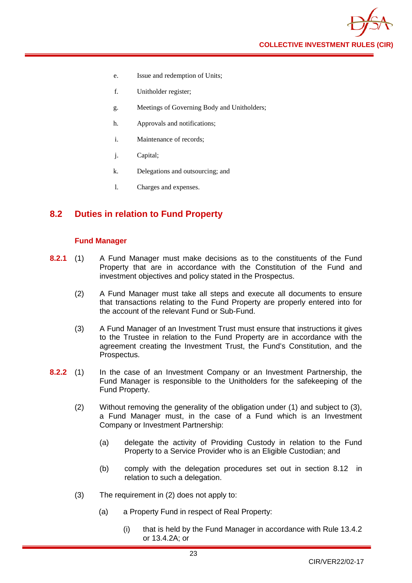

- e. Issue and redemption of Units;
- f. Unitholder register;
- g. Meetings of Governing Body and Unitholders;
- h. Approvals and notifications;
- i. Maintenance of records;
- j. Capital;
- k. Delegations and outsourcing; and
- l. Charges and expenses.

# <span id="page-27-0"></span>**8.2 Duties in relation to Fund Property**

## **Fund Manager**

- **8.2.1** (1) A Fund Manager must make decisions as to the constituents of the Fund Property that are in accordance with the Constitution of the Fund and investment objectives and policy stated in the Prospectus.
	- (2) A Fund Manager must take all steps and execute all documents to ensure that transactions relating to the Fund Property are properly entered into for the account of the relevant Fund or Sub-Fund.
	- (3) A Fund Manager of an Investment Trust must ensure that instructions it gives to the Trustee in relation to the Fund Property are in accordance with the agreement creating the Investment Trust, the Fund's Constitution, and the Prospectus.
- **8.2.2** (1) In the case of an Investment Company or an Investment Partnership, the Fund Manager is responsible to the Unitholders for the safekeeping of the Fund Property.
	- (2) Without removing the generality of the obligation under (1) and subject to (3), a Fund Manager must, in the case of a Fund which is an Investment Company or Investment Partnership:
		- (a) delegate the activity of Providing Custody in relation to the Fund Property to a Service Provider who is an Eligible Custodian; and
		- (b) comply with the delegation procedures set out in section 8.12 in relation to such a delegation.
	- (3) The requirement in (2) does not apply to:
		- (a) a Property Fund in respect of Real Property:
			- (i) that is held by the Fund Manager in accordance with Rule 13.4.2 or 13.4.2A; or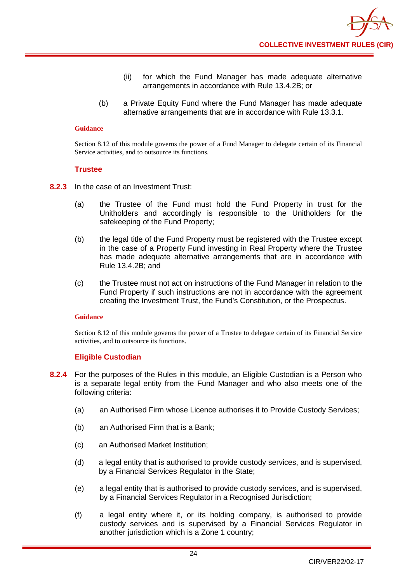- (ii) for which the Fund Manager has made adequate alternative arrangements in accordance with Rule 13.4.2B; or
- (b) a Private Equity Fund where the Fund Manager has made adequate alternative arrangements that are in accordance with Rule 13.3.1.

Section 8.12 of this module governs the power of a Fund Manager to delegate certain of its Financial Service activities, and to outsource its functions.

## **Trustee**

- **8.2.3** In the case of an Investment Trust:
	- (a) the Trustee of the Fund must hold the Fund Property in trust for the Unitholders and accordingly is responsible to the Unitholders for the safekeeping of the Fund Property;
	- (b) the legal title of the Fund Property must be registered with the Trustee except in the case of a Property Fund investing in Real Property where the Trustee has made adequate alternative arrangements that are in accordance with Rule 13.4.2B; and
	- (c) the Trustee must not act on instructions of the Fund Manager in relation to the Fund Property if such instructions are not in accordance with the agreement creating the Investment Trust, the Fund's Constitution, or the Prospectus.

#### **Guidance**

Section 8.12 of this module governs the power of a Trustee to delegate certain of its Financial Service activities, and to outsource its functions.

## **Eligible Custodian**

- **8.2.4** For the purposes of the Rules in this module, an Eligible Custodian is a Person who is a separate legal entity from the Fund Manager and who also meets one of the following criteria:
	- (a) an Authorised Firm whose Licence authorises it to Provide Custody Services;
	- (b) an Authorised Firm that is a Bank;
	- (c) an Authorised Market Institution;
	- (d) a legal entity that is authorised to provide custody services, and is supervised, by a Financial Services Regulator in the State;
	- (e) a legal entity that is authorised to provide custody services, and is supervised, by a Financial Services Regulator in a Recognised Jurisdiction;
	- (f) a legal entity where it, or its holding company, is authorised to provide custody services and is supervised by a Financial Services Regulator in another jurisdiction which is a Zone 1 country;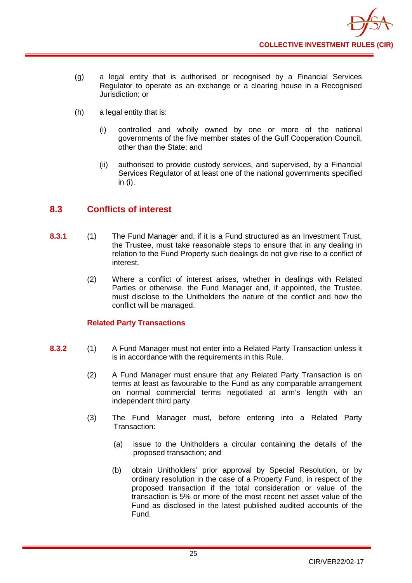

- (g) a legal entity that is authorised or recognised by a Financial Services Regulator to operate as an exchange or a clearing house in a Recognised Jurisdiction; or
- (h) a legal entity that is:
	- (i) controlled and wholly owned by one or more of the national governments of the five member states of the Gulf Cooperation Council, other than the State; and
	- (ii) authorised to provide custody services, and supervised, by a Financial Services Regulator of at least one of the national governments specified in (i).

# <span id="page-29-0"></span>**8.3 Conflicts of interest**

- **8.3.1** (1) The Fund Manager and, if it is a Fund structured as an Investment Trust, the Trustee, must take reasonable steps to ensure that in any dealing in relation to the Fund Property such dealings do not give rise to a conflict of interest.
	- (2) Where a conflict of interest arises, whether in dealings with Related Parties or otherwise, the Fund Manager and, if appointed, the Trustee, must disclose to the Unitholders the nature of the conflict and how the conflict will be managed.

## **Related Party Transactions**

- **8.3.2** (1) A Fund Manager must not enter into a Related Party Transaction unless it is in accordance with the requirements in this Rule.
	- (2) A Fund Manager must ensure that any Related Party Transaction is on terms at least as favourable to the Fund as any comparable arrangement on normal commercial terms negotiated at arm's length with an independent third party.
	- (3) The Fund Manager must, before entering into a Related Party Transaction:
		- (a) issue to the Unitholders a circular containing the details of the proposed transaction; and
		- (b) obtain Unitholders' prior approval by Special Resolution, or by ordinary resolution in the case of a Property Fund, in respect of the proposed transaction if the total consideration or value of the transaction is 5% or more of the most recent net asset value of the Fund as disclosed in the latest published audited accounts of the Fund.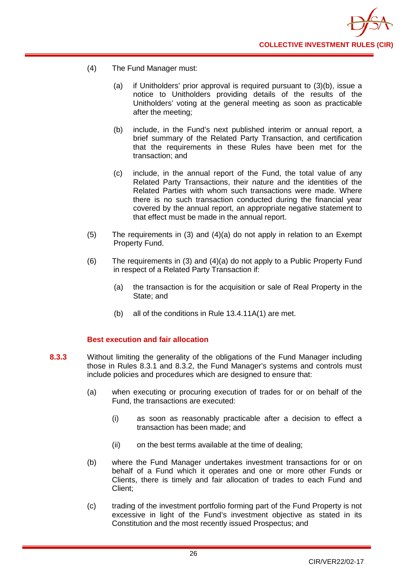

- (4) The Fund Manager must:
	- (a) if Unitholders' prior approval is required pursuant to (3)(b), issue a notice to Unitholders providing details of the results of the Unitholders' voting at the general meeting as soon as practicable after the meeting;
	- (b) include, in the Fund's next published interim or annual report, a brief summary of the Related Party Transaction, and certification that the requirements in these Rules have been met for the transaction; and
	- (c) include, in the annual report of the Fund, the total value of any Related Party Transactions, their nature and the identities of the Related Parties with whom such transactions were made. Where there is no such transaction conducted during the financial year covered by the annual report, an appropriate negative statement to that effect must be made in the annual report.
- (5) The requirements in (3) and (4)(a) do not apply in relation to an Exempt Property Fund.
- (6) The requirements in (3) and (4)(a) do not apply to a Public Property Fund in respect of a Related Party Transaction if:
	- (a) the transaction is for the acquisition or sale of Real Property in the State; and
	- (b) all of the conditions in Rule 13.4.11A(1) are met.

## **Best execution and fair allocation**

- **8.3.3** Without limiting the generality of the obligations of the Fund Manager including those in Rules 8.3.1 and 8.3.2, the Fund Manager's systems and controls must include policies and procedures which are designed to ensure that:
	- (a) when executing or procuring execution of trades for or on behalf of the Fund, the transactions are executed:
		- (i) as soon as reasonably practicable after a decision to effect a transaction has been made; and
		- (ii) on the best terms available at the time of dealing;
	- (b) where the Fund Manager undertakes investment transactions for or on behalf of a Fund which it operates and one or more other Funds or Clients, there is timely and fair allocation of trades to each Fund and Client;
	- (c) trading of the investment portfolio forming part of the Fund Property is not excessive in light of the Fund's investment objective as stated in its Constitution and the most recently issued Prospectus; and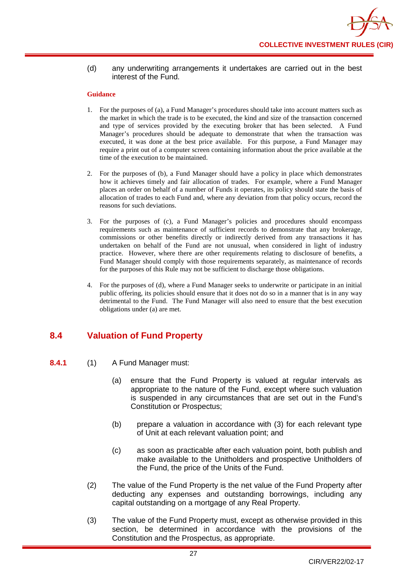## (d) any underwriting arrangements it undertakes are carried out in the best interest of the Fund.

### **Guidance**

- 1. For the purposes of (a), a Fund Manager's procedures should take into account matters such as the market in which the trade is to be executed, the kind and size of the transaction concerned and type of services provided by the executing broker that has been selected. A Fund Manager's procedures should be adequate to demonstrate that when the transaction was executed, it was done at the best price available. For this purpose, a Fund Manager may require a print out of a computer screen containing information about the price available at the time of the execution to be maintained.
- 2. For the purposes of (b), a Fund Manager should have a policy in place which demonstrates how it achieves timely and fair allocation of trades. For example, where a Fund Manager places an order on behalf of a number of Funds it operates, its policy should state the basis of allocation of trades to each Fund and, where any deviation from that policy occurs, record the reasons for such deviations.
- 3. For the purposes of (c), a Fund Manager's policies and procedures should encompass requirements such as maintenance of sufficient records to demonstrate that any brokerage, commissions or other benefits directly or indirectly derived from any transactions it has undertaken on behalf of the Fund are not unusual, when considered in light of industry practice. However, where there are other requirements relating to disclosure of benefits, a Fund Manager should comply with those requirements separately, as maintenance of records for the purposes of this Rule may not be sufficient to discharge those obligations.
- 4. For the purposes of (d), where a Fund Manager seeks to underwrite or participate in an initial public offering, its policies should ensure that it does not do so in a manner that is in any way detrimental to the Fund. The Fund Manager will also need to ensure that the best execution obligations under (a) are met.

# <span id="page-31-0"></span>**8.4 Valuation of Fund Property**

- **8.4.1** (1) A Fund Manager must:
	- (a) ensure that the Fund Property is valued at regular intervals as appropriate to the nature of the Fund, except where such valuation is suspended in any circumstances that are set out in the Fund's Constitution or Prospectus;
	- (b) prepare a valuation in accordance with (3) for each relevant type of Unit at each relevant valuation point; and
	- (c) as soon as practicable after each valuation point, both publish and make available to the Unitholders and prospective Unitholders of the Fund, the price of the Units of the Fund.
	- (2) The value of the Fund Property is the net value of the Fund Property after deducting any expenses and outstanding borrowings, including any capital outstanding on a mortgage of any Real Property.
	- (3) The value of the Fund Property must, except as otherwise provided in this section, be determined in accordance with the provisions of the Constitution and the Prospectus, as appropriate.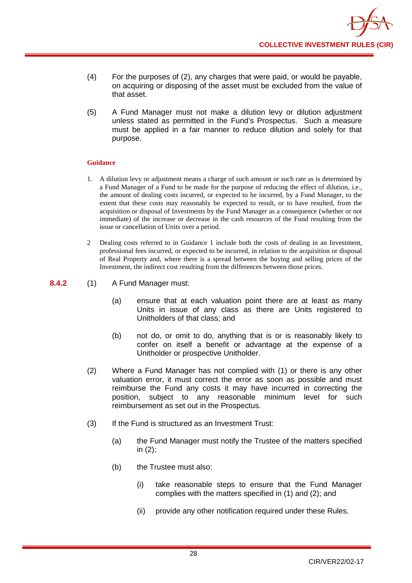- (4) For the purposes of (2), any charges that were paid, or would be payable, on acquiring or disposing of the asset must be excluded from the value of that asset.
- (5) A Fund Manager must not make a dilution levy or dilution adjustment unless stated as permitted in the Fund's Prospectus. Such a measure must be applied in a fair manner to reduce dilution and solely for that purpose.

- 1. A dilution levy or adjustment means a charge of such amount or such rate as is determined by a Fund Manager of a Fund to be made for the purpose of reducing the effect of dilution, i.e., the amount of dealing costs incurred, or expected to be incurred, by a Fund Manager, to the extent that these costs may reasonably be expected to result, or to have resulted, from the acquisition or disposal of Investments by the Fund Manager as a consequence (whether or not immediate) of the increase or decrease in the cash resources of the Fund resulting from the issue or cancellation of Units over a period.
- 2 Dealing costs referred to in Guidance 1 include both the costs of dealing in an Investment, professional fees incurred, or expected to be incurred, in relation to the acquisition or disposal of Real Property and, where there is a spread between the buying and selling prices of the Investment, the indirect cost resulting from the differences between those prices.
- **8.4.2** (1) A Fund Manager must:
	- (a) ensure that at each valuation point there are at least as many Units in issue of any class as there are Units registered to Unitholders of that class; and
	- (b) not do, or omit to do, anything that is or is reasonably likely to confer on itself a benefit or advantage at the expense of a Unitholder or prospective Unitholder.
	- (2) Where a Fund Manager has not complied with (1) or there is any other valuation error, it must correct the error as soon as possible and must reimburse the Fund any costs it may have incurred in correcting the position, subject to any reasonable minimum level for such reimbursement as set out in the Prospectus.
	- (3) If the Fund is structured as an Investment Trust:
		- (a) the Fund Manager must notify the Trustee of the matters specified in (2);
		- (b) the Trustee must also:
			- (i) take reasonable steps to ensure that the Fund Manager complies with the matters specified in (1) and (2); and
			- (ii) provide any other notification required under these Rules.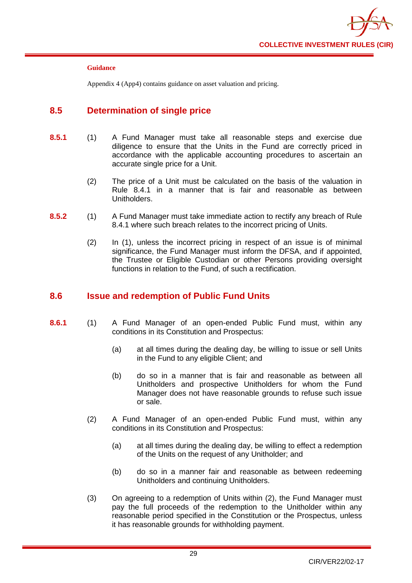

Appendix 4 (App4) contains guidance on asset valuation and pricing.

# <span id="page-33-0"></span>**8.5 Determination of single price**

- **8.5.1** (1) A Fund Manager must take all reasonable steps and exercise due diligence to ensure that the Units in the Fund are correctly priced in accordance with the applicable accounting procedures to ascertain an accurate single price for a Unit.
	- (2) The price of a Unit must be calculated on the basis of the valuation in Rule 8.4.1 in a manner that is fair and reasonable as between Unitholders.
- **8.5.2** (1) A Fund Manager must take immediate action to rectify any breach of Rule 8.4.1 where such breach relates to the incorrect pricing of Units.
	- (2) In (1), unless the incorrect pricing in respect of an issue is of minimal significance, the Fund Manager must inform the DFSA, and if appointed, the Trustee or Eligible Custodian or other Persons providing oversight functions in relation to the Fund, of such a rectification.

## <span id="page-33-1"></span>**8.6 Issue and redemption of Public Fund Units**

- **8.6.1** (1) A Fund Manager of an open-ended Public Fund must, within any conditions in its Constitution and Prospectus:
	- (a) at all times during the dealing day, be willing to issue or sell Units in the Fund to any eligible Client; and
	- (b) do so in a manner that is fair and reasonable as between all Unitholders and prospective Unitholders for whom the Fund Manager does not have reasonable grounds to refuse such issue or sale.
	- (2) A Fund Manager of an open-ended Public Fund must, within any conditions in its Constitution and Prospectus:
		- (a) at all times during the dealing day, be willing to effect a redemption of the Units on the request of any Unitholder; and
		- (b) do so in a manner fair and reasonable as between redeeming Unitholders and continuing Unitholders.
	- (3) On agreeing to a redemption of Units within (2), the Fund Manager must pay the full proceeds of the redemption to the Unitholder within any reasonable period specified in the Constitution or the Prospectus, unless it has reasonable grounds for withholding payment.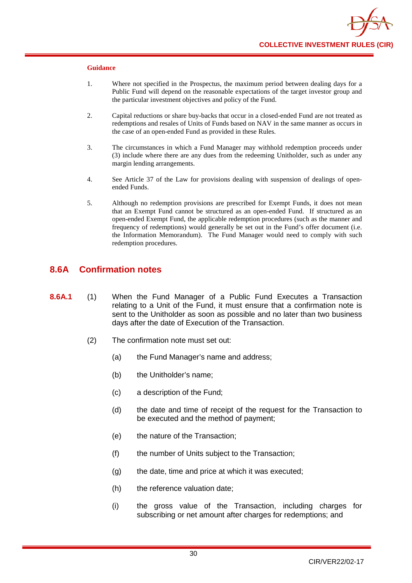- 1. Where not specified in the Prospectus, the maximum period between dealing days for a Public Fund will depend on the reasonable expectations of the target investor group and the particular investment objectives and policy of the Fund.
- 2. Capital reductions or share buy-backs that occur in a closed-ended Fund are not treated as redemptions and resales of Units of Funds based on NAV in the same manner as occurs in the case of an open-ended Fund as provided in these Rules.
- 3. The circumstances in which a Fund Manager may withhold redemption proceeds under (3) include where there are any dues from the redeeming Unitholder, such as under any margin lending arrangements.
- 4. See Article 37 of the Law for provisions dealing with suspension of dealings of openended Funds.
- 5. Although no redemption provisions are prescribed for Exempt Funds, it does not mean that an Exempt Fund cannot be structured as an open-ended Fund. If structured as an open-ended Exempt Fund, the applicable redemption procedures (such as the manner and frequency of redemptions) would generally be set out in the Fund's offer document (i.e. the Information Memorandum). The Fund Manager would need to comply with such redemption procedures.

## **8.6A Confirmation notes**

- **8.6A.1** (1) When the Fund Manager of a Public Fund Executes a Transaction relating to a Unit of the Fund, it must ensure that a confirmation note is sent to the Unitholder as soon as possible and no later than two business days after the date of Execution of the Transaction.
	- (2) The confirmation note must set out:
		- (a) the Fund Manager's name and address;
		- (b) the Unitholder's name;
		- (c) a description of the Fund;
		- (d) the date and time of receipt of the request for the Transaction to be executed and the method of payment;
		- (e) the nature of the Transaction;
		- (f) the number of Units subject to the Transaction;
		- (g) the date, time and price at which it was executed;
		- (h) the reference valuation date;
		- (i) the gross value of the Transaction, including charges for subscribing or net amount after charges for redemptions; and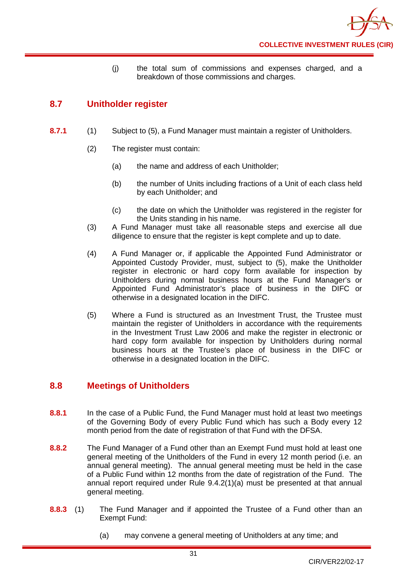(j) the total sum of commissions and expenses charged, and a breakdown of those commissions and charges.

# <span id="page-35-0"></span>**8.7 Unitholder register**

- **8.7.1** (1) Subject to (5), a Fund Manager must maintain a register of Unitholders.
	- (2) The register must contain:
		- (a) the name and address of each Unitholder;
		- (b) the number of Units including fractions of a Unit of each class held by each Unitholder; and
		- (c) the date on which the Unitholder was registered in the register for the Units standing in his name.
	- (3) A Fund Manager must take all reasonable steps and exercise all due diligence to ensure that the register is kept complete and up to date.
	- (4) A Fund Manager or, if applicable the Appointed Fund Administrator or Appointed Custody Provider, must, subject to (5), make the Unitholder register in electronic or hard copy form available for inspection by Unitholders during normal business hours at the Fund Manager's or Appointed Fund Administrator's place of business in the DIFC or otherwise in a designated location in the DIFC.
	- (5) Where a Fund is structured as an Investment Trust, the Trustee must maintain the register of Unitholders in accordance with the requirements in the Investment Trust Law 2006 and make the register in electronic or hard copy form available for inspection by Unitholders during normal business hours at the Trustee's place of business in the DIFC or otherwise in a designated location in the DIFC.

# <span id="page-35-1"></span>**8.8 Meetings of Unitholders**

- **8.8.1** In the case of a Public Fund, the Fund Manager must hold at least two meetings of the Governing Body of every Public Fund which has such a Body every 12 month period from the date of registration of that Fund with the DFSA.
- **8.8.2** The Fund Manager of a Fund other than an Exempt Fund must hold at least one general meeting of the Unitholders of the Fund in every 12 month period (i.e. an annual general meeting). The annual general meeting must be held in the case of a Public Fund within 12 months from the date of registration of the Fund. The annual report required under Rule 9.4.2(1)(a) must be presented at that annual general meeting.
- **8.8.3** (1) The Fund Manager and if appointed the Trustee of a Fund other than an Exempt Fund:
	- (a) may convene a general meeting of Unitholders at any time; and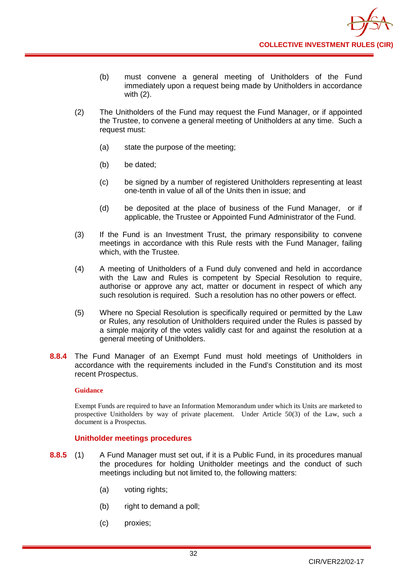- (b) must convene a general meeting of Unitholders of the Fund immediately upon a request being made by Unitholders in accordance with (2).
- (2) The Unitholders of the Fund may request the Fund Manager, or if appointed the Trustee, to convene a general meeting of Unitholders at any time. Such a request must:
	- (a) state the purpose of the meeting;
	- (b) be dated;
	- (c) be signed by a number of registered Unitholders representing at least one-tenth in value of all of the Units then in issue; and
	- (d) be deposited at the place of business of the Fund Manager, or if applicable, the Trustee or Appointed Fund Administrator of the Fund.
- (3) If the Fund is an Investment Trust, the primary responsibility to convene meetings in accordance with this Rule rests with the Fund Manager, failing which, with the Trustee.
- (4) A meeting of Unitholders of a Fund duly convened and held in accordance with the Law and Rules is competent by Special Resolution to require, authorise or approve any act, matter or document in respect of which any such resolution is required. Such a resolution has no other powers or effect.
- (5) Where no Special Resolution is specifically required or permitted by the Law or Rules, any resolution of Unitholders required under the Rules is passed by a simple majority of the votes validly cast for and against the resolution at a general meeting of Unitholders.
- **8.8.4** The Fund Manager of an Exempt Fund must hold meetings of Unitholders in accordance with the requirements included in the Fund's Constitution and its most recent Prospectus.

#### **Guidance**

Exempt Funds are required to have an Information Memorandum under which its Units are marketed to prospective Unitholders by way of private placement. Under Article 50(3) of the Law, such a document is a Prospectus.

### **Unitholder meetings procedures**

- **8.8.5** (1) A Fund Manager must set out, if it is a Public Fund, in its procedures manual the procedures for holding Unitholder meetings and the conduct of such meetings including but not limited to, the following matters:
	- (a) voting rights;
	- (b) right to demand a poll;
	- (c) proxies;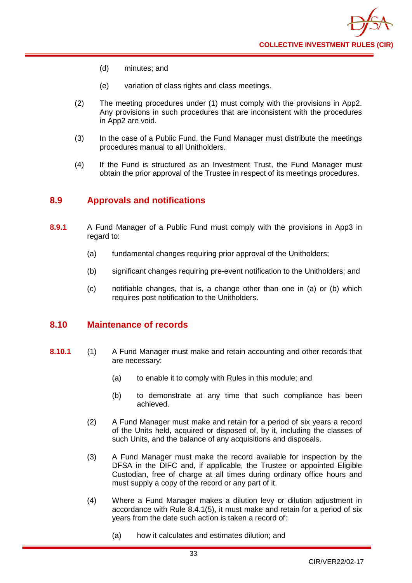

- (d) minutes; and
- (e) variation of class rights and class meetings.
- (2) The meeting procedures under (1) must comply with the provisions in App2. Any provisions in such procedures that are inconsistent with the procedures in App2 are void.
- (3) In the case of a Public Fund, the Fund Manager must distribute the meetings procedures manual to all Unitholders.
- (4) If the Fund is structured as an Investment Trust, the Fund Manager must obtain the prior approval of the Trustee in respect of its meetings procedures.

# **8.9 Approvals and notifications**

- **8.9.1** A Fund Manager of a Public Fund must comply with the provisions in App3 in regard to:
	- (a) fundamental changes requiring prior approval of the Unitholders;
	- (b) significant changes requiring pre-event notification to the Unitholders; and
	- (c) notifiable changes, that is, a change other than one in (a) or (b) which requires post notification to the Unitholders.

# **8.10 Maintenance of records**

- **8.10.1** (1) A Fund Manager must make and retain accounting and other records that are necessary:
	- (a) to enable it to comply with Rules in this module; and
	- (b) to demonstrate at any time that such compliance has been achieved.
	- (2) A Fund Manager must make and retain for a period of six years a record of the Units held, acquired or disposed of, by it, including the classes of such Units, and the balance of any acquisitions and disposals.
	- (3) A Fund Manager must make the record available for inspection by the DFSA in the DIFC and, if applicable, the Trustee or appointed Eligible Custodian, free of charge at all times during ordinary office hours and must supply a copy of the record or any part of it.
	- (4) Where a Fund Manager makes a dilution levy or dilution adjustment in accordance with Rule 8.4.1(5), it must make and retain for a period of six years from the date such action is taken a record of:
		- (a) how it calculates and estimates dilution; and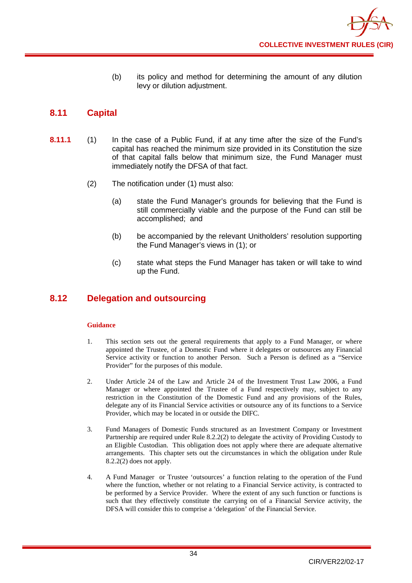(b) its policy and method for determining the amount of any dilution levy or dilution adjustment.

# **8.11 Capital**

- **8.11.1** (1) In the case of a Public Fund, if at any time after the size of the Fund's capital has reached the minimum size provided in its Constitution the size of that capital falls below that minimum size, the Fund Manager must immediately notify the DFSA of that fact.
	- (2) The notification under (1) must also:
		- (a) state the Fund Manager's grounds for believing that the Fund is still commercially viable and the purpose of the Fund can still be accomplished; and
		- (b) be accompanied by the relevant Unitholders' resolution supporting the Fund Manager's views in (1); or
		- (c) state what steps the Fund Manager has taken or will take to wind up the Fund.

# **8.12 Delegation and outsourcing**

- 1. This section sets out the general requirements that apply to a Fund Manager, or where appointed the Trustee, of a Domestic Fund where it delegates or outsources any Financial Service activity or function to another Person. Such a Person is defined as a "Service Provider" for the purposes of this module.
- 2. Under Article 24 of the Law and Article 24 of the Investment Trust Law 2006, a Fund Manager or where appointed the Trustee of a Fund respectively may, subject to any restriction in the Constitution of the Domestic Fund and any provisions of the Rules, delegate any of its Financial Service activities or outsource any of its functions to a Service Provider, which may be located in or outside the DIFC.
- 3. Fund Managers of Domestic Funds structured as an Investment Company or Investment Partnership are required under Rule 8.2.2(2) to delegate the activity of Providing Custody to an Eligible Custodian. This obligation does not apply where there are adequate alternative arrangements. This chapter sets out the circumstances in which the obligation under Rule 8.2.2(2) does not apply.
- 4. A Fund Manager or Trustee 'outsources' a function relating to the operation of the Fund where the function, whether or not relating to a Financial Service activity, is contracted to be performed by a Service Provider. Where the extent of any such function or functions is such that they effectively constitute the carrying on of a Financial Service activity, the DFSA will consider this to comprise a 'delegation' of the Financial Service.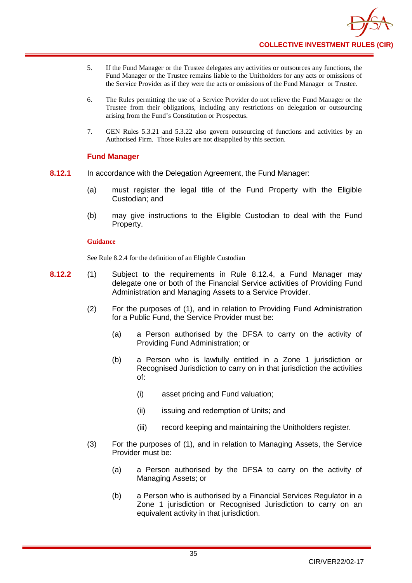- 5. If the Fund Manager or the Trustee delegates any activities or outsources any functions, the Fund Manager or the Trustee remains liable to the Unitholders for any acts or omissions of the Service Provider as if they were the acts or omissions of the Fund Manager or Trustee.
- 6. The Rules permitting the use of a Service Provider do not relieve the Fund Manager or the Trustee from their obligations, including any restrictions on delegation or outsourcing arising from the Fund's Constitution or Prospectus.
- 7. GEN Rules 5.3.21 and 5.3.22 also govern outsourcing of functions and activities by an Authorised Firm. Those Rules are not disapplied by this section.

### **Fund Manager**

- **8.12.1** In accordance with the Delegation Agreement, the Fund Manager:
	- (a) must register the legal title of the Fund Property with the Eligible Custodian; and
	- (b) may give instructions to the Eligible Custodian to deal with the Fund Property.

### **Guidance**

See Rule 8.2.4 for the definition of an Eligible Custodian

- **8.12.2** (1) Subject to the requirements in Rule 8.12.4, a Fund Manager may delegate one or both of the Financial Service activities of Providing Fund Administration and Managing Assets to a Service Provider.
	- (2) For the purposes of (1), and in relation to Providing Fund Administration for a Public Fund, the Service Provider must be:
		- (a) a Person authorised by the DFSA to carry on the activity of Providing Fund Administration; or
		- (b) a Person who is lawfully entitled in a Zone 1 jurisdiction or Recognised Jurisdiction to carry on in that jurisdiction the activities of:
			- (i) asset pricing and Fund valuation;
			- (ii) issuing and redemption of Units; and
			- (iii) record keeping and maintaining the Unitholders register.
	- (3) For the purposes of (1), and in relation to Managing Assets, the Service Provider must be:
		- (a) a Person authorised by the DFSA to carry on the activity of Managing Assets; or
		- (b) a Person who is authorised by a Financial Services Regulator in a Zone 1 jurisdiction or Recognised Jurisdiction to carry on an equivalent activity in that jurisdiction.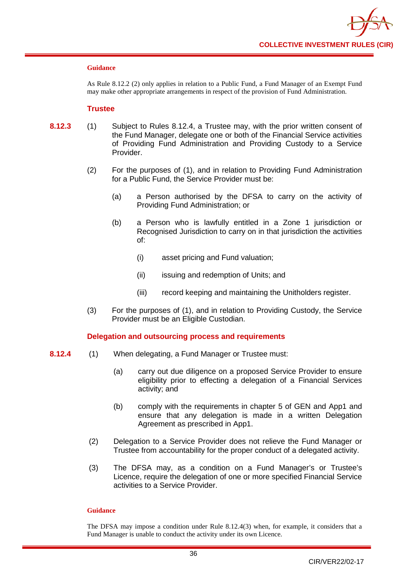

#### **Guidance**

As Rule 8.12.2 (2) only applies in relation to a Public Fund, a Fund Manager of an Exempt Fund may make other appropriate arrangements in respect of the provision of Fund Administration.

#### **Trustee**

- **8.12.3** (1) Subject to Rules 8.12.4, a Trustee may, with the prior written consent of the Fund Manager, delegate one or both of the Financial Service activities of Providing Fund Administration and Providing Custody to a Service Provider.
	- (2) For the purposes of (1), and in relation to Providing Fund Administration for a Public Fund, the Service Provider must be:
		- (a) a Person authorised by the DFSA to carry on the activity of Providing Fund Administration; or
		- (b) a Person who is lawfully entitled in a Zone 1 jurisdiction or Recognised Jurisdiction to carry on in that jurisdiction the activities of:
			- (i) asset pricing and Fund valuation;
			- (ii) issuing and redemption of Units; and
			- (iii) record keeping and maintaining the Unitholders register.
	- (3) For the purposes of (1), and in relation to Providing Custody, the Service Provider must be an Eligible Custodian.

### **Delegation and outsourcing process and requirements**

- **8.12.4** (1) When delegating, a Fund Manager or Trustee must:
	- (a) carry out due diligence on a proposed Service Provider to ensure eligibility prior to effecting a delegation of a Financial Services activity; and
	- (b) comply with the requirements in chapter 5 of GEN and App1 and ensure that any delegation is made in a written Delegation Agreement as prescribed in App1.
	- (2) Delegation to a Service Provider does not relieve the Fund Manager or Trustee from accountability for the proper conduct of a delegated activity.
	- (3) The DFSA may, as a condition on a Fund Manager's or Trustee's Licence, require the delegation of one or more specified Financial Service activities to a Service Provider.

#### **Guidance**

The DFSA may impose a condition under Rule 8.12.4(3) when, for example, it considers that a Fund Manager is unable to conduct the activity under its own Licence.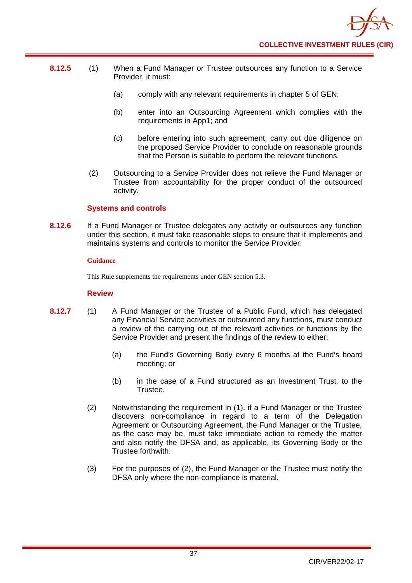

- **8.12.5** (1) When a Fund Manager or Trustee outsources any function to a Service Provider, it must:
	- (a) comply with any relevant requirements in chapter 5 of GEN;
	- (b) enter into an Outsourcing Agreement which complies with the requirements in App1; and
	- (c) before entering into such agreement, carry out due diligence on the proposed Service Provider to conclude on reasonable grounds that the Person is suitable to perform the relevant functions.
	- (2) Outsourcing to a Service Provider does not relieve the Fund Manager or Trustee from accountability for the proper conduct of the outsourced activity.

### **Systems and controls**

**8.12.6** If a Fund Manager or Trustee delegates any activity or outsources any function under this section, it must take reasonable steps to ensure that it implements and maintains systems and controls to monitor the Service Provider.

#### **Guidance**

This Rule supplements the requirements under GEN section 5.3.

### **Review**

- **8.12.7** (1) A Fund Manager or the Trustee of a Public Fund, which has delegated any Financial Service activities or outsourced any functions, must conduct a review of the carrying out of the relevant activities or functions by the Service Provider and present the findings of the review to either:
	- (a) the Fund's Governing Body every 6 months at the Fund's board meeting; or
	- (b) in the case of a Fund structured as an Investment Trust, to the Trustee.
	- (2) Notwithstanding the requirement in (1), if a Fund Manager or the Trustee discovers non-compliance in regard to a term of the Delegation Agreement or Outsourcing Agreement, the Fund Manager or the Trustee, as the case may be, must take immediate action to remedy the matter and also notify the DFSA and, as applicable, its Governing Body or the Trustee forthwith.
	- (3) For the purposes of (2), the Fund Manager or the Trustee must notify the DFSA only where the non-compliance is material.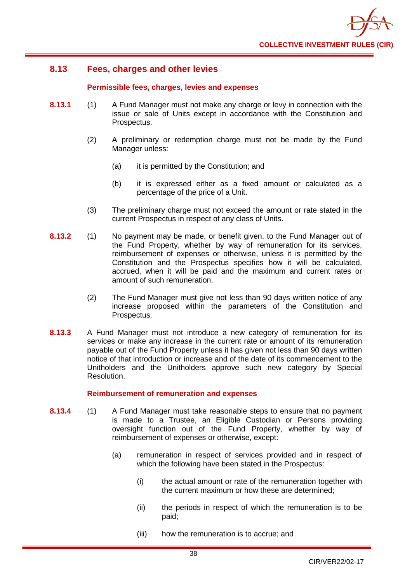

# **8.13 Fees, charges and other levies**

### **Permissible fees, charges, levies and expenses**

- **8.13.1** (1) A Fund Manager must not make any charge or levy in connection with the [issue](http://fsahandbook.info/FSA/glossary-html/handbook/Glossary/I?definition=G625) or [sale](http://fsahandbook.info/FSA/glossary-html/handbook/Glossary/S?definition=G1040) of [Units](http://fsahandbook.info/FSA/glossary-html/handbook/Glossary/U?definition=G1230) except in accordance with the Constitution and Prospectus.
	- (2) A [preliminary or redemption charge](http://fsahandbook.info/FSA/glossary-html/handbook/Glossary/P?definition=G897) must not be made by the Fund Manager unless:
		- (a) it is permitted by the Constitution; and
		- (b) it is expressed either as a fixed amount or calculated as a percentage of the [price](http://fsahandbook.info/FSA/glossary-html/handbook/Glossary/P?definition=G904) of a Unit.
	- (3) The [preliminary charge](http://fsahandbook.info/FSA/glossary-html/handbook/Glossary/P?definition=G897) must not exceed the amount or rate stated in the current Prospectus in respect of any [class](http://fsahandbook.info/FSA/glossary-html/handbook/Glossary/C?definition=G152) of Units.
- **8.13.2** (1) No payment may be made, or benefit given, to the Fund Manager out of the Fund Property, whether by way of [remuneration](http://fsahandbook.info/FSA/glossary-html/handbook/Glossary/R?definition=G1013) for its services, reimbursement of expenses or otherwise, unless it is permitted by the Constitution and the [Prospectus](http://fsahandbook.info/FSA/glossary-html/handbook/Glossary/P?definition=G924) specifies how it will be calculated, accrued, when it will be paid and the maximum and current rates or amount of such remuneration.
	- (2) The Fund Manager must give not less than 90 days written notice of any increase proposed within the parameters of the Constitution and Prospectus.
- **8.13.3** A Fund Manager must not introduce a new category of [remuneration](http://fsahandbook.info/FSA/glossary-html/handbook/Glossary/R?definition=G1013) for its services or make any increase in the current rate or amount of its [remuneration](http://fsahandbook.info/FSA/glossary-html/handbook/Glossary/R?definition=G1013) payable out of the [Fund Property](http://fsahandbook.info/FSA/glossary-html/handbook/Glossary/S?definition=G1049) unless it has given not less than 90 days written notice of that introduction or increase and of the date of its commencement to the Unitholders and the Unitholders approve such new category by Special Resolution.

### **Reimbursement of remuneration and expenses**

- **8.13.4** (1) A Fund Manager must take reasonable steps to ensure that no payment is made to a Trustee, an Eligible Custodian or Persons providing oversight function out of the [Fund Property,](http://fsahandbook.info/FSA/glossary-html/handbook/Glossary/S?definition=G1049) whether by way of reimbursement of expenses or otherwise, except:
	- (a) [remuneration](http://fsahandbook.info/FSA/glossary-html/handbook/Glossary/R?definition=G1013) in respect of services provided and in respect of which the following have been stated in the [Prospectus:](http://fsahandbook.info/FSA/glossary-html/handbook/Glossary/P?definition=G924)
		- (i) the actual amount or rate of the [remuneration](http://fsahandbook.info/FSA/glossary-html/handbook/Glossary/R?definition=G1013) together with the current maximum or how these are determined;
		- (ii) the periods in respect of which the [remuneration](http://fsahandbook.info/FSA/glossary-html/handbook/Glossary/R?definition=G1013) is to be paid;
		- (iii) how the [remuneration](http://fsahandbook.info/FSA/glossary-html/handbook/Glossary/R?definition=G1013) is to accrue; and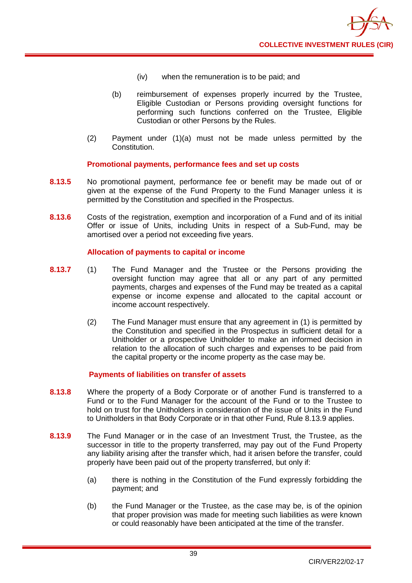

- (iv) when the [remuneration](http://fsahandbook.info/FSA/glossary-html/handbook/Glossary/R?definition=G1013) is to be paid; and
- (b) reimbursement of expenses properly incurred by the Trustee, Eligible Custodian or Persons providing oversight functions for performing such functions conferred on the Trustee, [Eligible](http://fsahandbook.info/FSA/glossary-html/handbook/Glossary/T?definition=G1195)  [Custodian](http://fsahandbook.info/FSA/glossary-html/handbook/Glossary/T?definition=G1195) or other Persons by the [Rules.](http://fsahandbook.info/FSA/glossary-html/handbook/Glossary/R?definition=G1036)
- (2) Payment under (1)(a) must not be made unless permitted by the Constitution.

### **Promotional payments, performance fees and set up costs**

- **8.13.5** No promotional payment, performance fee or benefit may be made out of or given at the expense of the [Fund Property](http://fsahandbook.info/FSA/glossary-html/handbook/Glossary/S?definition=G1049) to the Fund Manager unless it is permitted by the Constitution and specified in the Prospectus.
- **8.13.6** Costs of the registration, exemption and incorporation of a Fund and of its initial Offer or [issue](http://fsahandbook.info/FSA/glossary-html/handbook/Glossary/I?definition=G625) of [Units,](http://fsahandbook.info/FSA/glossary-html/handbook/Glossary/S?definition=G1078) including Units in respect of a [Sub-Fund,](http://fsahandbook.info/FSA/glossary-html/handbook/Glossary/S?definition=G1140) may be amortised over a period not exceeding five years.

### **Allocation of payments to capital or income**

- **8.13.7** (1) The Fund Manager and the Trustee or the Persons providing the oversight function may agree that all or any part of any permitted payments, charges and expenses of the Fund may be treated as a capital expense or income expense and allocated to the [capital account](http://fsahandbook.info/FSA/glossary-html/handbook/Glossary/I?definition=G519) or income [account](http://fsahandbook.info/FSA/glossary-html/handbook/Glossary/C?definition=G128) respectively.
	- (2) The Fund Manager must ensure that any agreement in (1) is permitted by the Constitution and specified in the Prospectus in sufficient detail for a Unitholder or a prospective Unitholder to make an informed decision in relation to the allocation of such charges and expenses to be paid from the capital property or the income property as the case may be.

### **Payments of liabilities on transfer of assets**

- **8.13.8** Where the property of a [Body Corporate](http://fsahandbook.info/FSA/glossary-html/handbook/Glossary/B?definition=G111) or of another [Fund i](http://fsahandbook.info/FSA/glossary-html/handbook/Glossary/C?definition=G178)s transferred to a Fund or to the Fund Manager for the account of the Fund or to the Trustee to hold on trust for the Unitholders in consideration of the [issue](http://fsahandbook.info/FSA/glossary-html/handbook/Glossary/I?definition=G625) of [Units](http://fsahandbook.info/FSA/glossary-html/handbook/Glossary/U?definition=G1230) in the [Fund](http://fsahandbook.info/FSA/glossary-html/handbook/Glossary/A?definition=G86) to Unitholders in that [Body](http://fsahandbook.info/FSA/glossary-html/handbook/Glossary/B?definition=G111) Corporate or in that other Fund, Rule 8.13.9 applies.
- **8.13.9** The Fund Manager or in the case of an Investment Trust, the Trustee, as the successor in title to the property transferred, may pay out of the [Fund Property](http://fsahandbook.info/FSA/glossary-html/handbook/Glossary/S?definition=G1049) any liability arising after the transfer which, had it arisen before the transfer, could properly have been paid out of the property transferred, but only if:
	- (a) there is nothing in the [Constitution of the Fund e](http://fsahandbook.info/FSA/glossary-html/handbook/Glossary/I?definition=G556)xpressly forbidding the payment; and
	- (b) the Fund Manager or the Trustee, as the case may be, is of the opinion that proper provision was made for meeting such liabilities as were known or could reasonably have been anticipated at the time of the transfer.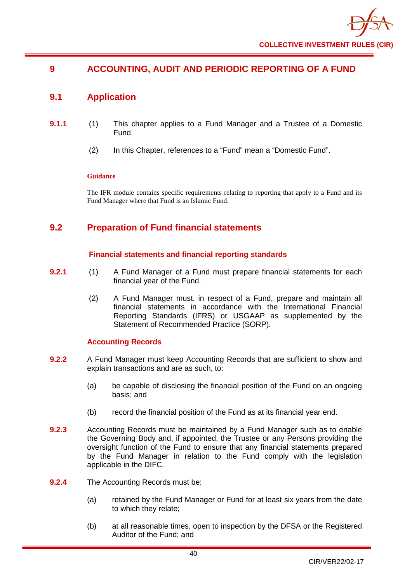# **9 ACCOUNTING, AUDIT AND PERIODIC REPORTING OF A FUND**

# **9.1 Application**

- **9.1.1** (1) This chapter applies to a Fund Manager and a Trustee of a Domestic Fund.
	- (2) In this Chapter, references to a "Fund" mean a "Domestic Fund".

### **Guidance**

The IFR module contains specific requirements relating to reporting that apply to a Fund and its Fund Manager where that Fund is an Islamic Fund.

# **9.2 Preparation of Fund financial statements**

### **Financial statements and financial reporting standards**

- **9.2.1** (1) A Fund Manager of a Fund must prepare financial statements for each financial year of the Fund.
	- (2) A Fund Manager must, in respect of a Fund, prepare and maintain all financial statements in accordance with the International Financial Reporting Standards (IFRS) or USGAAP as supplemented by the Statement of Recommended Practice (SORP).

### **Accounting Records**

- **9.2.2** A Fund Manager must keep Accounting Records that are sufficient to show and explain transactions and are as such, to:
	- (a) be capable of disclosing the financial position of the Fund on an ongoing basis; and
	- (b) record the financial position of the Fund as at its financial year end.
- **9.2.3** Accounting Records must be maintained by a Fund Manager such as to enable the Governing Body and, if appointed, the Trustee or any Persons providing the oversight function of the Fund to ensure that any financial statements prepared by the Fund Manager in relation to the Fund comply with the legislation applicable in the DIFC.
- **9.2.4** The Accounting Records must be:
	- (a) retained by the Fund Manager or Fund for at least six years from the date to which they relate;
	- (b) at all reasonable times, open to inspection by the DFSA or the Registered Auditor of the Fund; and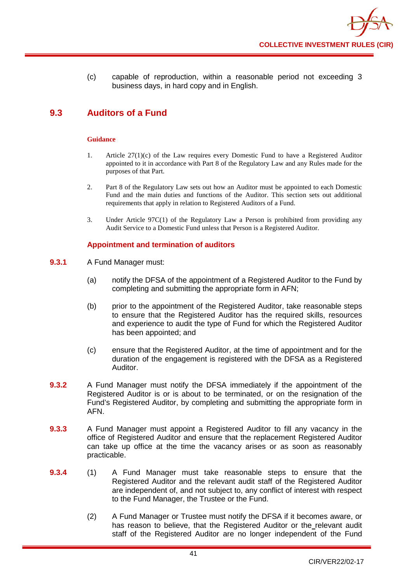(c) capable of reproduction, within a reasonable period not exceeding 3 business days, in hard copy and in English.

# **9.3 Auditors of a Fund**

#### **Guidance**

- 1. Article 27(1)(c) of the Law requires every Domestic Fund to have a Registered Auditor appointed to it in accordance with Part 8 of the Regulatory Law and any Rules made for the purposes of that Part.
- 2. Part 8 of the Regulatory Law sets out how an Auditor must be appointed to each Domestic Fund and the main duties and functions of the Auditor. This section sets out additional requirements that apply in relation to Registered Auditors of a Fund.
- 3. Under Article 97C(1) of the Regulatory Law a Person is prohibited from providing any Audit Service to a Domestic Fund unless that Person is a Registered Auditor.

### **Appointment and termination of auditors**

- **9.3.1** A Fund Manager must:
	- (a) notify the DFSA of the appointment of a Registered Auditor to the Fund by completing and submitting the appropriate form in AFN;
	- (b) prior to the appointment of the Registered Auditor, take reasonable steps to ensure that the Registered Auditor has the required skills, resources and experience to audit the type of Fund for which the Registered Auditor has been appointed; and
	- (c) ensure that the Registered Auditor, at the time of appointment and for the duration of the engagement is registered with the DFSA as a Registered Auditor.
- **9.3.2** A Fund Manager must notify the DFSA immediately if the appointment of the Registered Auditor is or is about to be terminated, or on the resignation of the Fund's Registered Auditor, by completing and submitting the appropriate form in AFN.
- **9.3.3** A Fund Manager must appoint a Registered Auditor to fill any vacancy in the office of Registered Auditor and ensure that the replacement Registered Auditor can take up office at the time the vacancy arises or as soon as reasonably practicable.
- **9.3.4** (1) A Fund Manager must take reasonable steps to ensure that the Registered Auditor and the relevant audit staff of the Registered Auditor are independent of, and not subject to, any conflict of interest with respect to the Fund Manager, the Trustee or the Fund.
	- (2) A Fund Manager or Trustee must notify the DFSA if it becomes aware, or has reason to believe, that the Registered Auditor or the relevant audit staff of the Registered Auditor are no longer independent of the Fund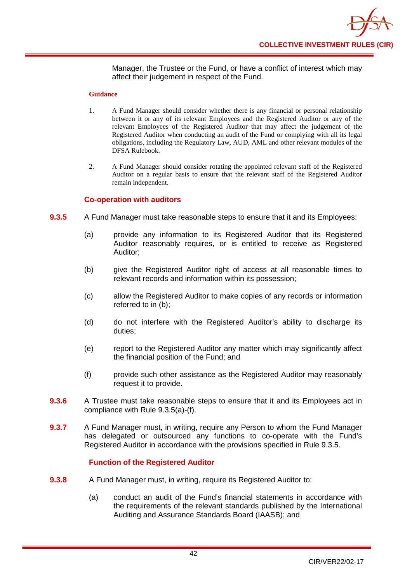Manager, the Trustee or the Fund, or have a conflict of interest which may affect their judgement in respect of the Fund.

#### **Guidance**

- 1. A Fund Manager should consider whether there is any financial or personal relationship between it or any of its relevant Employees and the Registered Auditor or any of the relevant Employees of the Registered Auditor that may affect the judgement of the Registered Auditor when conducting an audit of the Fund or complying with all its legal obligations, including the Regulatory Law, AUD, AML and other relevant modules of the DFSA Rulebook.
- 2. A Fund Manager should consider rotating the appointed relevant staff of the Registered Auditor on a regular basis to ensure that the relevant staff of the Registered Auditor remain independent.

### **Co-operation with auditors**

- **9.3.5** A Fund Manager must take reasonable steps to ensure that it and its Employees:
	- (a) provide any information to its Registered Auditor that its Registered Auditor reasonably requires, or is entitled to receive as Registered Auditor;
	- (b) give the Registered Auditor right of access at all reasonable times to relevant records and information within its possession;
	- (c) allow the Registered Auditor to make copies of any records or information referred to in (b);
	- (d) do not interfere with the Registered Auditor's ability to discharge its duties;
	- (e) report to the Registered Auditor any matter which may significantly affect the financial position of the Fund; and
	- (f) provide such other assistance as the Registered Auditor may reasonably request it to provide.
- **9.3.6** A Trustee must take reasonable steps to ensure that it and its Employees act in compliance with Rule 9.3.5(a)-(f).
- **9.3.7** A Fund Manager must, in writing, require any Person to whom the Fund Manager has delegated or outsourced any functions to co-operate with the Fund's Registered Auditor in accordance with the provisions specified in Rule 9.3.5.

### **Function of the Registered Auditor**

- **9.3.8** A Fund Manager must, in writing, require its Registered Auditor to:
	- (a) conduct an audit of the Fund's financial statements in accordance with the requirements of the relevant standards published by the International Auditing and Assurance Standards Board (IAASB); and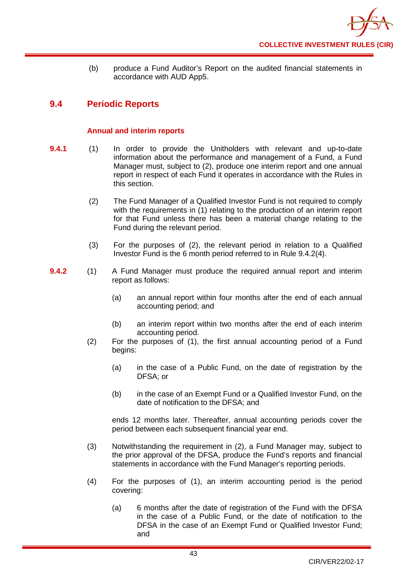

(b) produce a Fund Auditor's Report on the audited financial statements in accordance with AUD App5.

# **9.4 Periodic Reports**

### **Annual and interim reports**

- **9.4.1** (1) In order to provide the [Unitholders](http://fsahandbook.info/FSA/glossary-html/handbook/Glossary/U?definition=G1233) with relevant and up-to-date information about the performance and management of a [Fund,](http://fsahandbook.info/FSA/glossary-html/handbook/Glossary/A?definition=G86) a Fund Manager must, subject to (2), produce one interim report and one annual report in respect of each Fund it operates in accordance with the Rules in this section.
	- (2) The Fund Manager of a Qualified Investor Fund is not required to comply with the requirements in (1) relating to the production of an interim report for that Fund unless there has been a material change relating to the Fund during the relevant period.
	- (3) For the purposes of (2), the relevant period in relation to a Qualified Investor Fund is the 6 month period referred to in Rule 9.4.2(4).
- **9.4.2** (1) A Fund Manager must produce the required annual report and interim report as follows:
	- (a) an annual report within four months after the end of each annual accounting period; and
	- (b) an interim report within two months after the end of each interim accounting period.
	- (2) For the purposes of (1), the first [annual accounting period](http://fsahandbook.info/FSA/glossary-html/handbook/Glossary/A?definition=G39) of a [Fund](http://fsahandbook.info/FSA/glossary-html/handbook/Glossary/S?definition=G1043) begins:
		- (a) in the case of a Public Fund, on the date of registration by the DFSA; or
		- (b) in the case of an Exempt Fund or a Qualified Investor Fund, on the date of notification to the DFSA; and

ends [12 months later.](http://fsahandbook.info/FSA/glossary-html/handbook/Glossary/I?definition=G548) Thereafter, annual accounting periods cover the period between each subsequent financial year end.

- (3) Notwithstanding the requirement in (2), a Fund Manager may, subject to the prior approval of the DFSA, produce the Fund's reports and financial statements in accordance with the Fund Manager's reporting periods.
- (4) For the purposes of (1), an interim accounting period is the period covering:
	- (a) 6 months after the date of registration of the Fund with the DFSA in the case of a Public Fund, or the date of notification to the DFSA in the case of an Exempt Fund or Qualified Investor Fund; and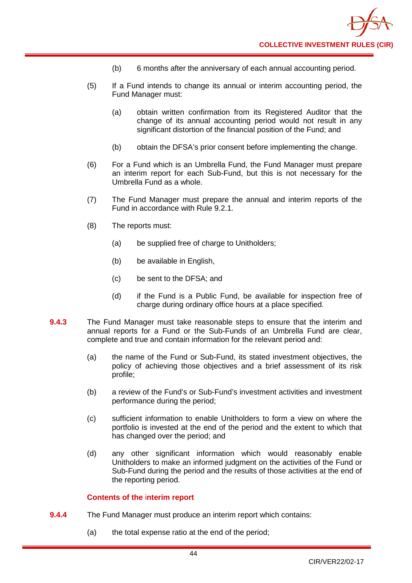

- (b) 6 months after the anniversary of each annual accounting period.
- (5) If a Fund intends to change its annual or interim accounting period, the Fund Manager must:
	- (a) obtain written confirmation from its Registered Auditor that the change of its annual accounting period would not result in any significant distortion of the financial position of the Fund; and
	- (b) obtain the DFSA's prior consent before implementing the change.
- (6) For a [Fund](http://fsahandbook.info/FSA/glossary-html/handbook/Glossary/S?definition=G1043) which is an Umbrella Fund, the Fund Manager must prepare an interim report for each Sub-Fund, but this is not necessary for the Umbrella Fund as a whole.
- (7) The Fund Manager must prepare the annual and interim reports of the Fund in accordance with Rule 9.2.1.
- (8) The reports must:
	- (a) be supplied free of charge to Unitholders;
	- (b) be available in English,
	- (c) be sent to the DFSA; and
	- (d) if the Fund is a Public Fund, be available for inspection free of charge during ordinary office hours at a place specified.
- **9.4.3** The Fund Manager must take reasonable steps to ensure that the interim and annual reports for a [Fund](http://fsahandbook.info/FSA/glossary-html/handbook/Glossary/A?definition=G86) or the Sub-Funds of an [Umbrella](http://fsahandbook.info/FSA/glossary-html/handbook/Glossary/U?definition=G1222) Fund are clear, complete and true and contain information for the relevant period and:
	- (a) the name of the Fund or Sub-Fund, its stated investment objectives, the policy of achieving those objectives and a brief assessment of its risk profile;
	- (b) a review of the [Fund's](http://fsahandbook.info/FSA/glossary-html/handbook/Glossary/S?definition=G1043) or Sub-Fund's investment activities and investment performance during the period;
	- (c) sufficient information to enable [Unitholders](http://fsahandbook.info/FSA/glossary-html/handbook/Glossary/U?definition=G1233) to form a view on where the portfolio is invested at the end of the period and the extent to which that has changed over the period; and
	- (d) any other significant information which would reasonably enable [Unitholders](http://fsahandbook.info/FSA/glossary-html/handbook/Glossary/U?definition=G1233) to make an informed judgment on the activities of the [Fund](http://fsahandbook.info/FSA/glossary-html/handbook/Glossary/S?definition=G1043) or [Sub-Fund d](http://fsahandbook.info/FSA/glossary-html/handbook/Glossary/S?definition=G1140)uring the period and the results of those activities at the end of the reporting period.

### **Contents of the** i**nterim report**

- **9.4.4** The Fund Manager must produce an interim report which contains:
	- (a) the total expense ratio at the end of the period;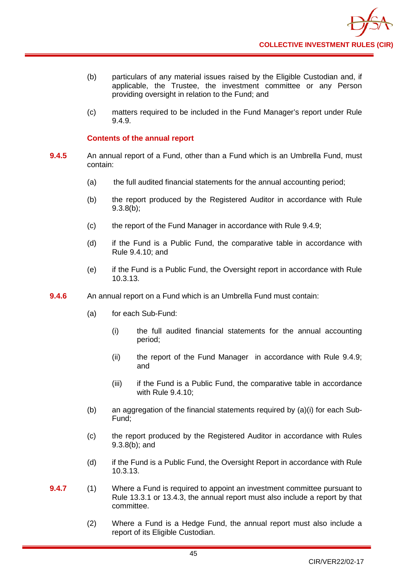- (b) particulars of any material issues raised by the Eligible Custodian and, if applicable, the Trustee, the investment committee or any Person providing oversight in relation to the Fund; and
- (c) matters required to be included in the Fund Manager's report under Rule 9.4.9.

### **Contents of the annual report**

- **9.4.5** An annual report of a Fund, other than a Fund which is an [Umbrella](http://fsahandbook.info/FSA/glossary-html/handbook/Glossary/U?definition=G1222) Fund, must contain:
	- (a) the full audited financial statements for the annual accounting period;
	- (b) the report produced by the Registered Auditor in accordance with Rule 9.3.8(b);
	- (c) the report of the Fund Manager in accordance with Rule 9.4.9;
	- (d) if the Fund is a Public Fund, the comparative table in accordance with Rule 9.4.10; and
	- (e) if the Fund is a Public Fund, the Oversight report in accordance with Rule 10.3.13.
- **9.4.6** An annual report on a Fund which is an Umbrella Fund must contain:
	- (a) for each Sub-Fund:
		- (i) the full audited financial statements for the annual accounting period;
		- (ii) the report of the Fund Manager in accordance with Rule 9.4.9; and
		- (iii) if the Fund is a Public Fund, the comparative table in accordance with Rule 9.4.10;
	- (b) an aggregation of the financial statements required by (a)(i) for each Sub-Fund;
	- (c) the report produced by the Registered Auditor in accordance with Rules 9.3.8(b); and
	- (d) if the Fund is a Public Fund, the Oversight Report in accordance with Rule 10.3.13.
- **9.4.7** (1) Where a Fund is required to appoint an investment committee pursuant to Rule 13.3.1 or 13.4.3, the annual report must also include a report by that committee.
	- (2) Where a Fund is a Hedge Fund, the annual report must also include a report of its Eligible Custodian.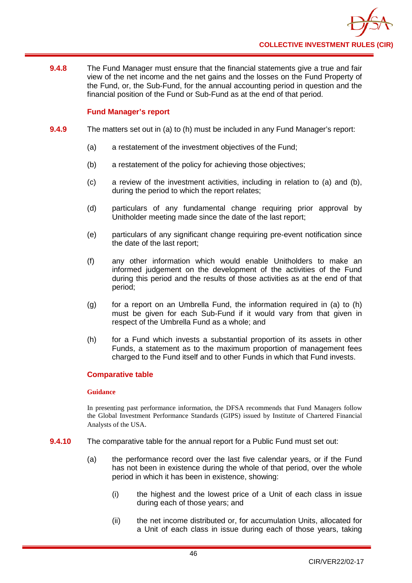

**9.4.8** The Fund Manager must ensure that the financial statements give a true and fair view of the net income and the net gains and the losses on the Fund Property of the Fund, or, the Sub-Fund, for the annual accounting period in question and the financial position of the Fund or Sub-Fund as at the end of that period.

### **Fund Manager's report**

- **9.4.9** The matters set out in (a) to (h) must be included in any Fund Manager's report:
	- (a) a restatement of the investment objectives of the Fund;
	- (b) a restatement of the policy for achieving those objectives;
	- (c) a review of the investment activities, including in relation to (a) and (b), during the period to which the report relates;
	- (d) particulars of any fundamental change requiring prior approval by Unitholder meeting made since the date of the last report;
	- (e) particulars of any significant change requiring pre-event notification since the date of the last report;
	- (f) any other information which would enable Unitholders to make an informed judgement on the development of the activities of the Fund during this period and the results of those activities as at the end of that period;
	- (g) for a report on an Umbrella Fund, the information required in (a) to  $(h)$ must be given for each Sub-Fund if it would vary from that given in respect of the Umbrella Fund as a whole; and
	- (h) for a Fund which invests a substantial proportion of its assets in other Funds, a statement as to the maximum proportion of management fees charged to the Fund itself and to other Funds in which that Fund invests.

### **Comparative table**

#### **Guidance**

In presenting past performance information, the DFSA recommends that Fund Managers follow the Global Investment Performance Standards (GIPS) issued by Institute of Chartered Financial Analysts of the USA.

- **9.4.10** The comparative table for the annual report for a Public Fund must set out:
	- (a) the performance record over the last five calendar years, or if the Fund has not been in existence during the whole of that period, over the whole period in which it has been in existence, showing:
		- (i) the highest and the lowest price of a Unit of each class in issue during each of those years; and
		- (ii) the net income distributed or, for accumulation Units, allocated for a Unit of each class in issue during each of those years, taking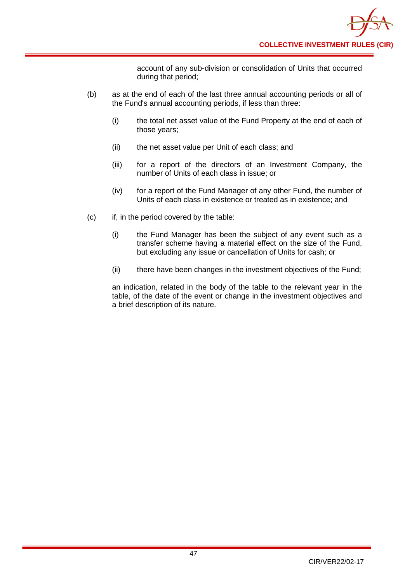account of any sub-division or consolidation of Units that occurred during that period;

- (b) as at the end of each of the last three annual accounting periods or all of the Fund's annual accounting periods, if less than three:
	- (i) the total net asset value of the Fund Property at the end of each of those years;
	- (ii) the net asset value per Unit of each class; and
	- (iii) for a report of the directors of an Investment Company, the number of Units of each class in issue; or
	- (iv) for a report of the Fund Manager of any other Fund, the number of Units of each class in existence or treated as in existence; and
- (c) if, in the period covered by the table:
	- (i) the Fund Manager has been the subject of any event such as a transfer scheme having a material effect on the size of the Fund, but excluding any issue or cancellation of Units for cash; or
	- (ii) there have been changes in the investment objectives of the Fund;

an indication, related in the body of the table to the relevant year in the table, of the date of the event or change in the investment objectives and a brief description of its nature.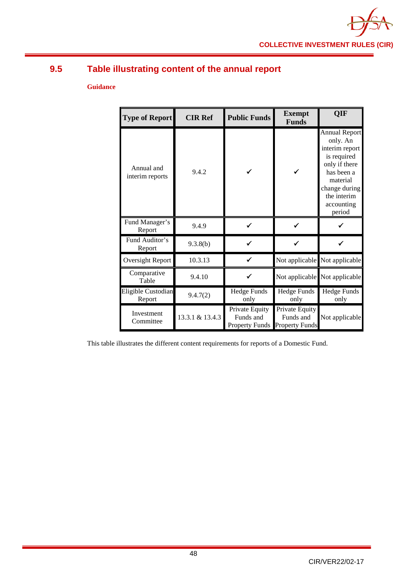

# **9.5 Table illustrating content of the annual report**

## **Guidance**

| <b>Type of Report</b>         | <b>CIR Ref</b>  | <b>Public Funds</b>                                  | <b>Exempt</b><br><b>Funds</b>                        | OIF                                                                                                                                                                  |
|-------------------------------|-----------------|------------------------------------------------------|------------------------------------------------------|----------------------------------------------------------------------------------------------------------------------------------------------------------------------|
| Annual and<br>interim reports | 9.4.2           |                                                      |                                                      | <b>Annual Report</b><br>only. An<br>interim report<br>is required<br>only if there<br>has been a<br>material<br>change during<br>the interim<br>accounting<br>period |
| Fund Manager's<br>Report      | 9.4.9           |                                                      |                                                      |                                                                                                                                                                      |
| Fund Auditor's<br>Report      | 9.3.8(b)        |                                                      |                                                      |                                                                                                                                                                      |
| Oversight Report              | 10.3.13         |                                                      |                                                      | Not applicable Not applicable                                                                                                                                        |
| Comparative<br>Table          | 9.4.10          |                                                      |                                                      | Not applicable Not applicable                                                                                                                                        |
| Eligible Custodian<br>Report  | 9.4.7(2)        | <b>Hedge Funds</b><br>only                           | Hedge Funds<br>only                                  | <b>Hedge Funds</b><br>only                                                                                                                                           |
| Investment<br>Committee       | 13.3.1 & 13.4.3 | Private Equity<br>Funds and<br><b>Property Funds</b> | Private Equity<br>Funds and<br><b>Property Funds</b> | Not applicable                                                                                                                                                       |

This table illustrates the different content requirements for reports of a Domestic Fund.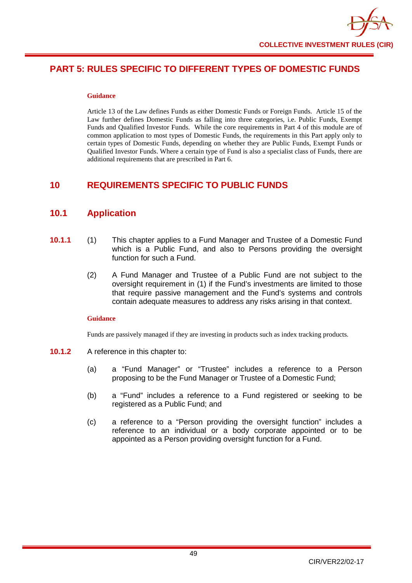# **PART 5: RULES SPECIFIC TO DIFFERENT TYPES OF DOMESTIC FUNDS**

#### **Guidance**

Article 13 of the Law defines Funds as either Domestic Funds or Foreign Funds. Article 15 of the Law further defines Domestic Funds as falling into three categories, i.e. Public Funds, Exempt Funds and Qualified Investor Funds. While the core requirements in Part 4 of this module are of common application to most types of Domestic Funds, the requirements in this Part apply only to certain types of Domestic Funds, depending on whether they are Public Funds, Exempt Funds or Qualified Investor Funds. Where a certain type of Fund is also a specialist class of Funds, there are additional requirements that are prescribed in Part 6.

# **10 REQUIREMENTS SPECIFIC TO PUBLIC FUNDS**

# **10.1 Application**

- **10.1.1** (1) This chapter applies to a Fund Manager and Trustee of a Domestic Fund which is a Public Fund, and also to Persons providing the oversight function for such a Fund.
	- (2) A Fund Manager and Trustee of a Public Fund are not subject to the oversight requirement in (1) if the Fund's investments are limited to those that require passive management and the Fund's systems and controls contain adequate measures to address any risks arising in that context.

### **Guidance**

Funds are passively managed if they are investing in products such as index tracking products.

- **10.1.2** A reference in this chapter to:
	- (a) a "Fund Manager" or "Trustee" includes a reference to a Person proposing to be the Fund Manager or Trustee of a Domestic Fund;
	- (b) a "Fund" includes a reference to a Fund registered or seeking to be registered as a Public Fund; and
	- (c) a reference to a "Person providing the oversight function" includes a reference to an individual or a body corporate appointed or to be appointed as a Person providing oversight function for a Fund.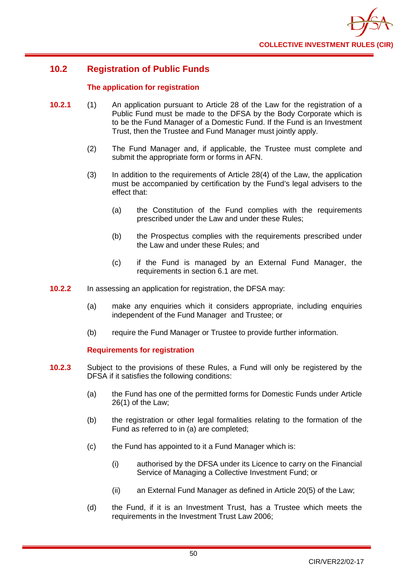

# **10.2 Registration of Public Funds**

### **The application for registration**

- **10.2.1** (1) An application pursuant to Article 28 of the Law for the registration of a Public Fund must be made to the DFSA by the Body Corporate which is to be the Fund Manager of a Domestic Fund. If the Fund is an Investment Trust, then the Trustee and Fund Manager must jointly apply.
	- (2) The Fund Manager and, if applicable, the Trustee must complete and submit the appropriate form or forms in AFN.
	- (3) In addition to the requirements of Article 28(4) of the Law, the application must be accompanied by certification by the Fund's legal advisers to the effect that:
		- (a) the Constitution of the Fund complies with the requirements prescribed under the Law and under these Rules;
		- (b) the Prospectus complies with the requirements prescribed under the Law and under these Rules; and
		- (c) if the Fund is managed by an External Fund Manager, the requirements in section 6.1 are met.
- **10.2.2** In assessing an application for registration, the DFSA may:
	- (a) make any enquiries which it considers appropriate, including enquiries independent of the Fund Manager and Trustee; or
	- (b) require the Fund Manager or Trustee to provide further information.

### **Requirements for registration**

- **10.2.3** Subject to the provisions of these Rules, a Fund will only be registered by the DFSA if it satisfies the following conditions:
	- (a) the Fund has one of the permitted forms for Domestic Funds under Article 26(1) of the Law;
	- (b) the registration or other legal formalities relating to the formation of the Fund as referred to in (a) are completed;
	- (c) the Fund has appointed to it a Fund Manager which is:
		- (i) authorised by the DFSA under its Licence to carry on the Financial Service of Managing a Collective Investment Fund; or
		- (ii) an External Fund Manager as defined in Article 20(5) of the Law;
	- (d) the Fund, if it is an Investment Trust, has a Trustee which meets the requirements in the Investment Trust Law 2006;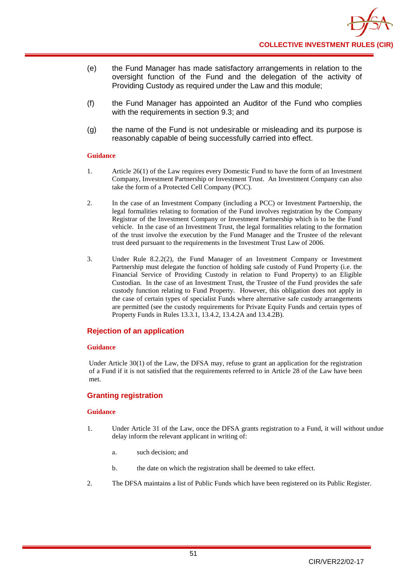- (e) the Fund Manager has made satisfactory arrangements in relation to the oversight function of the Fund and the delegation of the activity of Providing Custody as required under the Law and this module;
- (f) the Fund Manager has appointed an Auditor of the Fund who complies with the requirements in section 9.3; and
- (g) the name of the Fund is not undesirable or misleading and its purpose is reasonably capable of being successfully carried into effect.

#### **Guidance**

- 1. Article 26(1) of the Law requires every Domestic Fund to have the form of an Investment Company, Investment Partnership or Investment Trust. An Investment Company can also take the form of a Protected Cell Company (PCC).
- 2. In the case of an Investment Company (including a PCC) or Investment Partnership, the legal formalities relating to formation of the Fund involves registration by the Company Registrar of the Investment Company or Investment Partnership which is to be the Fund vehicle. In the case of an Investment Trust, the legal formalities relating to the formation of the trust involve the execution by the Fund Manager and the Trustee of the relevant trust deed pursuant to the requirements in the Investment Trust Law of 2006.
- 3. Under Rule 8.2.2(2), the Fund Manager of an Investment Company or Investment Partnership must delegate the function of holding safe custody of Fund Property (i.e. the Financial Service of Providing Custody in relation to Fund Property) to an Eligible Custodian. In the case of an Investment Trust, the Trustee of the Fund provides the safe custody function relating to Fund Property. However, this obligation does not apply in the case of certain types of specialist Funds where alternative safe custody arrangements are permitted (see the custody requirements for Private Equity Funds and certain types of Property Funds in Rules 13.3.1, 13.4.2, 13.4.2A and 13.4.2B).

### **Rejection of an application**

#### **Guidance**

Under Article 30(1) of the Law, the DFSA may, refuse to grant an application for the registration of a Fund if it is not satisfied that the requirements referred to in Article 28 of the Law have been met.

### **Granting registration**

- 1. Under Article 31 of the Law, once the DFSA grants registration to a Fund, it will without undue delay inform the relevant applicant in writing of:
	- a. such decision; and
	- b. the date on which the registration shall be deemed to take effect.
- 2. The DFSA maintains a list of Public Funds which have been registered on its Public Register.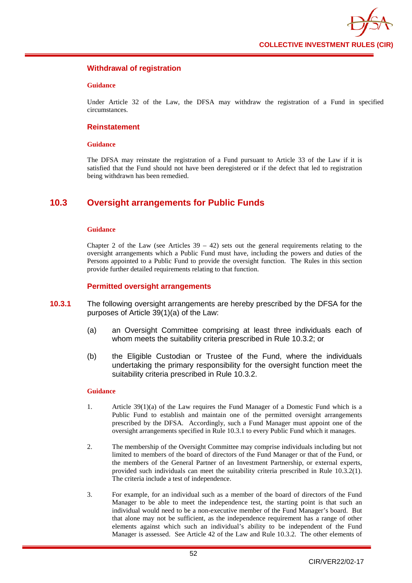

### **Withdrawal of registration**

#### **Guidance**

Under Article 32 of the Law, the DFSA may withdraw the registration of a Fund in specified circumstances.

### **Reinstatement**

#### **Guidance**

The DFSA may reinstate the registration of a Fund pursuant to Article 33 of the Law if it is satisfied that the Fund should not have been deregistered or if the defect that led to registration being withdrawn has been remedied.

# **10.3 Oversight arrangements for Public Funds**

#### **Guidance**

Chapter 2 of the Law (see Articles  $39 - 42$ ) sets out the general requirements relating to the oversight arrangements which a Public Fund must have, including the powers and duties of the Persons appointed to a Public Fund to provide the oversight function. The Rules in this section provide further detailed requirements relating to that function.

#### **Permitted oversight arrangements**

- **10.3.1** The following oversight arrangements are hereby prescribed by the DFSA for the purposes of Article 39(1)(a) of the Law:
	- (a) an Oversight Committee comprising at least three individuals each of whom meets the suitability criteria prescribed in Rule 10.3.2; or
	- (b) the Eligible Custodian or Trustee of the Fund, where the individuals undertaking the primary responsibility for the oversight function meet the suitability criteria prescribed in Rule 10.3.2.

- 1. Article 39(1)(a) of the Law requires the Fund Manager of a Domestic Fund which is a Public Fund to establish and maintain one of the permitted oversight arrangements prescribed by the DFSA. Accordingly, such a Fund Manager must appoint one of the oversight arrangements specified in Rule 10.3.1 to every Public Fund which it manages.
- 2. The membership of the Oversight Committee may comprise individuals including but not limited to members of the board of directors of the Fund Manager or that of the Fund, or the members of the General Partner of an Investment Partnership, or external experts, provided such individuals can meet the suitability criteria prescribed in Rule 10.3.2(1). The criteria include a test of independence.
- 3. For example, for an individual such as a member of the board of directors of the Fund Manager to be able to meet the independence test, the starting point is that such an individual would need to be a non-executive member of the Fund Manager's board. But that alone may not be sufficient, as the independence requirement has a range of other elements against which such an individual's ability to be independent of the Fund Manager is assessed. See Article 42 of the Law and Rule 10.3.2. The other elements of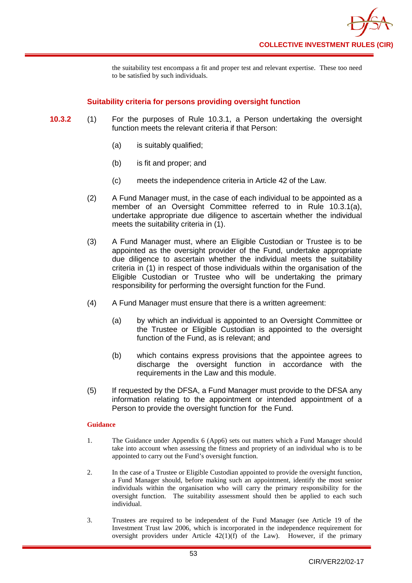the suitability test encompass a fit and proper test and relevant expertise. These too need to be satisfied by such individuals.

## **Suitability criteria for persons providing oversight function**

- **10.3.2** (1) For the purposes of Rule 10.3.1, a Person undertaking the oversight function meets the relevant criteria if that Person:
	- (a) is suitably qualified;
	- (b) is fit and proper; and
	- (c) meets the independence criteria in Article 42 of the Law.
	- (2) A Fund Manager must, in the case of each individual to be appointed as a member of an Oversight Committee referred to in Rule 10.3.1(a), undertake appropriate due diligence to ascertain whether the individual meets the suitability criteria in  $(1)$ .
	- (3) A Fund Manager must, where an Eligible Custodian or Trustee is to be appointed as the oversight provider of the Fund, undertake appropriate due diligence to ascertain whether the individual meets the suitability criteria in (1) in respect of those individuals within the organisation of the Eligible Custodian or Trustee who will be undertaking the primary responsibility for performing the oversight function for the Fund.
	- (4) A Fund Manager must ensure that there is a written agreement:
		- (a) by which an individual is appointed to an Oversight Committee or the Trustee or Eligible Custodian is appointed to the oversight function of the Fund, as is relevant; and
		- (b) which contains express provisions that the appointee agrees to discharge the oversight function in accordance with the requirements in the Law and this module.
	- (5) If requested by the DFSA, a Fund Manager must provide to the DFSA any information relating to the appointment or intended appointment of a Person to provide the oversight function for the Fund.

- 1. The Guidance under Appendix 6 (App6) sets out matters which a Fund Manager should take into account when assessing the fitness and propriety of an individual who is to be appointed to carry out the Fund's oversight function.
- 2. In the case of a Trustee or Eligible Custodian appointed to provide the oversight function, a Fund Manager should, before making such an appointment, identify the most senior individuals within the organisation who will carry the primary responsibility for the oversight function. The suitability assessment should then be applied to each such individual.
- 3. Trustees are required to be independent of the Fund Manager (see Article 19 of the Investment Trust law 2006, which is incorporated in the independence requirement for oversight providers under Article  $42(1)(f)$  of the Law). However, if the primary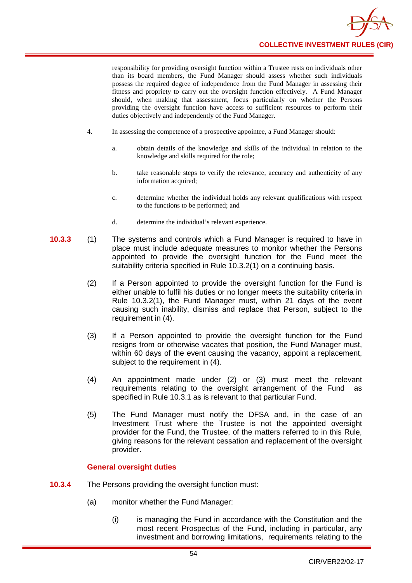

responsibility for providing oversight function within a Trustee rests on individuals other than its board members, the Fund Manager should assess whether such individuals possess the required degree of independence from the Fund Manager in assessing their fitness and propriety to carry out the oversight function effectively. A Fund Manager should, when making that assessment, focus particularly on whether the Persons providing the oversight function have access to sufficient resources to perform their duties objectively and independently of the Fund Manager.

- 4. In assessing the competence of a prospective appointee, a Fund Manager should:
	- a. obtain details of the knowledge and skills of the individual in relation to the knowledge and skills required for the role;
	- b. take reasonable steps to verify the relevance, accuracy and authenticity of any information acquired;
	- c. determine whether the individual holds any relevant qualifications with respect to the functions to be performed; and
	- d. determine the individual's relevant experience.
- **10.3.3** (1) The systems and controls which a Fund Manager is required to have in place must include adequate measures to monitor whether the Persons appointed to provide the oversight function for the Fund meet the suitability criteria specified in Rule 10.3.2(1) on a continuing basis.
	- (2) If a Person appointed to provide the oversight function for the Fund is either unable to fulfil his duties or no longer meets the suitability criteria in Rule 10.3.2(1), the Fund Manager must, within 21 days of the event causing such inability, dismiss and replace that Person, subject to the requirement in (4).
	- (3) If a Person appointed to provide the oversight function for the Fund resigns from or otherwise vacates that position, the Fund Manager must, within 60 days of the event causing the vacancy, appoint a replacement. subject to the requirement in (4).
	- (4) An appointment made under (2) or (3) must meet the relevant requirements relating to the oversight arrangement of the Fund as specified in Rule 10.3.1 as is relevant to that particular Fund.
	- (5) The Fund Manager must notify the DFSA and, in the case of an Investment Trust where the Trustee is not the appointed oversight provider for the Fund, the Trustee, of the matters referred to in this Rule, giving reasons for the relevant cessation and replacement of the oversight provider.

### **General oversight duties**

- **10.3.4** The Persons providing the oversight function must:
	- (a) monitor whether the Fund Manager:
		- (i) is managing the Fund in accordance with the Constitution and the most recent Prospectus of the Fund, including in particular, any investment and borrowing limitations, requirements relating to the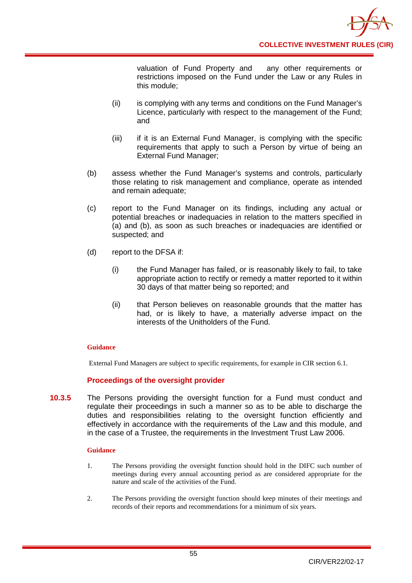

valuation of Fund Property and any other requirements or restrictions imposed on the Fund under the Law or any Rules in this module;

- (ii) is complying with any terms and conditions on the Fund Manager's Licence, particularly with respect to the management of the Fund; and
- (iii) if it is an External Fund Manager, is complying with the specific requirements that apply to such a Person by virtue of being an External Fund Manager;
- (b) assess whether the Fund Manager's systems and controls, particularly those relating to risk management and compliance, operate as intended and remain adequate;
- (c) report to the Fund Manager on its findings, including any actual or potential breaches or inadequacies in relation to the matters specified in (a) and (b), as soon as such breaches or inadequacies are identified or suspected; and
- (d) report to the DFSA if:
	- (i) the Fund Manager has failed, or is reasonably likely to fail, to take appropriate action to rectify or remedy a matter reported to it within 30 days of that matter being so reported; and
	- (ii) that Person believes on reasonable grounds that the matter has had, or is likely to have, a materially adverse impact on the interests of the Unitholders of the Fund.

### **Guidance**

External Fund Managers are subject to specific requirements, for example in CIR section 6.1.

### **Proceedings of the oversight provider**

**10.3.5** The Persons providing the oversight function for a Fund must conduct and regulate their proceedings in such a manner so as to be able to discharge the duties and responsibilities relating to the oversight function efficiently and effectively in accordance with the requirements of the Law and this module, and in the case of a Trustee, the requirements in the Investment Trust Law 2006.

- 1. The Persons providing the oversight function should hold in the DIFC such number of meetings during every annual accounting period as are considered appropriate for the nature and scale of the activities of the Fund.
- 2. The Persons providing the oversight function should keep minutes of their meetings and records of their reports and recommendations for a minimum of six years.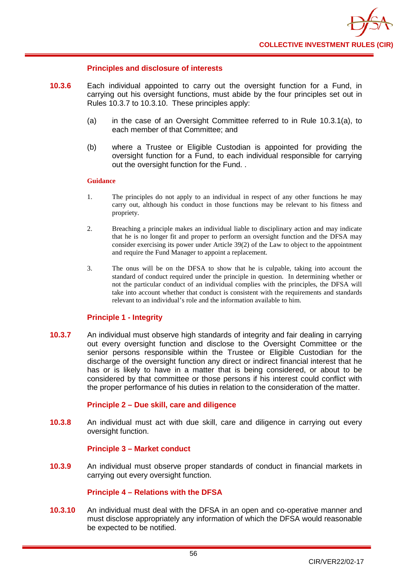### **Principles and disclosure of interests**

- **10.3.6** Each individual appointed to carry out the oversight function for a Fund, in carrying out his oversight functions, must abide by the four principles set out in Rules 10.3.7 to 10.3.10. These principles apply:
	- (a) in the case of an Oversight Committee referred to in Rule 10.3.1(a), to each member of that Committee; and
	- (b) where a Trustee or Eligible Custodian is appointed for providing the oversight function for a Fund, to each individual responsible for carrying out the oversight function for the Fund. .

#### **Guidance**

- 1. The principles do not apply to an individual in respect of any other functions he may carry out, although his conduct in those functions may be relevant to his fitness and propriety.
- 2. Breaching a principle makes an individual liable to disciplinary action and may indicate that he is no longer fit and proper to perform an oversight function and the DFSA may consider exercising its power under Article 39(2) of the Law to object to the appointment and require the Fund Manager to appoint a replacement.
- 3. The onus will be on the DFSA to show that he is culpable, taking into account the standard of conduct required under the principle in question. In determining whether or not the particular conduct of an individual complies with the principles, the DFSA will take into account whether that conduct is consistent with the requirements and standards relevant to an individual's role and the information available to him.

### **Principle 1 - Integrity**

**10.3.7** An individual must observe high standards of integrity and fair dealing in carrying out every oversight function and disclose to the Oversight Committee or the senior persons responsible within the Trustee or Eligible Custodian for the discharge of the oversight function any direct or indirect financial interest that he has or is likely to have in a matter that is being considered, or about to be considered by that committee or those persons if his interest could conflict with the proper performance of his duties in relation to the consideration of the matter.

### **Principle 2 – Due skill, care and diligence**

**10.3.8** An individual must act with due skill, care and diligence in carrying out every oversight function.

### **Principle 3 – Market conduct**

**10.3.9** An individual must observe proper standards of conduct in financial markets in carrying out every oversight function.

### **Principle 4 – Relations with the DFSA**

**10.3.10** An individual must deal with the DFSA in an open and co-operative manner and must disclose appropriately any information of which the DFSA would reasonable be expected to be notified.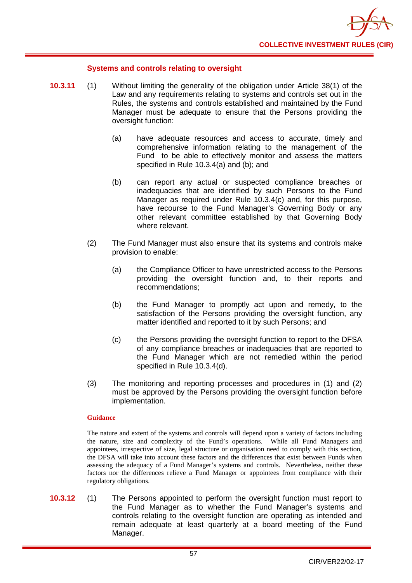

### **Systems and controls relating to oversight**

- **10.3.11** (1) Without limiting the generality of the obligation under Article 38(1) of the Law and any requirements relating to systems and controls set out in the Rules, the systems and controls established and maintained by the Fund Manager must be adequate to ensure that the Persons providing the oversight function:
	- (a) have adequate resources and access to accurate, timely and comprehensive information relating to the management of the Fund to be able to effectively monitor and assess the matters specified in Rule 10.3.4(a) and (b); and
	- (b) can report any actual or suspected compliance breaches or inadequacies that are identified by such Persons to the Fund Manager as required under Rule 10.3.4(c) and, for this purpose, have recourse to the Fund Manager's Governing Body or any other relevant committee established by that Governing Body where relevant.
	- (2) The Fund Manager must also ensure that its systems and controls make provision to enable:
		- (a) the Compliance Officer to have unrestricted access to the Persons providing the oversight function and, to their reports and recommendations;
		- (b) the Fund Manager to promptly act upon and remedy, to the satisfaction of the Persons providing the oversight function, any matter identified and reported to it by such Persons; and
		- (c) the Persons providing the oversight function to report to the DFSA of any compliance breaches or inadequacies that are reported to the Fund Manager which are not remedied within the period specified in Rule 10.3.4(d).
	- (3) The monitoring and reporting processes and procedures in (1) and (2) must be approved by the Persons providing the oversight function before implementation.

#### **Guidance**

The nature and extent of the systems and controls will depend upon a variety of factors including the nature, size and complexity of the Fund's operations. While all Fund Managers and appointees, irrespective of size, legal structure or organisation need to comply with this section, the DFSA will take into account these factors and the differences that exist between Funds when assessing the adequacy of a Fund Manager's systems and controls. Nevertheless, neither these factors nor the differences relieve a Fund Manager or appointees from compliance with their regulatory obligations.

**10.3.12** (1) The Persons appointed to perform the oversight function must report to the Fund Manager as to whether the Fund Manager's systems and controls relating to the oversight function are operating as intended and remain adequate at least quarterly at a board meeting of the Fund Manager.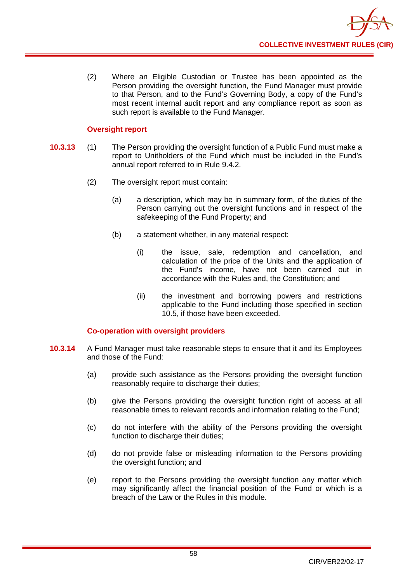

(2) Where an Eligible Custodian or Trustee has been appointed as the Person providing the oversight function, the Fund Manager must provide to that Person, and to the Fund's Governing Body, a copy of the Fund's most recent internal audit report and any compliance report as soon as such report is available to the Fund Manager.

### **Oversight report**

- **10.3.13** (1) The Person providing the oversight function of a Public Fund must make a report to Unitholders of the Fund which must be included in the Fund's annual report referred to in Rule 9.4.2.
	- (2) The oversight report must contain:
		- (a) a description, which may be in summary form, of the duties of the Person carrying out the oversight functions and in respect of the safekeeping of the Fund Property; and
		- (b) a statement whether, in any material respect:
			- (i) the issue, sale, redemption and cancellation, and calculation of the price of the Units and the application of the Fund's income, have not been carried out in accordance with the Rules and, the Constitution; and
			- (ii) the investment and borrowing powers and restrictions applicable to the Fund including those specified in section 10.5, if those have been exceeded.

### **Co-operation with oversight providers**

- **10.3.14** A Fund Manager must take reasonable steps to ensure that it and its Employees and those of the Fund:
	- (a) provide such assistance as the Persons providing the oversight function reasonably require to discharge their duties;
	- (b) give the Persons providing the oversight function right of access at all reasonable times to relevant records and information relating to the Fund;
	- (c) do not interfere with the ability of the Persons providing the oversight function to discharge their duties;
	- (d) do not provide false or misleading information to the Persons providing the oversight function; and
	- (e) report to the Persons providing the oversight function any matter which may significantly affect the financial position of the Fund or which is a breach of the Law or the Rules in this module.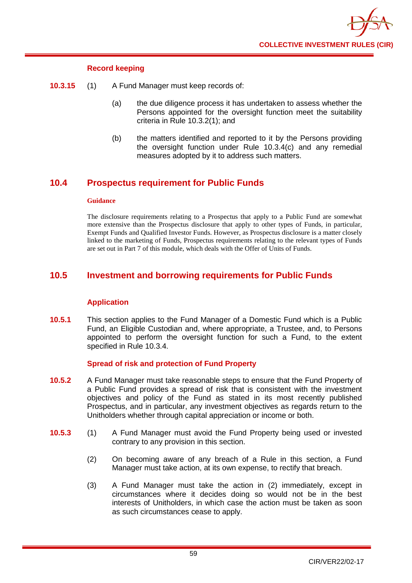

### **Record keeping**

- **10.3.15** (1) A Fund Manager must keep records of:
	- (a) the due diligence process it has undertaken to assess whether the Persons appointed for the oversight function meet the suitability criteria in Rule 10.3.2(1); and
	- (b) the matters identified and reported to it by the Persons providing the oversight function under Rule 10.3.4(c) and any remedial measures adopted by it to address such matters.

# **10.4 Prospectus requirement for Public Funds**

#### **Guidance**

The disclosure requirements relating to a Prospectus that apply to a Public Fund are somewhat more extensive than the Prospectus disclosure that apply to other types of Funds, in particular, Exempt Funds and Qualified Investor Funds. However, as Prospectus disclosure is a matter closely linked to the marketing of Funds, Prospectus requirements relating to the relevant types of Funds are set out in Part 7 of this module, which deals with the Offer of Units of Funds.

# **10.5 Investment and borrowing requirements for Public Funds**

### **Application**

**10.5.1** This section applies to the Fund Manager of a Domestic Fund which is a Public Fund, an Eligible [Custodian](http://fsahandbook.info/FSA/glossary.jsp?doc=glossary%5Cglossary&gloss=G278#G278) and, where appropriate, a Trustee, and, to Persons appointed to perform the oversight function for such a Fund, to the extent specified in Rule 10.3.4.

### **Spread of risk and protection of Fund Property**

- **10.5.2** A Fund Manager must take reasonable steps to ensure that the Fund Property of a Public Fund provides a spread of risk that is consistent with the investment objectives and policy of the Fund as stated in its most recently published Prospectus, and in particular, any investment objectives as regards return to the [Unitholders](http://fsahandbook.info/FSA/glossary.jsp?doc=glossary%5Cglossary&gloss=G1233#G1233) whether through capital appreciation or income or both.
- **10.5.3** (1) A Fund Manager must avoid the Fund Property being used or invested contrary to any provision in this section.
	- (2) On becoming aware of any breach of a Rule in this section, a Fund Manager must take action, at its own expense, to rectify that breach.
	- (3) A Fund Manager must take the action in (2) immediately, except in circumstances where it decides doing so would not be in the best interests of Unitholders, in which case the action must be taken as soon as such circumstances cease to apply.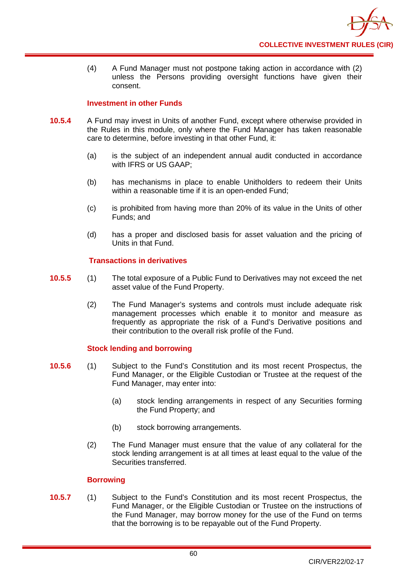(4) A Fund Manager must not postpone taking action in accordance with (2) unless the Persons providing oversight functions have given their consent.

### **Investment in other Funds**

- **10.5.4** A Fund may invest in Units of another [Fund,](http://fsahandbook.info/FSA/glossary.jsp?doc=glossary%5Cglossary&gloss=G1043#G1043) except where otherwise provided in the Rules in this module, only where the Fund Manager has taken reasonable care to determine, before investing in that other Fund, it:
	- (a) is the subject of an independent annual audit conducted in accordance with IFRS or US GAAP;
	- (b) has mechanisms in place to enable [Unitholders](http://fsahandbook.info/FSA/glossary.jsp?doc=glossary%5Cglossary&gloss=G1233#G1233) to redeem their [Units](http://fsahandbook.info/FSA/glossary.jsp?doc=glossary%5Cglossary&gloss=G1230#G1230) within a reasonable time if it is an open-ended Fund;
	- (c) is prohibited from having more than 20% of its value in the [Units](http://fsahandbook.info/FSA/glossary.jsp?doc=glossary%5Cglossary&gloss=G1230#G1230) of other Funds; and
	- (d) has a proper and disclosed basis for asset valuation and the pricing of Units in that Fund.

### **Transactions in derivatives**

- **10.5.5** (1) The total exposure of a Public Fund to Derivatives may not exceed the net asset value of the Fund Property.
	- (2) The Fund Manager's systems and controls must include adequate risk management processes which enable it to monitor and measure as frequently as appropriate the risk of a Fund's [Derivative](http://fsahandbook.info/FSA/glossary.jsp?doc=glossary%5Cglossary&gloss=G279#G279) positions and their contribution to the overall risk profile of the Fund.

### **Stock lending and borrowing**

- **10.5.6** (1) Subject to the Fund's Constitution and its most recent Prospectus, the Fund Manager, or the Eligible Custodian or Trustee at the request of the Fund Manager, may enter into:
	- (a) [stock lending](http://fsahandbook.info/FSA/glossary.jsp?doc=glossary%5Cglossary&gloss=G1134#G1134) arrangements in respect of any Securities forming the Fund Property; and
	- (b) [stock b](http://fsahandbook.info/FSA/glossary.jsp?doc=glossary%5Cglossary&gloss=G1134#G1134)orrowing arrangements.
	- (2) The Fund Manager must ensure that the value of any collateral for the [stock lending](http://fsahandbook.info/FSA/glossary.jsp?doc=glossary%5Cglossary&gloss=G1134#G1134) arrangement is at all times at least equal to the value of the Securities transferred.

### **Borrowing**

**10.5.7** (1) Subject to the Fund's Constitution and its most recent Prospectus, the Fund Manager, or the Eligible [Custodian or Trustee o](http://fsahandbook.info/FSA/glossary.jsp?doc=glossary%5Cglossary&gloss=G1195#G1195)n the instructions of the Fund Manager, may borrow money for the use of the Fund on terms that the borrowing is to be repayable out of the Fund Property.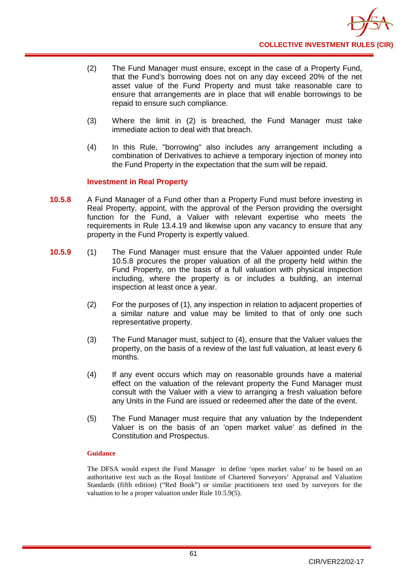- (2) The Fund Manager must ensure, except in the case of a Property Fund, that the Fund's borrowing does not on any [day](http://fsahandbook.info/FSA/glossary.jsp?doc=glossary%5Cglossary&gloss=G259#G259) exceed 20% of the net asset value of the Fund Property and must take reasonable care to ensure that arrangements are in place that will enable borrowings to be repaid to ensure such compliance.
- (3) Where the limit in (2) is breached, the Fund Manager must take immediate action to deal with that breach.
- (4) In this Rule, "borrowing" also includes any arrangement including a combination of Derivatives to achieve a temporary injection of money into the Fund Property in the expectation that the sum will be repaid.

### **Investment in Real Property**

- **10.5.8** A Fund Manager of a Fund other than a Property Fund must before investing in Real Property, appoint, with the approval of the Person providing the oversight function for the Fund, a Valuer with relevant expertise who meets the requirements in Rule 13.4.19 and likewise upon any vacancy to ensure that any property in the [Fund](http://fsahandbook.info/FSA/glossary.jsp?doc=glossary%5Cglossary&gloss=G1049#G1049) Property is expertly valued.
- **10.5.9** (1) The Fund Manager must ensure that the [Valuer](http://fsahandbook.info/FSA/glossary.jsp?doc=glossary%5Cglossary&gloss=G1126#G1126) appointed under Rule 10.5.8 procures the proper valuation of all the property held within the [Fund](http://fsahandbook.info/FSA/glossary.jsp?doc=glossary%5Cglossary&gloss=G1049#G1049) Property, on the basis of a full valuation with physical inspection including, where the property is or includes a building, an internal inspection at least once a year.
	- (2) For the purposes of (1), any inspection in relation to adjacent properties of a similar nature and value may be limited to that of only one such representative property.
	- (3) The Fund Manager must, subject to (4), ensure that the [Valuer](http://fsahandbook.info/FSA/glossary.jsp?doc=glossary%5Cglossary&gloss=G1126#G1126) values the property, on the basis of a review of the last full valuation, at least every 6 [months](http://fsahandbook.info/FSA/glossary.jsp?doc=glossary%5Cglossary&gloss=G737#G737).
	- (4) If any event occurs which may on reasonable grounds have a material effect on the valuation of the relevant property the Fund Manager must consult with the Valuer with a view to arranging a fresh valuation before any Units in the Fund are issued or redeemed after the date of the event.
	- (5) The Fund Manager must require that any valuation by the [Independent](http://fsahandbook.info/FSA/glossary.jsp?doc=glossary%5Cglossary&gloss=G1126#G1126)  [Valuer](http://fsahandbook.info/FSA/glossary.jsp?doc=glossary%5Cglossary&gloss=G1126#G1126) is on the basis of an 'open market value' as defined in the Constitution and Prospectus.

### **Guidance**

The DFSA would expect the Fund Manager to define 'open market value' to be based on an authoritative text such as the Royal Institute of Chartered Surveyors' Appraisal and Valuation Standards (fifth edition) ("Red Book") or similar practitioners text used by surveyors for the valuation to be a proper valuation under Rule 10.5.9(5).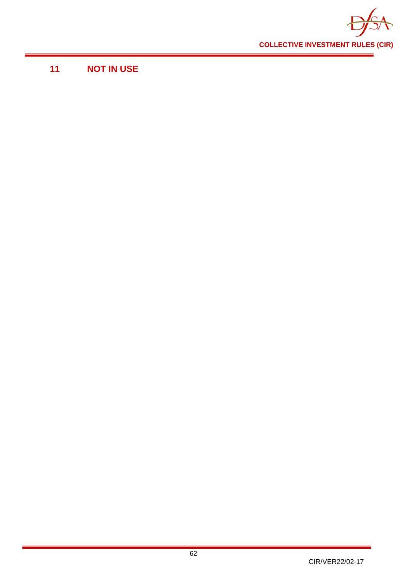

# **11 NOT IN USE**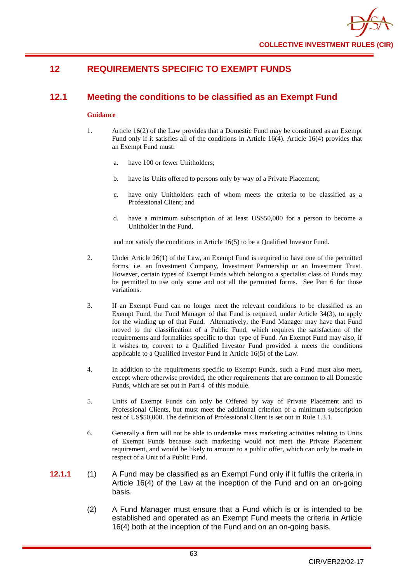# **12 REQUIREMENTS SPECIFIC TO EXEMPT FUNDS**

# **12.1 Meeting the conditions to be classified as an Exempt Fund**

#### **Guidance**

- 1. Article 16(2) of the Law provides that a Domestic Fund may be constituted as an Exempt Fund only if it satisfies all of the conditions in Article 16(4). Article 16(4) provides that an Exempt Fund must:
	- a. have 100 or fewer Unitholders;
	- b. have its Units offered to persons only by way of a Private Placement;
	- c. have only Unitholders each of whom meets the criteria to be classified as a Professional Client; and
	- d. have a minimum subscription of at least US\$50,000 for a person to become a Unitholder in the Fund,

and not satisfy the conditions in Article 16(5) to be a Qualified Investor Fund.

- 2. Under Article 26(1) of the Law, an Exempt Fund is required to have one of the permitted forms, i.e. an Investment Company, Investment Partnership or an Investment Trust. However, certain types of Exempt Funds which belong to a specialist class of Funds may be permitted to use only some and not all the permitted forms. See Part 6 for those variations.
- 3. If an Exempt Fund can no longer meet the relevant conditions to be classified as an Exempt Fund, the Fund Manager of that Fund is required, under Article 34(3), to apply for the winding up of that Fund. Alternatively, the Fund Manager may have that Fund moved to the classification of a Public Fund, which requires the satisfaction of the requirements and formalities specific to that type of Fund. An Exempt Fund may also, if it wishes to, convert to a Qualified Investor Fund provided it meets the conditions applicable to a Qualified Investor Fund in Article 16(5) of the Law.
- 4. In addition to the requirements specific to Exempt Funds, such a Fund must also meet, except where otherwise provided, the other requirements that are common to all Domestic Funds, which are set out in Part 4 of this module.
- 5. Units of Exempt Funds can only be Offered by way of Private Placement and to Professional Clients, but must meet the additional criterion of a minimum subscription test of US\$50,000. The definition of Professional Client is set out in Rule 1.3.1.
- 6. Generally a firm will not be able to undertake mass marketing activities relating to Units of Exempt Funds because such marketing would not meet the Private Placement requirement, and would be likely to amount to a public offer, which can only be made in respect of a Unit of a Public Fund.
- **12.1.1** (1) A Fund may be classified as an Exempt Fund only if it fulfils the criteria in Article 16(4) of the Law at the inception of the Fund and on an on-going basis.
	- (2) A Fund Manager must ensure that a Fund which is or is intended to be established and operated as an Exempt Fund meets the criteria in Article 16(4) both at the inception of the Fund and on an on-going basis.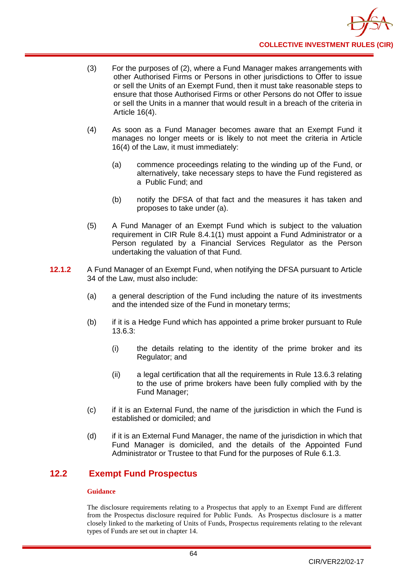- (3) For the purposes of (2), where a Fund Manager makes arrangements with other Authorised Firms or Persons in other jurisdictions to Offer to issue or sell the Units of an Exempt Fund, then it must take reasonable steps to ensure that those Authorised Firms or other Persons do not Offer to issue or sell the Units in a manner that would result in a breach of the criteria in Article 16(4).
- (4) As soon as a Fund Manager becomes aware that an Exempt Fund it manages no longer meets or is likely to not meet the criteria in Article 16(4) of the Law, it must immediately:
	- (a) commence proceedings relating to the winding up of the Fund, or alternatively, take necessary steps to have the Fund registered as a Public Fund; and
	- (b) notify the DFSA of that fact and the measures it has taken and proposes to take under (a).
- (5) A Fund Manager of an Exempt Fund which is subject to the valuation requirement in CIR Rule 8.4.1(1) must appoint a Fund Administrator or a Person regulated by a Financial Services Regulator as the Person undertaking the valuation of that Fund.
- **12.1.2** A Fund Manager of an Exempt Fund, when notifying the DFSA pursuant to Article 34 of the Law, must also include:
	- (a) a general description of the Fund including the nature of its investments and the intended size of the Fund in monetary terms;
	- (b) if it is a Hedge Fund which has appointed a prime broker pursuant to Rule 13.6.3:
		- (i) the details relating to the identity of the prime broker and its Regulator; and
		- (ii) a legal certification that all the requirements in Rule 13.6.3 relating to the use of prime brokers have been fully complied with by the Fund Manager;
	- (c) if it is an External Fund, the name of the jurisdiction in which the Fund is established or domiciled; and
	- (d) if it is an External Fund Manager, the name of the jurisdiction in which that Fund Manager is domiciled, and the details of the Appointed Fund Administrator or Trustee to that Fund for the purposes of Rule 6.1.3.

# **12.2 Exempt Fund Prospectus**

### **Guidance**

The disclosure requirements relating to a Prospectus that apply to an Exempt Fund are different from the Prospectus disclosure required for Public Funds. As Prospectus disclosure is a matter closely linked to the marketing of Units of Funds, Prospectus requirements relating to the relevant types of Funds are set out in chapter 14.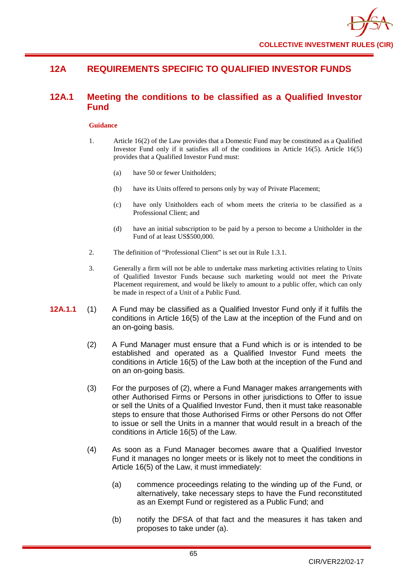# **12A REQUIREMENTS SPECIFIC TO QUALIFIED INVESTOR FUNDS**

# **12A.1 Meeting the conditions to be classified as a Qualified Investor Fund**

- 1. Article 16(2) of the Law provides that a Domestic Fund may be constituted as a Qualified Investor Fund only if it satisfies all of the conditions in Article 16(5). Article 16(5) provides that a Qualified Investor Fund must:
	- (a) have 50 or fewer Unitholders;
	- (b) have its Units offered to persons only by way of Private Placement;
	- (c) have only Unitholders each of whom meets the criteria to be classified as a Professional Client; and
	- (d) have an initial subscription to be paid by a person to become a Unitholder in the Fund of at least US\$500,000.
- 2. The definition of "Professional Client" is set out in Rule 1.3.1.
- 3. Generally a firm will not be able to undertake mass marketing activities relating to Units of Qualified Investor Funds because such marketing would not meet the Private Placement requirement, and would be likely to amount to a public offer, which can only be made in respect of a Unit of a Public Fund.
- **12A.1.1** (1) A Fund may be classified as a Qualified Investor Fund only if it fulfils the conditions in Article 16(5) of the Law at the inception of the Fund and on an on-going basis.
	- (2) A Fund Manager must ensure that a Fund which is or is intended to be established and operated as a Qualified Investor Fund meets the conditions in Article 16(5) of the Law both at the inception of the Fund and on an on-going basis.
	- (3) For the purposes of (2), where a Fund Manager makes arrangements with other Authorised Firms or Persons in other jurisdictions to Offer to issue or sell the Units of a Qualified Investor Fund, then it must take reasonable steps to ensure that those Authorised Firms or other Persons do not Offer to issue or sell the Units in a manner that would result in a breach of the conditions in Article 16(5) of the Law.
	- (4) As soon as a Fund Manager becomes aware that a Qualified Investor Fund it manages no longer meets or is likely not to meet the conditions in Article 16(5) of the Law, it must immediately:
		- (a) commence proceedings relating to the winding up of the Fund, or alternatively, take necessary steps to have the Fund reconstituted as an Exempt Fund or registered as a Public Fund; and
		- (b) notify the DFSA of that fact and the measures it has taken and proposes to take under (a).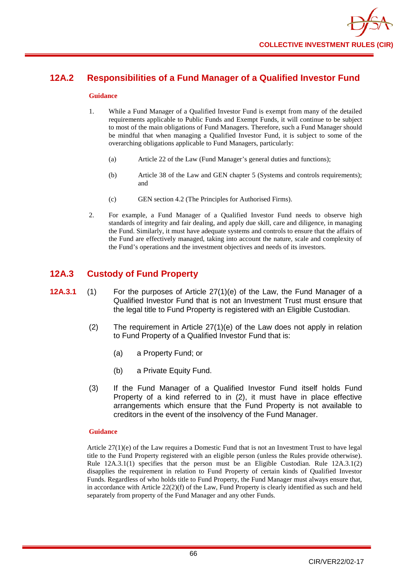# **12A.2 Responsibilities of a Fund Manager of a Qualified Investor Fund**

#### **Guidance**

- 1. While a Fund Manager of a Qualified Investor Fund is exempt from many of the detailed requirements applicable to Public Funds and Exempt Funds, it will continue to be subject to most of the main obligations of Fund Managers. Therefore, such a Fund Manager should be mindful that when managing a Qualified Investor Fund, it is subject to some of the overarching obligations applicable to Fund Managers, particularly:
	- (a) Article 22 of the Law (Fund Manager's general duties and functions);
	- (b) Article 38 of the Law and GEN chapter 5 (Systems and controls requirements); and
	- (c) GEN section 4.2 (The Principles for Authorised Firms).
- 2. For example, a Fund Manager of a Qualified Investor Fund needs to observe high standards of integrity and fair dealing, and apply due skill, care and diligence, in managing the Fund. Similarly, it must have adequate systems and controls to ensure that the affairs of the Fund are effectively managed, taking into account the nature, scale and complexity of the Fund's operations and the investment objectives and needs of its investors.

# **12A.3 Custody of Fund Property**

- **12A.3.1** (1) For the purposes of Article 27(1)(e) of the Law, the Fund Manager of a Qualified Investor Fund that is not an Investment Trust must ensure that the legal title to Fund Property is registered with an Eligible Custodian.
	- (2) The requirement in Article 27(1)(e) of the Law does not apply in relation to Fund Property of a Qualified Investor Fund that is:
		- (a) a Property Fund; or
		- (b) a Private Equity Fund.
	- (3) If the Fund Manager of a Qualified Investor Fund itself holds Fund Property of a kind referred to in (2), it must have in place effective arrangements which ensure that the Fund Property is not available to creditors in the event of the insolvency of the Fund Manager.

### **Guidance**

Article  $27(1)(e)$  of the Law requires a Domestic Fund that is not an Investment Trust to have legal title to the Fund Property registered with an eligible person (unless the Rules provide otherwise). Rule 12A.3.1(1) specifies that the person must be an Eligible Custodian. Rule 12A.3.1(2) disapplies the requirement in relation to Fund Property of certain kinds of Qualified Investor Funds. Regardless of who holds title to Fund Property, the Fund Manager must always ensure that, in accordance with Article  $22(2)(f)$  of the Law, Fund Property is clearly identified as such and held separately from property of the Fund Manager and any other Funds.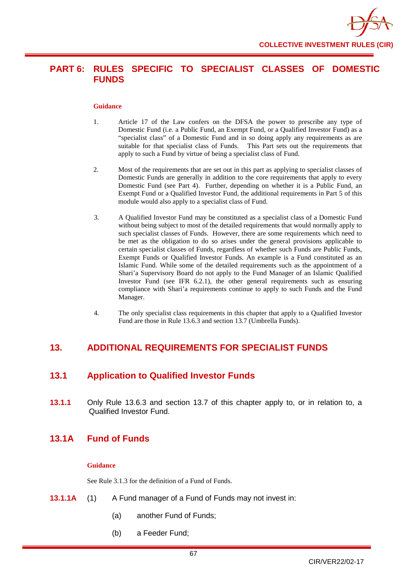

# **PART 6: RULES SPECIFIC TO SPECIALIST CLASSES OF DOMESTIC FUNDS**

#### **Guidance**

- 1. Article 17 of the Law confers on the DFSA the power to prescribe any type of Domestic Fund (i.e. a Public Fund, an Exempt Fund, or a Qualified Investor Fund) as a "specialist class" of a Domestic Fund and in so doing apply any requirements as are suitable for that specialist class of Funds. This Part sets out the requirements that apply to such a Fund by virtue of being a specialist class of Fund.
- 2. Most of the requirements that are set out in this part as applying to specialist classes of Domestic Funds are generally in addition to the core requirements that apply to every Domestic Fund (see Part 4). Further, depending on whether it is a Public Fund, an Exempt Fund or a Qualified Investor Fund, the additional requirements in Part 5 of this module would also apply to a specialist class of Fund.
- 3. A Qualified Investor Fund may be constituted as a specialist class of a Domestic Fund without being subject to most of the detailed requirements that would normally apply to such specialist classes of Funds. However, there are some requirements which need to be met as the obligation to do so arises under the general provisions applicable to certain specialist classes of Funds, regardless of whether such Funds are Public Funds, Exempt Funds or Qualified Investor Funds. An example is a Fund constituted as an Islamic Fund. While some of the detailed requirements such as the appointment of a Shari'a Supervisory Board do not apply to the Fund Manager of an Islamic Qualified Investor Fund (see IFR 6.2.1), the other general requirements such as ensuring compliance with Shari'a requirements continue to apply to such Funds and the Fund Manager.
- 4. The only specialist class requirements in this chapter that apply to a Qualified Investor Fund are those in Rule 13.6.3 and section 13.7 (Umbrella Funds).

# **13. ADDITIONAL REQUIREMENTS FOR SPECIALIST FUNDS**

# **13.1 Application to Qualified Investor Funds**

**13.1.1** Only Rule 13.6.3 and section 13.7 of this chapter apply to, or in relation to, a Qualified Investor Fund.

# **13.1A Fund of Funds**

#### **Guidance**

See Rule 3.1.3 for the definition of a Fund of Funds.

- **13.1.1A** (1) A Fund manager of a Fund of Funds may not invest in:
	- (a) another Fund of Funds;
	- (b) a Feeder Fund;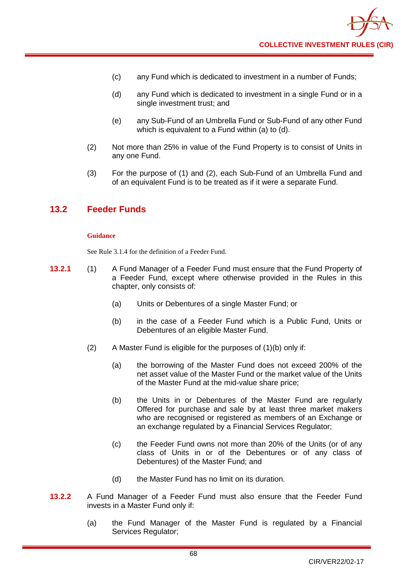- (c) any Fund which is dedicated to investment in a number of Funds;
- (d) any Fund which is dedicated to investment in a single Fund or in a single investment trust; and
- (e) any Sub-Fund of an Umbrella Fund or Sub-Fund of any other Fund which is equivalent to a Fund within (a) to (d).
- (2) Not more than 25% in value of the Fund Property is to consist of Units in any one Fund.
- (3) For the purpose of (1) and (2), each Sub-Fund of an Umbrella Fund and of an equivalent Fund is to be treated as if it were a separate Fund.

# **13.2 Feeder Funds**

#### **Guidance**

See Rule 3.1.4 for the definition of a Feeder Fund.

- **13.2.1** (1) A Fund Manager of a Feeder Fund must ensure that the Fund Property of a Feeder Fund, except where otherwise provided in the Rules in this chapter, only consists of:
	- (a) Units or Debentures of a single Master Fund; or
	- (b) in the case of a Feeder Fund which is a Public Fund, Units or Debentures of an eligible Master Fund.
	- (2) A Master Fund is eligible for the purposes of (1)(b) only if:
		- (a) the borrowing of the Master Fund does not exceed 200% of the net asset value of the Master Fund or the market value of the Units of the Master Fund at the mid-value share price;
		- (b) the Units in or Debentures of the Master Fund are regularly Offered for purchase and sale by at least three market makers who are recognised or registered as members of an Exchange or an exchange regulated by a Financial Services Regulator;
		- (c) the Feeder Fund owns not more than 20% of the Units (or of any class of Units in or of the Debentures or of any class of Debentures) of the Master Fund; and
		- (d) the Master Fund has no limit on its duration.
- **13.2.2** A Fund Manager of a Feeder Fund must also ensure that the Feeder Fund invests in a Master Fund only if:
	- (a) the Fund Manager of the Master Fund is regulated by a Financial Services Regulator;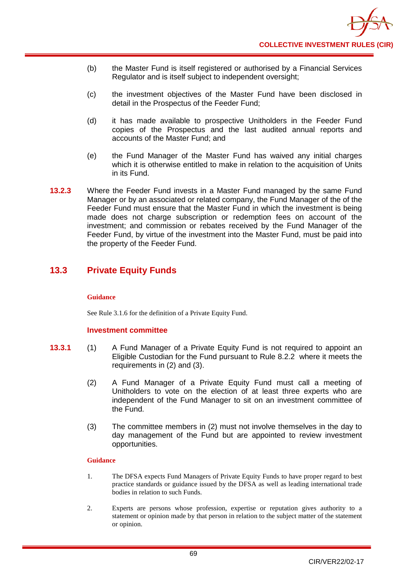- (b) the Master Fund is itself registered or authorised by a Financial Services Regulator and is itself subject to independent oversight;
- (c) the investment objectives of the Master Fund have been disclosed in detail in the Prospectus of the Feeder Fund;
- (d) it has made available to prospective Unitholders in the Feeder Fund copies of the Prospectus and the last audited annual reports and accounts of the Master Fund; and
- (e) the Fund Manager of the Master Fund has waived any initial charges which it is otherwise entitled to make in relation to the acquisition of Units in its Fund.
- **13.2.3** Where the Feeder Fund invests in a Master Fund managed by the same Fund Manager or by an associated or related company, the Fund Manager of the of the Feeder Fund must ensure that the Master Fund in which the investment is being made does not charge subscription or redemption fees on account of the investment; and commission or rebates received by the Fund Manager of the Feeder Fund, by virtue of the investment into the Master Fund, must be paid into the property of the Feeder Fund.

# **13.3 Private Equity Funds**

# **Guidance**

See Rule 3.1.6 for the definition of a Private Equity Fund.

# **Investment committee**

- **13.3.1** (1) A Fund Manager of a Private Equity Fund is not required to appoint an Eligible Custodian for the Fund pursuant to Rule 8.2.2 where it meets the requirements in (2) and (3).
	- (2) A Fund Manager of a Private Equity Fund must call a meeting of Unitholders to vote on the election of at least three experts who are independent of the Fund Manager to sit on an investment committee of the Fund.
	- (3) The committee members in (2) must not involve themselves in the day to day management of the Fund but are appointed to review investment opportunities.

# **Guidance**

- 1. The DFSA expects Fund Managers of Private Equity Funds to have proper regard to best practice standards or guidance issued by the DFSA as well as leading international trade bodies in relation to such Funds.
- 2. Experts are persons whose profession, expertise or reputation gives authority to a statement or opinion made by that person in relation to the subject matter of the statement or opinion.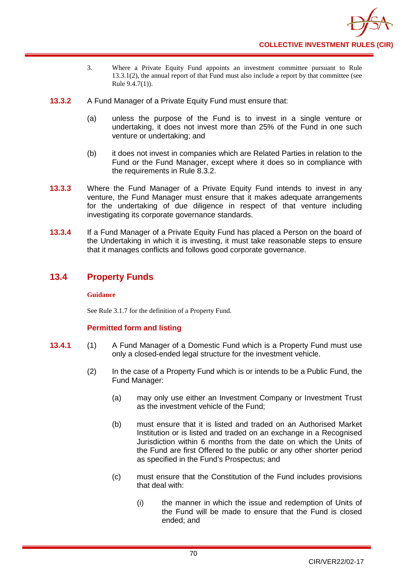

- 3. Where a Private Equity Fund appoints an investment committee pursuant to Rule 13.3.1(2), the annual report of that Fund must also include a report by that committee (see Rule 9.4.7(1)).
- **13.3.2** A Fund Manager of a Private Equity Fund must ensure that:
	- (a) unless the purpose of the Fund is to invest in a single venture or undertaking, it does not invest more than 25% of the Fund in one such venture or undertaking; and
	- (b) it does not invest in companies which are Related Parties in relation to the Fund or the Fund Manager, except where it does so in compliance with the requirements in Rule 8.3.2.
- **13.3.3** Where the Fund Manager of a Private Equity Fund intends to invest in any venture, the Fund Manager must ensure that it makes adequate arrangements for the undertaking of due diligence in respect of that venture including investigating its corporate governance standards.
- **13.3.4** If a Fund Manager of a Private Equity Fund has placed a Person on the board of the Undertaking in which it is investing, it must take reasonable steps to ensure that it manages conflicts and follows good corporate governance.

# **13.4 Property Funds**

# **Guidance**

See Rule 3.1.7 for the definition of a Property Fund.

# **Permitted form and listing**

- **13.4.1** (1) A Fund Manager of a Domestic Fund which is a Property Fund must use only a closed-ended legal structure for the investment vehicle.
	- (2) In the case of a Property Fund which is or intends to be a Public Fund, the Fund Manager:
		- (a) may only use either an Investment Company or Investment Trust as the investment vehicle of the Fund;
		- (b) must ensure that it is listed and traded on an Authorised Market Institution or is listed and traded on an exchange in a Recognised Jurisdiction within 6 months from the date on which the Units of the Fund are first Offered to the public or any other shorter period as specified in the Fund's Prospectus; and
		- (c) must ensure that the Constitution of the Fund includes provisions that deal with:
			- (i) the manner in which the issue and redemption of Units of the Fund will be made to ensure that the Fund is closed ended; and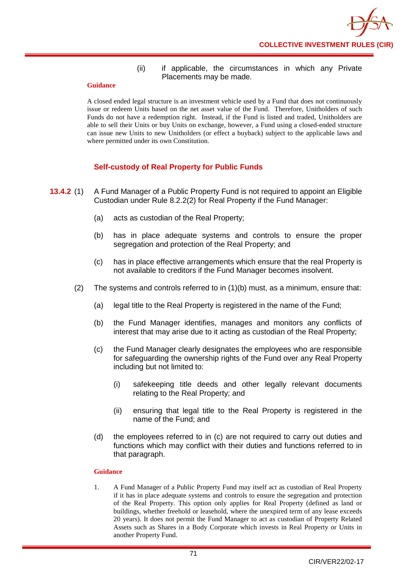# (ii) if applicable, the circumstances in which any Private Placements may be made.

### **Guidance**

A closed ended legal structure is an investment vehicle used by a Fund that does not continuously issue or redeem Units based on the net asset value of the Fund. Therefore, Unitholders of such Funds do not have a redemption right. Instead, if the Fund is listed and traded, Unitholders are able to sell their Units or buy Units on exchange, however, a Fund using a closed-ended structure can issue new Units to new Unitholders (or effect a buyback) subject to the applicable laws and where permitted under its own Constitution.

# **Self-custody of Real Property for Public Funds**

- **13.4.2** (1) A Fund Manager of a Public Property Fund is not required to appoint an Eligible Custodian under Rule 8.2.2(2) for Real Property if the Fund Manager:
	- (a) acts as custodian of the Real Property;
	- (b) has in place adequate systems and controls to ensure the proper segregation and protection of the Real Property; and
	- (c) has in place effective arrangements which ensure that the real Property is not available to creditors if the Fund Manager becomes insolvent.
	- (2) The systems and controls referred to in (1)(b) must, as a minimum, ensure that:
		- (a) legal title to the Real Property is registered in the name of the Fund;
		- (b) the Fund Manager identifies, manages and monitors any conflicts of interest that may arise due to it acting as custodian of the Real Property;
		- (c) the Fund Manager clearly designates the employees who are responsible for safeguarding the ownership rights of the Fund over any Real Property including but not limited to:
			- (i) safekeeping title deeds and other legally relevant documents relating to the Real Property; and
			- (ii) ensuring that legal title to the Real Property is registered in the name of the Fund; and
		- (d) the employees referred to in (c) are not required to carry out duties and functions which may conflict with their duties and functions referred to in that paragraph.

# **Guidance**

1. A Fund Manager of a Public Property Fund may itself act as custodian of Real Property if it has in place adequate systems and controls to ensure the segregation and protection of the Real Property. This option only applies for Real Property (defined as land or buildings, whether freehold or leasehold, where the unexpired term of any lease exceeds 20 years). It does not permit the Fund Manager to act as custodian of Property Related Assets such as Shares in a Body Corporate which invests in Real Property or Units in another Property Fund.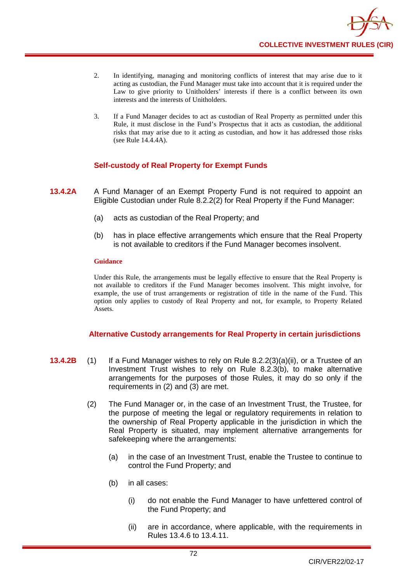

- 2. In identifying, managing and monitoring conflicts of interest that may arise due to it acting as custodian, the Fund Manager must take into account that it is required under the Law to give priority to Unitholders' interests if there is a conflict between its own interests and the interests of Unitholders.
- 3. If a Fund Manager decides to act as custodian of Real Property as permitted under this Rule, it must disclose in the Fund's Prospectus that it acts as custodian, the additional risks that may arise due to it acting as custodian, and how it has addressed those risks (see Rule 14.4.4A).

# **Self-custody of Real Property for Exempt Funds**

- **13.4.2A** A Fund Manager of an Exempt Property Fund is not required to appoint an Eligible Custodian under Rule 8.2.2(2) for Real Property if the Fund Manager:
	- (a) acts as custodian of the Real Property; and
	- (b) has in place effective arrangements which ensure that the Real Property is not available to creditors if the Fund Manager becomes insolvent.

#### **Guidance**

Under this Rule, the arrangements must be legally effective to ensure that the Real Property is not available to creditors if the Fund Manager becomes insolvent. This might involve, for example, the use of trust arrangements or registration of title in the name of the Fund. This option only applies to custody of Real Property and not, for example, to Property Related Assets.

# **Alternative Custody arrangements for Real Property in certain jurisdictions**

- **13.4.2B** (1) If a Fund Manager wishes to rely on Rule 8.2.2(3)(a)(ii), or a Trustee of an Investment Trust wishes to rely on Rule 8.2.3(b), to make alternative arrangements for the purposes of those Rules, it may do so only if the requirements in (2) and (3) are met.
	- (2) The Fund Manager or, in the case of an Investment Trust, the Trustee, for the purpose of meeting the legal or regulatory requirements in relation to the ownership of Real Property applicable in the jurisdiction in which the Real Property is situated, may implement alternative arrangements for safekeeping where the arrangements:
		- (a) in the case of an Investment Trust, enable the Trustee to continue to control the Fund Property; and
		- (b) in all cases:
			- (i) do not enable the Fund Manager to have unfettered control of the Fund Property; and
			- (ii) are in accordance, where applicable, with the requirements in Rules 13.4.6 to 13.4.11.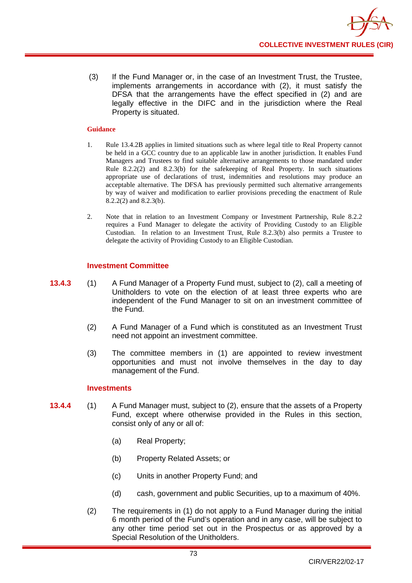(3) If the Fund Manager or, in the case of an Investment Trust, the Trustee, implements arrangements in accordance with (2), it must satisfy the DFSA that the arrangements have the effect specified in (2) and are legally effective in the DIFC and in the jurisdiction where the Real Property is situated.

### **Guidance**

- 1. Rule 13.4.2B applies in limited situations such as where legal title to Real Property cannot be held in a GCC country due to an applicable law in another jurisdiction. It enables Fund Managers and Trustees to find suitable alternative arrangements to those mandated under Rule 8.2.2(2) and 8.2.3(b) for the safekeeping of Real Property. In such situations appropriate use of declarations of trust, indemnities and resolutions may produce an acceptable alternative. The DFSA has previously permitted such alternative arrangements by way of waiver and modification to earlier provisions preceding the enactment of Rule 8.2.2(2) and 8.2.3(b).
- 2. Note that in relation to an Investment Company or Investment Partnership, Rule 8.2.2 requires a Fund Manager to delegate the activity of Providing Custody to an Eligible Custodian. In relation to an Investment Trust, Rule 8.2.3(b) also permits a Trustee to delegate the activity of Providing Custody to an Eligible Custodian.

# **Investment Committee**

- **13.4.3** (1) A Fund Manager of a Property Fund must, subject to (2), call a meeting of Unitholders to vote on the election of at least three experts who are independent of the Fund Manager to sit on an investment committee of the Fund.
	- (2) A Fund Manager of a Fund which is constituted as an Investment Trust need not appoint an investment committee.
	- (3) The committee members in (1) are appointed to review investment opportunities and must not involve themselves in the day to day management of the Fund.

# **Investments**

- **13.4.4** (1) A Fund Manager must, subject to (2), ensure that the assets of a Property Fund, except where otherwise provided in the Rules in this section, consist only of any or all of:
	- (a) Real Property;
	- (b) Property Related Assets; or
	- (c) Units in another Property Fund; and
	- (d) cash, government and public Securities, up to a maximum of 40%.
	- (2) The requirements in (1) do not apply to a Fund Manager during the initial 6 month period of the Fund's operation and in any case, will be subject to any other time period set out in the Prospectus or as approved by a Special Resolution of the Unitholders.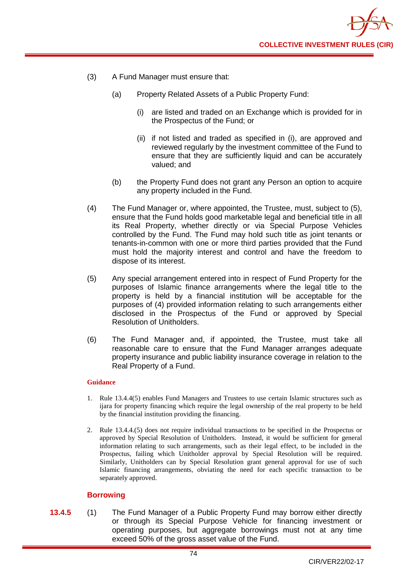

- (3) A Fund Manager must ensure that:
	- (a) Property Related Assets of a Public Property Fund:
		- (i) are listed and traded on an Exchange which is provided for in the Prospectus of the Fund; or
		- (ii) if not listed and traded as specified in (i), are approved and reviewed regularly by the investment committee of the Fund to ensure that they are sufficiently liquid and can be accurately valued; and
	- (b) the Property Fund does not grant any Person an option to acquire any property included in the Fund.
- (4) The Fund Manager or, where appointed, the Trustee, must, subject to (5), ensure that the Fund holds good marketable legal and beneficial title in all its Real Property, whether directly or via Special Purpose Vehicles controlled by the Fund. The Fund may hold such title as joint tenants or tenants-in-common with one or more third parties provided that the Fund must hold the majority interest and control and have the freedom to dispose of its interest.
- (5) Any special arrangement entered into in respect of Fund Property for the purposes of Islamic finance arrangements where the legal title to the property is held by a financial institution will be acceptable for the purposes of (4) provided information relating to such arrangements either disclosed in the Prospectus of the Fund or approved by Special Resolution of Unitholders.
- (6) The Fund Manager and, if appointed, the Trustee, must take all reasonable care to ensure that the Fund Manager arranges adequate property insurance and public liability insurance coverage in relation to the Real Property of a Fund.

- 1. Rule 13.4.4(5) enables Fund Managers and Trustees to use certain Islamic structures such as ijara for property financing which require the legal ownership of the real property to be held by the financial institution providing the financing.
- 2. Rule 13.4.4.(5) does not require individual transactions to be specified in the Prospectus or approved by Special Resolution of Unitholders. Instead, it would be sufficient for general information relating to such arrangements, such as their legal effect, to be included in the Prospectus, failing which Unitholder approval by Special Resolution will be required. Similarly, Unitholders can by Special Resolution grant general approval for use of such Islamic financing arrangements, obviating the need for each specific transaction to be separately approved.

# **Borrowing**

**13.4.5** (1) The Fund Manager of a Public Property Fund may borrow either directly or through its Special Purpose Vehicle for financing investment or operating purposes, but aggregate borrowings must not at any time exceed 50% of the gross asset value of the Fund.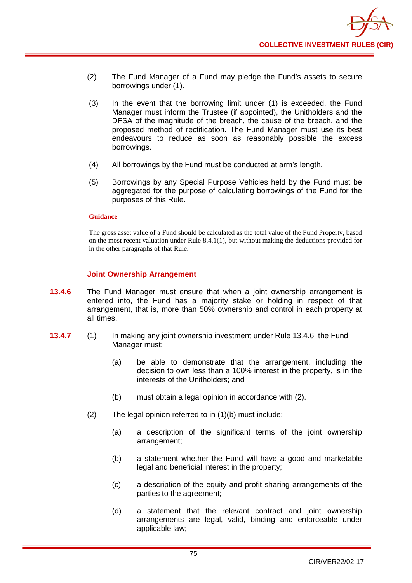- (2) The Fund Manager of a Fund may pledge the Fund's assets to secure borrowings under (1).
- (3) In the event that the borrowing limit under (1) is exceeded, the Fund Manager must inform the Trustee (if appointed), the Unitholders and the DFSA of the magnitude of the breach, the cause of the breach, and the proposed method of rectification. The Fund Manager must use its best endeavours to reduce as soon as reasonably possible the excess borrowings.
- (4) All borrowings by the Fund must be conducted at arm's length.
- (5) Borrowings by any Special Purpose Vehicles held by the Fund must be aggregated for the purpose of calculating borrowings of the Fund for the purposes of this Rule.

The gross asset value of a Fund should be calculated as the total value of the Fund Property, based on the most recent valuation under Rule 8.4.1(1), but without making the deductions provided for in the other paragraphs of that Rule.

# **Joint Ownership Arrangement**

- **13.4.6** The Fund Manager must ensure that when a joint ownership arrangement is entered into, the Fund has a majority stake or holding in respect of that arrangement, that is, more than 50% ownership and control in each property at all times.
- **13.4.7** (1) In making any joint ownership investment under Rule 13.4.6, the Fund Manager must:
	- (a) be able to demonstrate that the arrangement, including the decision to own less than a 100% interest in the property, is in the interests of the Unitholders; and
	- (b) must obtain a legal opinion in accordance with (2).
	- (2) The legal opinion referred to in (1)(b) must include:
		- (a) a description of the significant terms of the joint ownership arrangement;
		- (b) a statement whether the Fund will have a good and marketable legal and beneficial interest in the property;
		- (c) a description of the equity and profit sharing arrangements of the parties to the agreement;
		- (d) a statement that the relevant contract and joint ownership arrangements are legal, valid, binding and enforceable under applicable law;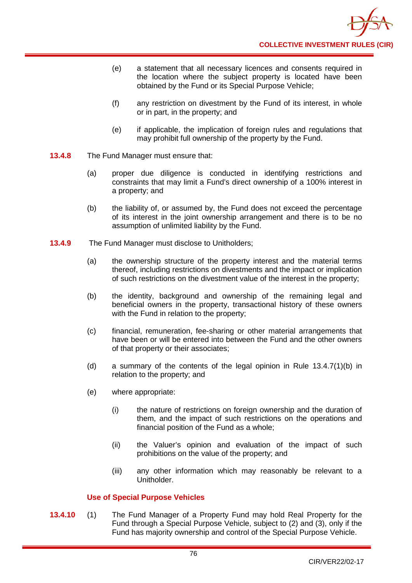- (e) a statement that all necessary licences and consents required in the location where the subject property is located have been obtained by the Fund or its Special Purpose Vehicle;
- (f) any restriction on divestment by the Fund of its interest, in whole or in part, in the property; and
- (e) if applicable, the implication of foreign rules and regulations that may prohibit full ownership of the property by the Fund.
- **13.4.8** The Fund Manager must ensure that:
	- (a) proper due diligence is conducted in identifying restrictions and constraints that may limit a Fund's direct ownership of a 100% interest in a property; and
	- (b) the liability of, or assumed by, the Fund does not exceed the percentage of its interest in the joint ownership arrangement and there is to be no assumption of unlimited liability by the Fund.
- **13.4.9** The Fund Manager must disclose to Unitholders;
	- (a) the ownership structure of the property interest and the material terms thereof, including restrictions on divestments and the impact or implication of such restrictions on the divestment value of the interest in the property;
	- (b) the identity, background and ownership of the remaining legal and beneficial owners in the property, transactional history of these owners with the Fund in relation to the property;
	- (c) financial, remuneration, fee-sharing or other material arrangements that have been or will be entered into between the Fund and the other owners of that property or their associates;
	- (d) a summary of the contents of the legal opinion in Rule 13.4.7(1)(b) in relation to the property; and
	- (e) where appropriate:
		- (i) the nature of restrictions on foreign ownership and the duration of them, and the impact of such restrictions on the operations and financial position of the Fund as a whole;
		- (ii) the Valuer's opinion and evaluation of the impact of such prohibitions on the value of the property; and
		- (iii) any other information which may reasonably be relevant to a Unitholder.

# **Use of Special Purpose Vehicles**

**13.4.10** (1) The Fund Manager of a Property Fund may hold Real Property for the Fund through a Special Purpose Vehicle, subject to (2) and (3), only if the Fund has majority ownership and control of the Special Purpose Vehicle.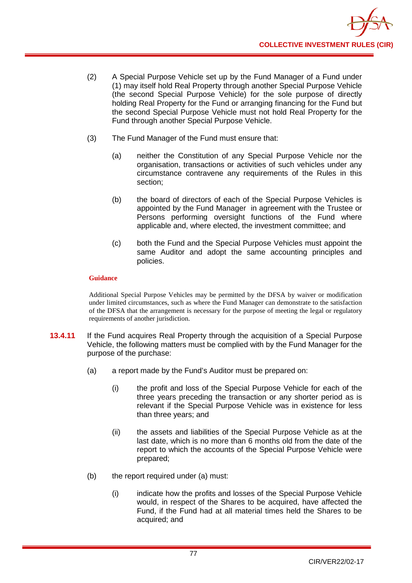

- (2) A Special Purpose Vehicle set up by the Fund Manager of a Fund under (1) may itself hold Real Property through another Special Purpose Vehicle (the second Special Purpose Vehicle) for the sole purpose of directly holding Real Property for the Fund or arranging financing for the Fund but the second Special Purpose Vehicle must not hold Real Property for the Fund through another Special Purpose Vehicle.
- (3) The Fund Manager of the Fund must ensure that:
	- (a) neither the Constitution of any Special Purpose Vehicle nor the organisation, transactions or activities of such vehicles under any circumstance contravene any requirements of the Rules in this section;
	- (b) the board of directors of each of the Special Purpose Vehicles is appointed by the Fund Manager in agreement with the Trustee or Persons performing oversight functions of the Fund where applicable and, where elected, the investment committee; and
	- (c) both the Fund and the Special Purpose Vehicles must appoint the same Auditor and adopt the same accounting principles and policies.

Additional Special Purpose Vehicles may be permitted by the DFSA by waiver or modification under limited circumstances, such as where the Fund Manager can demonstrate to the satisfaction of the DFSA that the arrangement is necessary for the purpose of meeting the legal or regulatory requirements of another jurisdiction.

- **13.4.11** If the Fund acquires Real Property through the acquisition of a Special Purpose Vehicle, the following matters must be complied with by the Fund Manager for the purpose of the purchase:
	- (a) a report made by the Fund's Auditor must be prepared on:
		- (i) the profit and loss of the Special Purpose Vehicle for each of the three years preceding the transaction or any shorter period as is relevant if the Special Purpose Vehicle was in existence for less than three years; and
		- (ii) the assets and liabilities of the Special Purpose Vehicle as at the last date, which is no more than 6 months old from the date of the report to which the accounts of the Special Purpose Vehicle were prepared;
	- (b) the report required under (a) must:
		- (i) indicate how the profits and losses of the Special Purpose Vehicle would, in respect of the Shares to be acquired, have affected the Fund, if the Fund had at all material times held the Shares to be acquired; and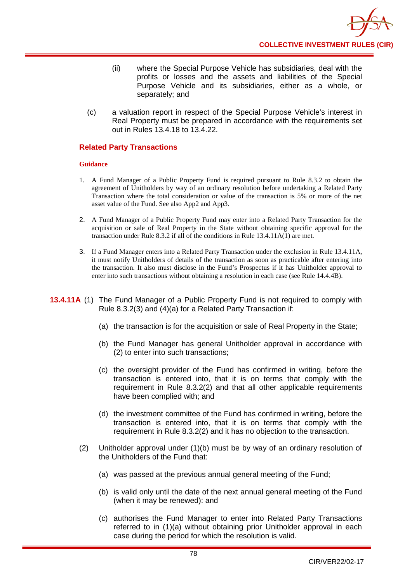- (ii) where the Special Purpose Vehicle has subsidiaries, deal with the profits or losses and the assets and liabilities of the Special Purpose Vehicle and its subsidiaries, either as a whole, or separately; and
- (c) a valuation report in respect of the Special Purpose Vehicle's interest in Real Property must be prepared in accordance with the requirements set out in Rules 13.4.18 to 13.4.22.

# **Related Party Transactions**

# **Guidance**

- 1. A Fund Manager of a Public Property Fund is required pursuant to Rule 8.3.2 to obtain the agreement of Unitholders by way of an ordinary resolution before undertaking a Related Party Transaction where the total consideration or value of the transaction is 5% or more of the net asset value of the Fund. See also App2 and App3.
- 2. A Fund Manager of a Public Property Fund may enter into a Related Party Transaction for the acquisition or sale of Real Property in the State without obtaining specific approval for the transaction under Rule 8.3.2 if all of the conditions in Rule 13.4.11A(1) are met.
- 3. If a Fund Manager enters into a Related Party Transaction under the exclusion in Rule 13.4.11A, it must notify Unitholders of details of the transaction as soon as practicable after entering into the transaction. It also must disclose in the Fund's Prospectus if it has Unitholder approval to enter into such transactions without obtaining a resolution in each case (see Rule 14.4.4B).
- **13.4.11A** (1) The Fund Manager of a Public Property Fund is not required to comply with Rule 8.3.2(3) and (4)(a) for a Related Party Transaction if:
	- (a) the transaction is for the acquisition or sale of Real Property in the State;
	- (b) the Fund Manager has general Unitholder approval in accordance with (2) to enter into such transactions;
	- (c) the oversight provider of the Fund has confirmed in writing, before the transaction is entered into, that it is on terms that comply with the requirement in Rule 8.3.2(2) and that all other applicable requirements have been complied with; and
	- (d) the investment committee of the Fund has confirmed in writing, before the transaction is entered into, that it is on terms that comply with the requirement in Rule 8.3.2(2) and it has no objection to the transaction.
	- (2) Unitholder approval under (1)(b) must be by way of an ordinary resolution of the Unitholders of the Fund that:
		- (a) was passed at the previous annual general meeting of the Fund;
		- (b) is valid only until the date of the next annual general meeting of the Fund (when it may be renewed): and
		- (c) authorises the Fund Manager to enter into Related Party Transactions referred to in (1)(a) without obtaining prior Unitholder approval in each case during the period for which the resolution is valid.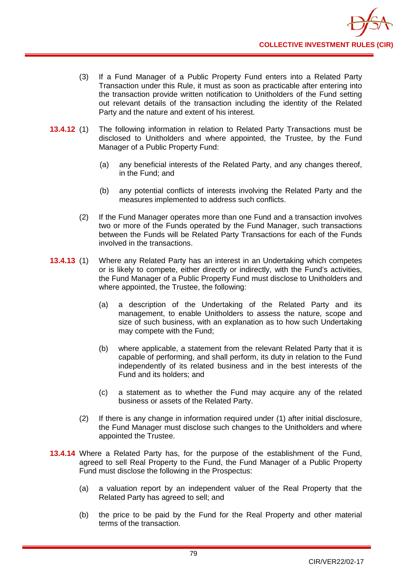- (3) If a Fund Manager of a Public Property Fund enters into a Related Party Transaction under this Rule, it must as soon as practicable after entering into the transaction provide written notification to Unitholders of the Fund setting out relevant details of the transaction including the identity of the Related Party and the nature and extent of his interest.
- **13.4.12** (1) The following information in relation to Related Party Transactions must be disclosed to Unitholders and where appointed, the Trustee, by the Fund Manager of a Public Property Fund:
	- (a) any beneficial interests of the Related Party, and any changes thereof, in the Fund; and
	- (b) any potential conflicts of interests involving the Related Party and the measures implemented to address such conflicts.
	- (2) If the Fund Manager operates more than one Fund and a transaction involves two or more of the Funds operated by the Fund Manager, such transactions between the Funds will be Related Party Transactions for each of the Funds involved in the transactions.
- **13.4.13** (1) Where any Related Party has an interest in an Undertaking which competes or is likely to compete, either directly or indirectly, with the Fund's activities, the Fund Manager of a Public Property Fund must disclose to Unitholders and where appointed, the Trustee, the following:
	- (a) a description of the Undertaking of the Related Party and its management, to enable Unitholders to assess the nature, scope and size of such business, with an explanation as to how such Undertaking may compete with the Fund;
	- (b) where applicable, a statement from the relevant Related Party that it is capable of performing, and shall perform, its duty in relation to the Fund independently of its related business and in the best interests of the Fund and its holders; and
	- (c) a statement as to whether the Fund may acquire any of the related business or assets of the Related Party.
	- (2) If there is any change in information required under (1) after initial disclosure, the Fund Manager must disclose such changes to the Unitholders and where appointed the Trustee.
- **13.4.14** Where a Related Party has, for the purpose of the establishment of the Fund, agreed to sell Real Property to the Fund, the Fund Manager of a Public Property Fund must disclose the following in the Prospectus:
	- (a) a valuation report by an independent valuer of the Real Property that the Related Party has agreed to sell; and
	- (b) the price to be paid by the Fund for the Real Property and other material terms of the transaction.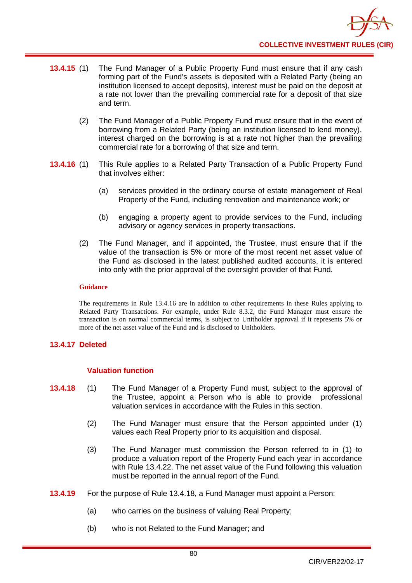- **13.4.15** (1) The Fund Manager of a Public Property Fund must ensure that if any cash forming part of the Fund's assets is deposited with a Related Party (being an institution licensed to accept deposits), interest must be paid on the deposit at a rate not lower than the prevailing commercial rate for a deposit of that size and term.
	- (2) The Fund Manager of a Public Property Fund must ensure that in the event of borrowing from a Related Party (being an institution licensed to lend money), interest charged on the borrowing is at a rate not higher than the prevailing commercial rate for a borrowing of that size and term.
- **13.4.16** (1) This Rule applies to a Related Party Transaction of a Public Property Fund that involves either:
	- (a) services provided in the ordinary course of estate management of Real Property of the Fund, including renovation and maintenance work; or
	- (b) engaging a property agent to provide services to the Fund, including advisory or agency services in property transactions.
	- (2) The Fund Manager, and if appointed, the Trustee, must ensure that if the value of the transaction is 5% or more of the most recent net asset value of the Fund as disclosed in the latest published audited accounts, it is entered into only with the prior approval of the oversight provider of that Fund.

The requirements in Rule 13.4.16 are in addition to other requirements in these Rules applying to Related Party Transactions. For example, under Rule 8.3.2, the Fund Manager must ensure the transaction is on normal commercial terms, is subject to Unitholder approval if it represents 5% or more of the net asset value of the Fund and is disclosed to Unitholders.

# **13.4.17 Deleted**

# **Valuation function**

- **13.4.18** (1) The Fund Manager of a Property Fund must, subject to the approval of the Trustee, appoint a Person who is able to provide professional valuation services in accordance with the Rules in this section.
	- (2) The Fund Manager must ensure that the Person appointed under (1) values each Real Property prior to its acquisition and disposal.
	- (3) The Fund Manager must commission the Person referred to in (1) to produce a valuation report of the Property Fund each year in accordance with Rule 13.4.22. The net asset value of the Fund following this valuation must be reported in the annual report of the Fund.
- **13.4.19** For the purpose of Rule 13.4.18, a Fund Manager must appoint a Person:
	- (a) who carries on the business of valuing Real Property;
	- (b) who is not Related to the Fund Manager; and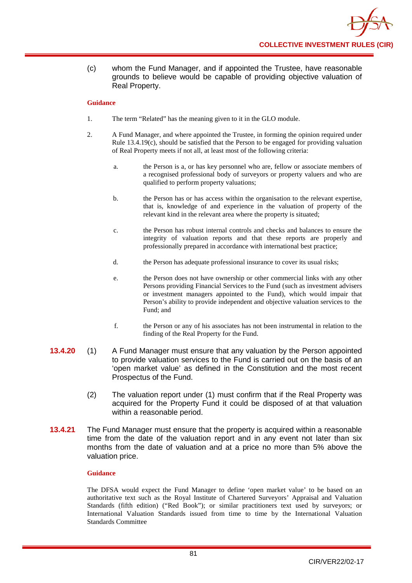(c) whom the Fund Manager, and if appointed the Trustee, have reasonable grounds to believe would be capable of providing objective valuation of Real Property.

### **Guidance**

- 1. The term "Related" has the meaning given to it in the GLO module.
- 2. A Fund Manager, and where appointed the Trustee, in forming the opinion required under Rule 13.4.19(c), should be satisfied that the Person to be engaged for providing valuation of Real Property meets if not all, at least most of the following criteria:
	- a. the Person is a, or has key personnel who are, fellow or associate members of a recognised professional body of surveyors or property valuers and who are qualified to perform property valuations;
	- b. the Person has or has access within the organisation to the relevant expertise, that is, knowledge of and experience in the valuation of property of the relevant kind in the relevant area where the property is situated;
	- c. the Person has robust internal controls and checks and balances to ensure the integrity of valuation reports and that these reports are properly and professionally prepared in accordance with international best practice;
	- d. the Person has adequate professional insurance to cover its usual risks;
	- e. the Person does not have ownership or other commercial links with any other Persons providing Financial Services to the Fund (such as investment advisers or investment managers appointed to the Fund), which would impair that Person's ability to provide independent and objective valuation services to the Fund; and
	- f. the Person or any of his associates has not been instrumental in relation to the finding of the Real Property for the Fund.
- **13.4.20** (1) A Fund Manager must ensure that any valuation by the Person appointed to provide valuation services to the Fund is carried out on the basis of an 'open market value' as defined in the Constitution and the most recent Prospectus of the Fund.
	- (2) The valuation report under (1) must confirm that if the Real Property was acquired for the Property Fund it could be disposed of at that valuation within a reasonable period.
- **13.4.21** The Fund Manager must ensure that the property is acquired within a reasonable time from the date of the valuation report and in any event not later than six months from the date of valuation and at a price no more than 5% above the valuation price.

#### **Guidance**

The DFSA would expect the Fund Manager to define 'open market value' to be based on an authoritative text such as the Royal Institute of Chartered Surveyors' Appraisal and Valuation Standards (fifth edition) ("Red Book"); or similar practitioners text used by surveyors; or International Valuation Standards issued from time to time by the International Valuation Standards Committee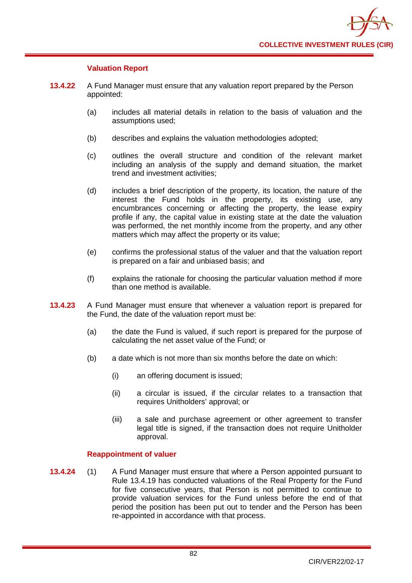

# **Valuation Report**

- **13.4.22** A Fund Manager must ensure that any valuation report prepared by the Person appointed:
	- (a) includes all material details in relation to the basis of valuation and the assumptions used;
	- (b) describes and explains the valuation methodologies adopted;
	- (c) outlines the overall structure and condition of the relevant market including an analysis of the supply and demand situation, the market trend and investment activities;
	- (d) includes a brief description of the property, its location, the nature of the interest the Fund holds in the property, its existing use, any encumbrances concerning or affecting the property, the lease expiry profile if any, the capital value in existing state at the date the valuation was performed, the net monthly income from the property, and any other matters which may affect the property or its value;
	- (e) confirms the professional status of the valuer and that the valuation report is prepared on a fair and unbiased basis; and
	- (f) explains the rationale for choosing the particular valuation method if more than one method is available.
- **13.4.23** A Fund Manager must ensure that whenever a valuation report is prepared for the Fund, the date of the valuation report must be:
	- (a) the date the Fund is valued, if such report is prepared for the purpose of calculating the net asset value of the Fund; or
	- (b) a date which is not more than six months before the date on which:
		- (i) an offering document is issued;
		- (ii) a circular is issued, if the circular relates to a transaction that requires Unitholders' approval; or
		- (iii) a sale and purchase agreement or other agreement to transfer legal title is signed, if the transaction does not require Unitholder approval.

# **Reappointment of valuer**

**13.4.24** (1) A Fund Manager must ensure that where a Person appointed pursuant to Rule 13.4.19 has conducted valuations of the Real Property for the Fund for five consecutive years, that Person is not permitted to continue to provide valuation services for the Fund unless before the end of that period the position has been put out to tender and the Person has been re-appointed in accordance with that process.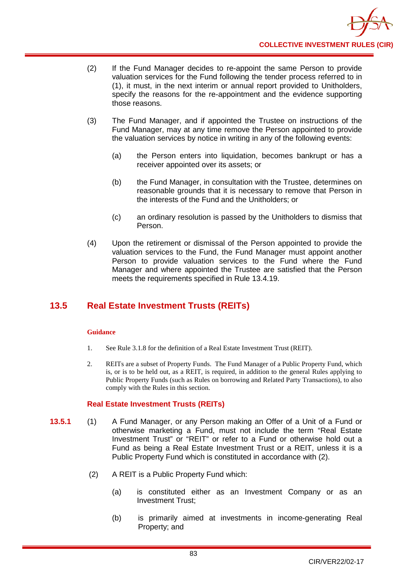- (2) If the Fund Manager decides to re-appoint the same Person to provide valuation services for the Fund following the tender process referred to in (1), it must, in the next interim or annual report provided to Unitholders, specify the reasons for the re-appointment and the evidence supporting those reasons.
- (3) The Fund Manager, and if appointed the Trustee on instructions of the Fund Manager, may at any time remove the Person appointed to provide the valuation services by notice in writing in any of the following events:
	- (a) the Person enters into liquidation, becomes bankrupt or has a receiver appointed over its assets; or
	- (b) the Fund Manager, in consultation with the Trustee, determines on reasonable grounds that it is necessary to remove that Person in the interests of the Fund and the Unitholders; or
	- (c) an ordinary resolution is passed by the Unitholders to dismiss that Person.
- (4) Upon the retirement or dismissal of the Person appointed to provide the valuation services to the Fund, the Fund Manager must appoint another Person to provide valuation services to the Fund where the Fund Manager and where appointed the Trustee are satisfied that the Person meets the requirements specified in Rule 13.4.19.

# **13.5 Real Estate Investment Trusts (REITs)**

# **Guidance**

- 1. See Rule 3.1.8 for the definition of a Real Estate Investment Trust (REIT).
- 2. REITs are a subset of Property Funds. The Fund Manager of a Public Property Fund, which is, or is to be held out, as a REIT, is required, in addition to the general Rules applying to Public Property Funds (such as Rules on borrowing and Related Party Transactions), to also comply with the Rules in this section.

# **Real Estate Investment Trusts (REITs)**

- **13.5.1** (1) A Fund Manager, or any Person making an Offer of a Unit of a Fund or otherwise marketing a Fund, must not include the term "Real Estate Investment Trust" or "REIT" or refer to a Fund or otherwise hold out a Fund as being a Real Estate Investment Trust or a REIT, unless it is a Public Property Fund which is constituted in accordance with (2).
	- (2) A REIT is a Public Property Fund which:
		- (a) is constituted either as an Investment Company or as an Investment Trust;
		- (b) is primarily aimed at investments in income-generating Real Property; and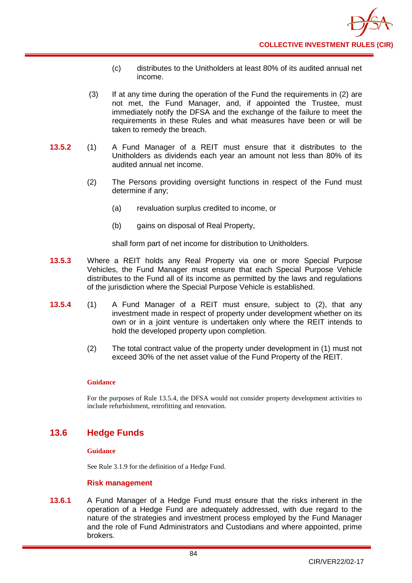- (c) distributes to the Unitholders at least 80% of its audited annual net income.
- (3) If at any time during the operation of the Fund the requirements in (2) are not met, the Fund Manager, and, if appointed the Trustee, must immediately notify the DFSA and the exchange of the failure to meet the requirements in these Rules and what measures have been or will be taken to remedy the breach.
- **13.5.2** (1) A Fund Manager of a REIT must ensure that it distributes to the Unitholders as dividends each year an amount not less than 80% of its audited annual net income.
	- (2) The Persons providing oversight functions in respect of the Fund must determine if any;
		- (a) revaluation surplus credited to income, or
		- (b) gains on disposal of Real Property,

shall form part of net income for distribution to Unitholders.

- **13.5.3** Where a REIT holds any Real Property via one or more Special Purpose Vehicles, the Fund Manager must ensure that each Special Purpose Vehicle distributes to the Fund all of its income as permitted by the laws and regulations of the jurisdiction where the Special Purpose Vehicle is established.
- **13.5.4** (1) A Fund Manager of a REIT must ensure, subject to (2), that any investment made in respect of property under development whether on its own or in a joint venture is undertaken only where the REIT intends to hold the developed property upon completion.
	- (2) The total contract value of the property under development in (1) must not exceed 30% of the net asset value of the Fund Property of the REIT.

# **Guidance**

For the purposes of Rule 13.5.4, the DFSA would not consider property development activities to include refurbishment, retrofitting and renovation.

# **13.6 Hedge Funds**

# **Guidance**

See Rule 3.1.9 for the definition of a Hedge Fund.

# **Risk management**

**13.6.1** A Fund Manager of a Hedge Fund must ensure that the risks inherent in the operation of a Hedge Fund are adequately addressed, with due regard to the nature of the strategies and investment process employed by the Fund Manager and the role of Fund Administrators and Custodians and where appointed, prime brokers.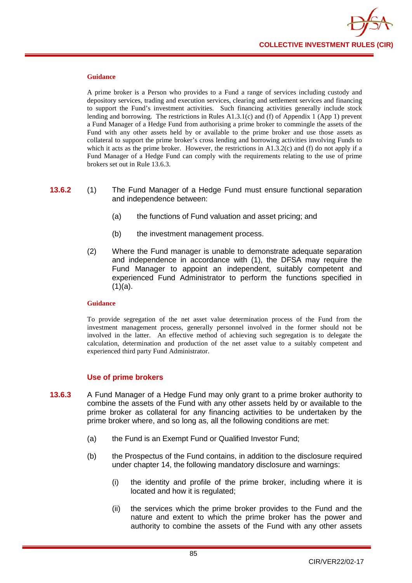

A prime broker is a Person who provides to a Fund a range of services including custody and depository services, trading and execution services, clearing and settlement services and financing to support the Fund's investment activities. Such financing activities generally include stock lending and borrowing. The restrictions in Rules A1.3.1(c) and (f) of Appendix 1 (App 1) prevent a Fund Manager of a Hedge Fund from authorising a prime broker to commingle the assets of the Fund with any other assets held by or available to the prime broker and use those assets as collateral to support the prime broker's cross lending and borrowing activities involving Funds to which it acts as the prime broker. However, the restrictions in A1.3.2(c) and (f) do not apply if a Fund Manager of a Hedge Fund can comply with the requirements relating to the use of prime brokers set out in Rule 13.6.3.

- **13.6.2** (1) The Fund Manager of a Hedge Fund must ensure functional separation and independence between:
	- (a) the functions of Fund valuation and asset pricing; and
	- (b) the investment management process.
	- (2) Where the Fund manager is unable to demonstrate adequate separation and independence in accordance with (1), the DFSA may require the Fund Manager to appoint an independent, suitably competent and experienced Fund Administrator to perform the functions specified in  $(1)(a)$ .

#### **Guidance**

To provide segregation of the net asset value determination process of the Fund from the investment management process, generally personnel involved in the former should not be involved in the latter. An effective method of achieving such segregation is to delegate the calculation, determination and production of the net asset value to a suitably competent and experienced third party Fund Administrator.

# **Use of prime brokers**

- **13.6.3** A Fund Manager of a Hedge Fund may only grant to a prime broker authority to combine the assets of the Fund with any other assets held by or available to the prime broker as collateral for any financing activities to be undertaken by the prime broker where, and so long as, all the following conditions are met:
	- (a) the Fund is an Exempt Fund or Qualified Investor Fund;
	- (b) the Prospectus of the Fund contains, in addition to the disclosure required under chapter 14, the following mandatory disclosure and warnings:
		- (i) the identity and profile of the prime broker, including where it is located and how it is regulated;
		- (ii) the services which the prime broker provides to the Fund and the nature and extent to which the prime broker has the power and authority to combine the assets of the Fund with any other assets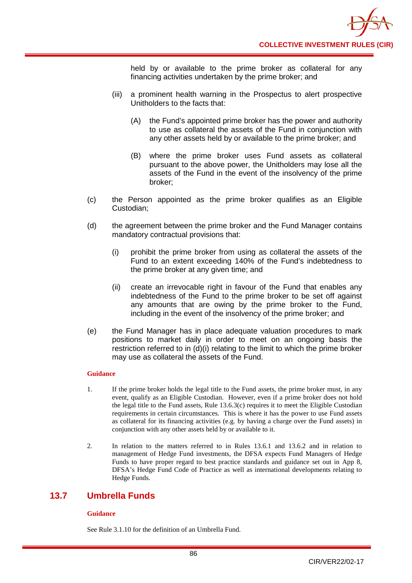held by or available to the prime broker as collateral for any financing activities undertaken by the prime broker; and

- (iii) a prominent health warning in the Prospectus to alert prospective Unitholders to the facts that:
	- (A) the Fund's appointed prime broker has the power and authority to use as collateral the assets of the Fund in conjunction with any other assets held by or available to the prime broker; and
	- (B) where the prime broker uses Fund assets as collateral pursuant to the above power, the Unitholders may lose all the assets of the Fund in the event of the insolvency of the prime broker;
- (c) the Person appointed as the prime broker qualifies as an Eligible Custodian;
- (d) the agreement between the prime broker and the Fund Manager contains mandatory contractual provisions that:
	- (i) prohibit the prime broker from using as collateral the assets of the Fund to an extent exceeding 140% of the Fund's indebtedness to the prime broker at any given time; and
	- (ii) create an irrevocable right in favour of the Fund that enables any indebtedness of the Fund to the prime broker to be set off against any amounts that are owing by the prime broker to the Fund, including in the event of the insolvency of the prime broker; and
- (e) the Fund Manager has in place adequate valuation procedures to mark positions to market daily in order to meet on an ongoing basis the restriction referred to in (d)(i) relating to the limit to which the prime broker may use as collateral the assets of the Fund.

# **Guidance**

- 1. If the prime broker holds the legal title to the Fund assets, the prime broker must, in any event, qualify as an Eligible Custodian. However, even if a prime broker does not hold the legal title to the Fund assets, Rule 13.6.3(c) requires it to meet the Eligible Custodian requirements in certain circumstances. This is where it has the power to use Fund assets as collateral for its financing activities (e.g. by having a charge over the Fund assets) in conjunction with any other assets held by or available to it.
- 2. In relation to the matters referred to in Rules 13.6.1 and 13.6.2 and in relation to management of Hedge Fund investments, the DFSA expects Fund Managers of Hedge Funds to have proper regard to best practice standards and guidance set out in App 8, DFSA's Hedge Fund Code of Practice as well as international developments relating to Hedge Funds.

# **13.7 Umbrella Funds**

# **Guidance**

See Rule 3.1.10 for the definition of an Umbrella Fund.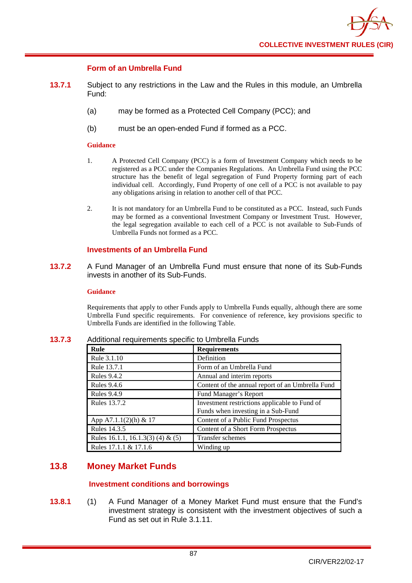

# **Form of an Umbrella Fund**

- **13.7.1** Subject to any restrictions in the Law and the Rules in this module, an Umbrella Fund:
	- (a) may be formed as a Protected Cell Company (PCC); and
	- (b) must be an open-ended Fund if formed as a PCC.

#### **Guidance**

- 1. A Protected Cell Company (PCC) is a form of Investment Company which needs to be registered as a PCC under the Companies Regulations. An Umbrella Fund using the PCC structure has the benefit of legal segregation of Fund Property forming part of each individual cell. Accordingly, Fund Property of one cell of a PCC is not available to pay any obligations arising in relation to another cell of that PCC.
- 2. It is not mandatory for an Umbrella Fund to be constituted as a PCC. Instead, such Funds may be formed as a conventional Investment Company or Investment Trust. However, the legal segregation available to each cell of a PCC is not available to Sub-Funds of Umbrella Funds not formed as a PCC.

# **Investments of an Umbrella Fund**

**13.7.2** A Fund Manager of an Umbrella Fund must ensure that none of its Sub-Funds invests in another of its Sub-Funds.

#### **Guidance**

Requirements that apply to other Funds apply to Umbrella Funds equally, although there are some Umbrella Fund specific requirements. For convenience of reference, key provisions specific to Umbrella Funds are identified in the following Table.

| Rule                              | <b>Requirements</b>                                                                 |
|-----------------------------------|-------------------------------------------------------------------------------------|
| Rule 3.1.10                       | Definition                                                                          |
| Rule 13.7.1                       | Form of an Umbrella Fund                                                            |
| <b>Rules 9.4.2</b>                | Annual and interim reports                                                          |
| <b>Rules 9.4.6</b>                | Content of the annual report of an Umbrella Fund                                    |
| <b>Rules 9.4.9</b>                | Fund Manager's Report                                                               |
| <b>Rules 13.7.2</b>               | Investment restrictions applicable to Fund of<br>Funds when investing in a Sub-Fund |
| App A7.1.1(2)(h) & 17             | Content of a Public Fund Prospectus                                                 |
| Rules 14.3.5                      | Content of a Short Form Prospectus                                                  |
| Rules 16.1.1, 16.1.3(3) (4) & (5) | Transfer schemes                                                                    |
| Rules 17.1.1 & 17.1.6             | Winding up                                                                          |

**13.7.3** Additional requirements specific to Umbrella Funds

# **13.8 Money Market Funds**

# **Investment conditions and borrowings**

**13.8.1** (1) A Fund Manager of a Money Market Fund must ensure that the Fund's investment strategy is consistent with the investment objectives of such a Fund as set out in Rule 3.1.11.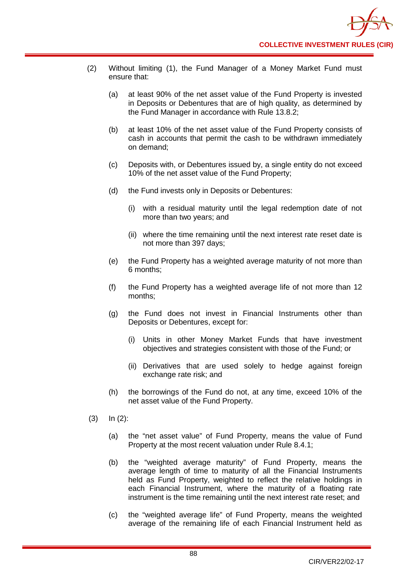- (2) Without limiting (1), the Fund Manager of a Money Market Fund must ensure that:
	- (a) at least 90% of the net asset value of the Fund Property is invested in Deposits or Debentures that are of high quality, as determined by the Fund Manager in accordance with Rule 13.8.2;
	- (b) at least 10% of the net asset value of the Fund Property consists of cash in accounts that permit the cash to be withdrawn immediately on demand;
	- (c) Deposits with, or Debentures issued by, a single entity do not exceed 10% of the net asset value of the Fund Property;
	- (d) the Fund invests only in Deposits or Debentures:
		- (i) with a residual maturity until the legal redemption date of not more than two years; and
		- (ii) where the time remaining until the next interest rate reset date is not more than 397 days;
	- (e) the Fund Property has a weighted average maturity of not more than 6 months;
	- (f) the Fund Property has a weighted average life of not more than 12 months;
	- (g) the Fund does not invest in Financial Instruments other than Deposits or Debentures, except for:
		- (i) Units in other Money Market Funds that have investment objectives and strategies consistent with those of the Fund; or
		- (ii) Derivatives that are used solely to hedge against foreign exchange rate risk; and
	- (h) the borrowings of the Fund do not, at any time, exceed 10% of the net asset value of the Fund Property.
- (3) In (2):
	- (a) the "net asset value" of Fund Property, means the value of Fund Property at the most recent valuation under Rule 8.4.1;
	- (b) the "weighted average maturity" of Fund Property, means the average length of time to maturity of all the Financial Instruments held as Fund Property, weighted to reflect the relative holdings in each Financial Instrument, where the maturity of a floating rate instrument is the time remaining until the next interest rate reset; and
	- (c) the "weighted average life" of Fund Property, means the weighted average of the remaining life of each Financial Instrument held as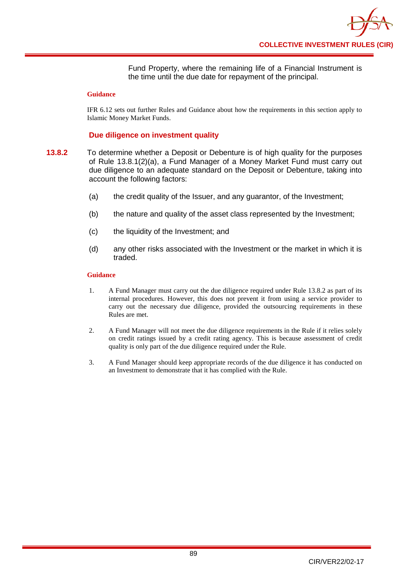Fund Property, where the remaining life of a Financial Instrument is the time until the due date for repayment of the principal.

#### **Guidance**

IFR 6.12 sets out further Rules and Guidance about how the requirements in this section apply to Islamic Money Market Funds.

# **Due diligence on investment quality**

- **13.8.2** To determine whether a Deposit or Debenture is of high quality for the purposes of Rule 13.8.1(2)(a), a Fund Manager of a Money Market Fund must carry out due diligence to an adequate standard on the Deposit or Debenture, taking into account the following factors:
	- (a) the credit quality of the Issuer, and any guarantor, of the Investment;
	- (b) the nature and quality of the asset class represented by the Investment;
	- (c) the liquidity of the Investment; and
	- (d) any other risks associated with the Investment or the market in which it is traded.

#### **Guidance**

- 1. A Fund Manager must carry out the due diligence required under Rule 13.8.2 as part of its internal procedures. However, this does not prevent it from using a service provider to carry out the necessary due diligence, provided the outsourcing requirements in these Rules are met.
- 2. A Fund Manager will not meet the due diligence requirements in the Rule if it relies solely on credit ratings issued by a credit rating agency. This is because assessment of credit quality is only part of the due diligence required under the Rule.
- 3. A Fund Manager should keep appropriate records of the due diligence it has conducted on an Investment to demonstrate that it has complied with the Rule.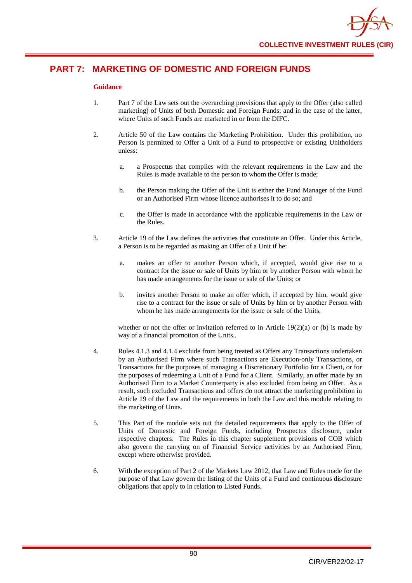

# **PART 7: MARKETING OF DOMESTIC AND FOREIGN FUNDS**

# **Guidance**

- 1. Part 7 of the Law sets out the overarching provisions that apply to the Offer (also called marketing) of Units of both Domestic and Foreign Funds; and in the case of the latter, where Units of such Funds are marketed in or from the DIFC.
- 2. Article 50 of the Law contains the Marketing Prohibition. Under this prohibition, no Person is permitted to Offer a Unit of a Fund to prospective or existing Unitholders unless:
	- a. a Prospectus that complies with the relevant requirements in the Law and the Rules is made available to the person to whom the Offer is made;
	- b. the Person making the Offer of the Unit is either the Fund Manager of the Fund or an Authorised Firm whose licence authorises it to do so; and
	- c. the Offer is made in accordance with the applicable requirements in the Law or the Rules.
- 3. Article 19 of the Law defines the activities that constitute an Offer. Under this Article, a Person is to be regarded as making an Offer of a Unit if he:
	- a. makes an offer to another Person which, if accepted, would give rise to a contract for the issue or sale of Units by him or by another Person with whom he has made arrangements for the issue or sale of the Units; or
	- b. invites another Person to make an offer which, if accepted by him, would give rise to a contract for the issue or sale of Units by him or by another Person with whom he has made arrangements for the issue or sale of the Units,

whether or not the offer or invitation referred to in Article  $19(2)(a)$  or (b) is made by way of a financial promotion of the Units..

- 4. Rules 4.1.3 and 4.1.4 exclude from being treated as Offers any Transactions undertaken by an Authorised Firm where such Transactions are Execution-only Transactions, or Transactions for the purposes of managing a Discretionary Portfolio for a Client, or for the purposes of redeeming a Unit of a Fund for a Client. Similarly, an offer made by an Authorised Firm to a Market Counterparty is also excluded from being an Offer. As a result, such excluded Transactions and offers do not attract the marketing prohibition in Article 19 of the Law and the requirements in both the Law and this module relating to the marketing of Units.
- 5. This Part of the module sets out the detailed requirements that apply to the Offer of Units of Domestic and Foreign Funds, including Prospectus disclosure, under respective chapters. The Rules in this chapter supplement provisions of COB which also govern the carrying on of Financial Service activities by an Authorised Firm, except where otherwise provided.
- 6. With the exception of Part 2 of the Markets Law 2012, that Law and Rules made for the purpose of that Law govern the listing of the Units of a Fund and continuous disclosure obligations that apply to in relation to Listed Funds.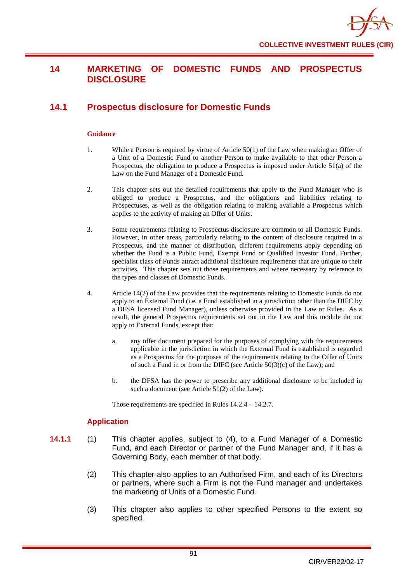# **14 MARKETING OF DOMESTIC FUNDS AND PROSPECTUS DISCLOSURE**

# **14.1 Prospectus disclosure for Domestic Funds**

# **Guidance**

- 1. While a Person is required by virtue of Article 50(1) of the Law when making an Offer of a Unit of a Domestic Fund to another Person to make available to that other Person a Prospectus, the obligation to produce a Prospectus is imposed under Article 51(a) of the Law on the Fund Manager of a Domestic Fund.
- 2. This chapter sets out the detailed requirements that apply to the Fund Manager who is obliged to produce a Prospectus, and the obligations and liabilities relating to Prospectuses, as well as the obligation relating to making available a Prospectus which applies to the activity of making an Offer of Units.
- 3. Some requirements relating to Prospectus disclosure are common to all Domestic Funds. However, in other areas, particularly relating to the content of disclosure required in a Prospectus, and the manner of distribution, different requirements apply depending on whether the Fund is a Public Fund, Exempt Fund or Qualified Investor Fund. Further, specialist class of Funds attract additional disclosure requirements that are unique to their activities. This chapter sets out those requirements and where necessary by reference to the types and classes of Domestic Funds.
- 4. Article 14(2) of the Law provides that the requirements relating to Domestic Funds do not apply to an External Fund (i.e. a Fund established in a jurisdiction other than the DIFC by a DFSA licensed Fund Manager), unless otherwise provided in the Law or Rules. As a result, the general Prospectus requirements set out in the Law and this module do not apply to External Funds, except that:
	- a. any offer document prepared for the purposes of complying with the requirements applicable in the jurisdiction in which the External Fund is established is regarded as a Prospectus for the purposes of the requirements relating to the Offer of Units of such a Fund in or from the DIFC (see Article 50(3)(c) of the Law); and
	- b. the DFSA has the power to prescribe any additional disclosure to be included in such a document (see Article 51(2) of the Law).

Those requirements are specified in Rules 14.2.4 – 14.2.7.

# **Application**

- **14.1.1** (1) This chapter applies, subject to (4), to a Fund Manager of a Domestic Fund, and each Director or partner of the Fund Manager and, if it has a Governing Body, each member of that body.
	- (2) This chapter also applies to an Authorised Firm, and each of its Directors or partners, where such a Firm is not the Fund manager and undertakes the marketing of Units of a Domestic Fund.
	- (3) This chapter also applies to other specified Persons to the extent so specified.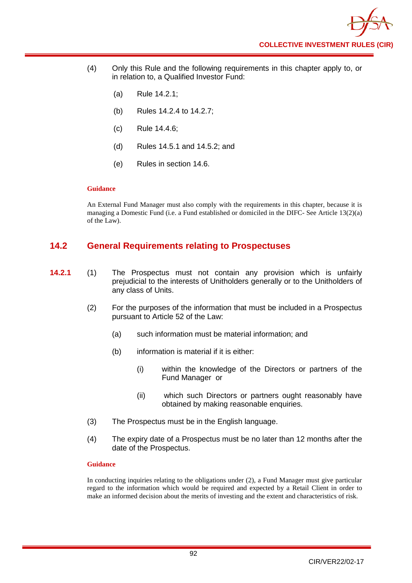- (4) Only this Rule and the following requirements in this chapter apply to, or in relation to, a Qualified Investor Fund:
	- (a) Rule 14.2.1;
	- (b) Rules 14.2.4 to 14.2.7;
	- (c) Rule 14.4.6;
	- (d) Rules 14.5.1 and 14.5.2; and
	- (e) Rules in section 14.6.

An External Fund Manager must also comply with the requirements in this chapter, because it is managing a Domestic Fund (i.e. a Fund established or domiciled in the DIFC- See Article 13(2)(a) of the Law).

# **14.2 General Requirements relating to Prospectuses**

- **14.2.1** (1) The Prospectus must not contain any provision which is unfairly prejudicial to the interests of [Unitholders](http://fsahandbook.info/FSA/glossary.jsp?doc=glossary%5Cglossary&gloss=G1233#G1233) generally or to the [Unitholders](http://fsahandbook.info/FSA/glossary.jsp?doc=glossary%5Cglossary&gloss=G1233#G1233) of any [class](http://fsahandbook.info/FSA/glossary.jsp?doc=glossary%5Cglossary&gloss=G152#G152) of [Units.](http://fsahandbook.info/FSA/glossary.jsp?doc=glossary%5Cglossary&gloss=G1230#G1230)
	- (2) For the purposes of the information that must be included in a Prospectus pursuant to Article 52 of the Law:
		- (a) such information must be material information; and
		- (b) information is material if it is either:
			- (i) within the knowledge of the Directors or partners of the Fund Manager or
			- (ii) which such [Directors](http://fsahandbook.info/FSA/glossary.jsp?doc=glossary%5Cglossary&gloss=G296#G296) or partners ought reasonably have obtained by making reasonable enquiries.
	- (3) The Prospectus must be in the English language.
	- (4) The expiry date of a Prospectus must be no later than 12 months after the date of the Prospectus.

#### **Guidance**

In conducting inquiries relating to the obligations under (2), a Fund Manager must give particular regard to the information which would be required and expected by a Retail Client in order to make an informed decision about the merits of investing and the extent and characteristics of risk.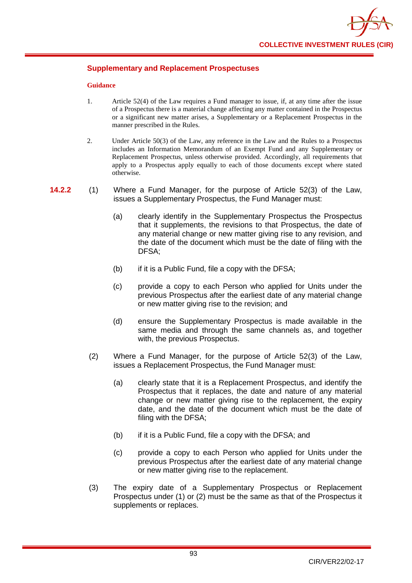

# **Supplementary and Replacement Prospectuses**

#### **Guidance**

- 1. Article 52(4) of the Law requires a Fund manager to issue, if, at any time after the issue of a Prospectus there is a material change affecting any matter contained in the Prospectus or a significant new matter arises, a Supplementary or a Replacement Prospectus in the manner prescribed in the Rules.
- 2. Under Article 50(3) of the Law, any reference in the Law and the Rules to a Prospectus includes an Information Memorandum of an Exempt Fund and any Supplementary or Replacement Prospectus, unless otherwise provided. Accordingly, all requirements that apply to a Prospectus apply equally to each of those documents except where stated otherwise.
- **14.2.2** (1) Where a Fund Manager, for the purpose of Article 52(3) of the Law, issues a Supplementary Prospectus, the Fund Manager must:
	- (a) clearly identify in the Supplementary [Prospectus](http://fsahandbook.info/FSA/glossary.jsp?doc=glossary%5Cglossary&gloss=G924#G924) the Prospectus that it supplements, the revisions to that Prospectus, the date of any material change or new matter giving rise to any revision, and the date of the document which must be the date of filing with the DFSA;
	- (b) if it is a Public Fund, file a copy with the DFSA;
	- (c) provide a copy to each Person who applied for Units under the previous Prospectus after the earliest date of any material change or new matter giving rise to the revision; and
	- (d) ensure the Supplementary Prospectus is made available in the same media and through the same channels as, and together with, the previous Prospectus.
	- (2) Where a Fund Manager, for the purpose of Article 52(3) of the Law, issues a Replacement Prospectus, the Fund Manager must:
		- (a) clearly state that it is a Replacement Prospectus, and identify the Prospectus that it replaces, the date and nature of any material change or new matter giving rise to the replacement, the expiry date, and the date of the document which must be the date of filing with the DFSA;
		- (b) if it is a Public Fund, file a copy with the DFSA; and
		- (c) provide a copy to each Person who applied for Units under the previous Prospectus after the earliest date of any material change or new matter giving rise to the replacement.
	- (3) The expiry date of a Supplementary Prospectus or Replacement Prospectus under (1) or (2) must be the same as that of the Prospectus it supplements or replaces.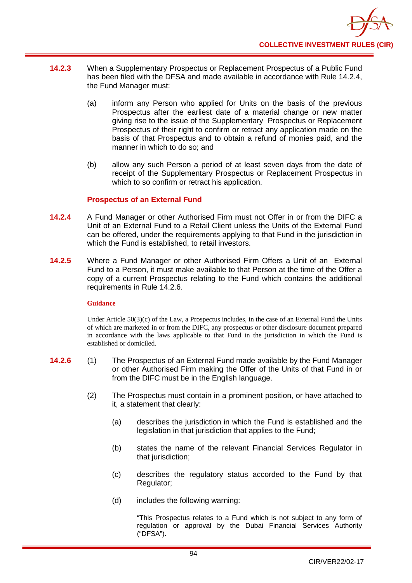

- **14.2.3** When a Supplementary Prospectus or Replacement Prospectus of a Public Fund has been filed with the DFSA and made available in accordance with Rule 14.2.4, the Fund Manager must:
	- (a) inform any Person who applied for Units on the basis of the previous Prospectus after the earliest date of a material change or new matter giving rise to the issue of the Supplementary Prospectus or Replacement Prospectus of their right to confirm or retract any application made on the basis of that Prospectus and to obtain a refund of monies paid, and the manner in which to do so; and
	- (b) allow any such Person a period of at least seven days from the date of receipt of the Supplementary Prospectus or Replacement Prospectus in which to so confirm or retract his application.

# **Prospectus of an External Fund**

- **14.2.4** A Fund Manager or other Authorised Firm must not Offer in or from the DIFC a Unit of an External Fund to a Retail Client unless the Units of the External Fund can be offered, under the requirements applying to that Fund in the jurisdiction in which the Fund is established, to retail investors.
- **14.2.5** Where a Fund Manager or other Authorised Firm Offers a Unit of an External Fund to a Person, it must make available to that Person at the time of the Offer a copy of a current Prospectus relating to the Fund which contains the additional requirements in Rule 14.2.6.

# **Guidance**

Under Article 50(3)(c) of the Law, a Prospectus includes, in the case of an External Fund the Units of which are marketed in or from the DIFC, any prospectus or other disclosure document prepared in accordance with the laws applicable to that Fund in the jurisdiction in which the Fund is established or domiciled.

- **14.2.6** (1) The Prospectus of an External Fund made available by the Fund Manager or other Authorised Firm making the Offer of the Units of that Fund in or from the DIFC must be in the English language.
	- (2) The Prospectus must contain in a prominent position, or have attached to it, a statement that clearly:
		- (a) describes the jurisdiction in which the Fund is established and the legislation in that jurisdiction that applies to the Fund;
		- (b) states the name of the relevant Financial Services Regulator in that jurisdiction;
		- (c) describes the regulatory status accorded to the Fund by that Regulator;
		- (d) includes the following warning:

"This Prospectus relates to a Fund which is not subject to any form of regulation or approval by the Dubai Financial Services Authority ("DFSA").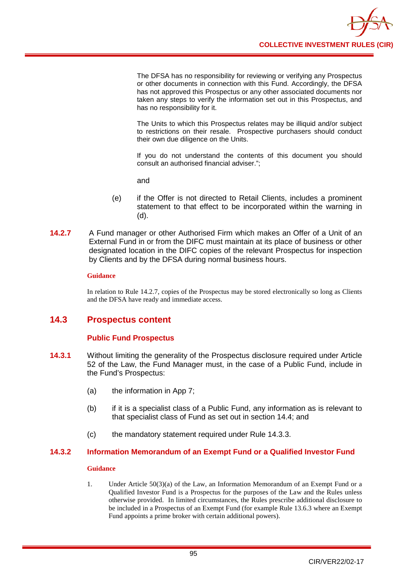

The DFSA has no responsibility for reviewing or verifying any Prospectus or other documents in connection with this Fund. Accordingly, the DFSA has not approved this Prospectus or any other associated documents nor taken any steps to verify the information set out in this Prospectus, and has no responsibility for it.

The Units to which this Prospectus relates may be illiquid and/or subject to restrictions on their resale. Prospective purchasers should conduct their own due diligence on the Units.

If you do not understand the contents of this document you should consult an authorised financial adviser.";

and

- (e) if the Offer is not directed to Retail Clients, includes a prominent statement to that effect to be incorporated within the warning in (d).
- **14.2.7** A Fund manager or other Authorised Firm which makes an Offer of a Unit of an External Fund in or from the DIFC must maintain at its place of business or other designated location in the DIFC copies of the relevant Prospectus for inspection by Clients and by the DFSA during normal business hours.

#### **Guidance**

In relation to Rule 14.2.7, copies of the Prospectus may be stored electronically so long as Clients and the DFSA have ready and immediate access.

# **14.3 Prospectus content**

# **Public Fund Prospectus**

- **14.3.1** Without limiting the generality of the Prospectus disclosure required under Article 52 of the Law, the Fund Manager must, in the case of a Public Fund, include in the Fund's Prospectus:
	- (a) the information in App 7;
	- (b) if it is a specialist class of a Public Fund, any information as is relevant to that specialist class of Fund as set out in section 14.4; and
	- (c) the mandatory statement required under Rule 14.3.3.

# **14.3.2 Information Memorandum of an Exempt Fund or a Qualified Investor Fund**

#### **Guidance**

1. Under Article 50(3)(a) of the Law, an Information Memorandum of an Exempt Fund or a Qualified Investor Fund is a Prospectus for the purposes of the Law and the Rules unless otherwise provided. In limited circumstances, the Rules prescribe additional disclosure to be included in a Prospectus of an Exempt Fund (for example Rule 13.6.3 where an Exempt Fund appoints a prime broker with certain additional powers).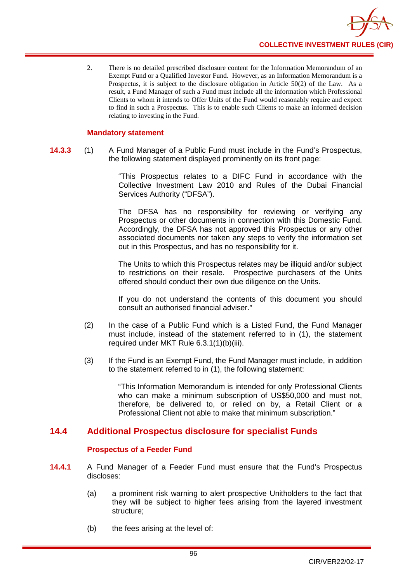

2. There is no detailed prescribed disclosure content for the Information Memorandum of an Exempt Fund or a Qualified Investor Fund. However, as an Information Memorandum is a Prospectus, it is subject to the disclosure obligation in Article 50(2) of the Law. As a result, a Fund Manager of such a Fund must include all the information which Professional Clients to whom it intends to Offer Units of the Fund would reasonably require and expect to find in such a Prospectus. This is to enable such Clients to make an informed decision relating to investing in the Fund.

# **Mandatory statement**

**14.3.3** (1) A Fund Manager of a Public Fund must include in the Fund's Prospectus, the following statement displayed prominently on its front page:

> "This Prospectus relates to a DIFC Fund in accordance with the Collective Investment Law 2010 and Rules of the Dubai Financial Services Authority ("DFSA").

> The DFSA has no responsibility for reviewing or verifying any Prospectus or other documents in connection with this Domestic Fund. Accordingly, the DFSA has not approved this Prospectus or any other associated documents nor taken any steps to verify the information set out in this Prospectus, and has no responsibility for it.

> The Units to which this Prospectus relates may be illiquid and/or subject to restrictions on their resale. Prospective purchasers of the Units offered should conduct their own due diligence on the Units.

> If you do not understand the contents of this document you should consult an authorised financial adviser."

- (2) In the case of a Public Fund which is a Listed Fund, the Fund Manager must include, instead of the statement referred to in (1), the statement required under MKT Rule 6.3.1(1)(b)(iii).
- (3) If the Fund is an Exempt Fund, the Fund Manager must include, in addition to the statement referred to in (1), the following statement:

"This Information Memorandum is intended for only Professional Clients who can make a minimum subscription of US\$50,000 and must not, therefore, be delivered to, or relied on by, a Retail Client or a Professional Client not able to make that minimum subscription."

# **14.4 Additional Prospectus disclosure for specialist Funds**

# **Prospectus of a Feeder Fund**

- **14.4.1** A Fund Manager of a Feeder Fund must ensure that the Fund's Prospectus discloses:
	- (a) a prominent risk warning to alert prospective Unitholders to the fact that they will be subject to higher fees arising from the layered investment structure;
	- (b) the fees arising at the level of: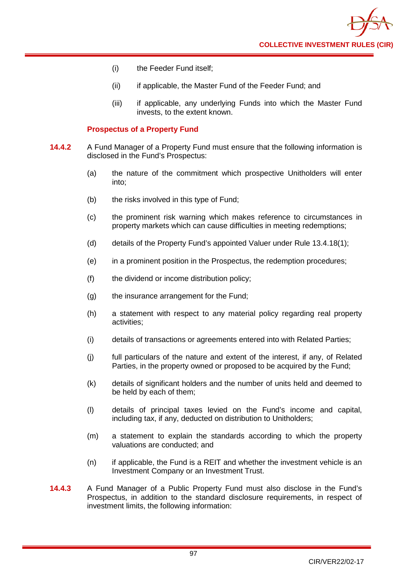

- (i) the Feeder Fund itself;
- (ii) if applicable, the Master Fund of the Feeder Fund; and
- (iii) if applicable, any underlying Funds into which the Master Fund invests, to the extent known.

# **Prospectus of a Property Fund**

- **14.4.2** A Fund Manager of a Property Fund must ensure that the following information is disclosed in the Fund's Prospectus:
	- (a) the nature of the commitment which prospective Unitholders will enter into;
	- (b) the risks involved in this type of Fund;
	- (c) the prominent risk warning which makes reference to circumstances in property markets which can cause difficulties in meeting redemptions;
	- (d) details of the Property Fund's appointed Valuer under Rule 13.4.18(1);
	- (e) in a prominent position in the Prospectus, the redemption procedures;
	- (f) the dividend or income distribution policy;
	- (g) the insurance arrangement for the Fund;
	- (h) a statement with respect to any material policy regarding real property activities;
	- (i) details of transactions or agreements entered into with Related Parties;
	- (j) full particulars of the nature and extent of the interest, if any, of Related Parties, in the property owned or proposed to be acquired by the Fund;
	- (k) details of significant holders and the number of units held and deemed to be held by each of them;
	- (l) details of principal taxes levied on the Fund's income and capital, including tax, if any, deducted on distribution to Unitholders;
	- (m) a statement to explain the standards according to which the property valuations are conducted; and
	- (n) if applicable, the Fund is a REIT and whether the investment vehicle is an Investment Company or an Investment Trust.
- **14.4.3** A Fund Manager of a Public Property Fund must also disclose in the Fund's Prospectus, in addition to the standard disclosure requirements, in respect of investment limits, the following information: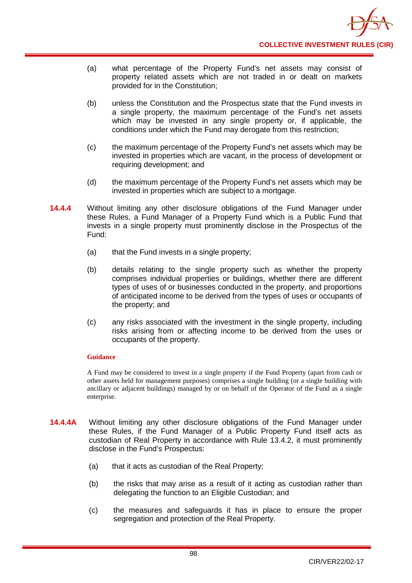- (a) what percentage of the Property Fund's net assets may consist of property related assets which are not traded in or dealt on markets provided for in the Constitution;
- (b) unless the Constitution and the Prospectus state that the Fund invests in a single property, the maximum percentage of the Fund's net assets which may be invested in any single property or, if applicable, the conditions under which the Fund may derogate from this restriction;
- (c) the maximum percentage of the Property Fund's net assets which may be invested in properties which are vacant, in the process of development or requiring development; and
- (d) the maximum percentage of the Property Fund's net assets which may be invested in properties which are subject to a mortgage.
- **14.4.4** Without limiting any other disclosure obligations of the Fund Manager under these Rules, a Fund Manager of a Property Fund which is a Public Fund that invests in a single property must prominently disclose in the Prospectus of the Fund:
	- (a) that the Fund invests in a single property;
	- (b) details relating to the single property such as whether the property comprises individual properties or buildings, whether there are different types of uses of or businesses conducted in the property, and proportions of anticipated income to be derived from the types of uses or occupants of the property; and
	- (c) any risks associated with the investment in the single property, including risks arising from or affecting income to be derived from the uses or occupants of the property.

A Fund may be considered to invest in a single property if the Fund Property (apart from cash or other assets held for management purposes) comprises a single building (or a single building with ancillary or adjacent buildings) managed by or on behalf of the Operator of the Fund as a single enterprise.

- **14.4.4A** Without limiting any other disclosure obligations of the Fund Manager under these Rules, if the Fund Manager of a Public Property Fund itself acts as custodian of Real Property in accordance with Rule 13.4.2, it must prominently disclose in the Fund's Prospectus:
	- (a) that it acts as custodian of the Real Property;
	- (b) the risks that may arise as a result of it acting as custodian rather than delegating the function to an Eligible Custodian; and
	- (c) the measures and safeguards it has in place to ensure the proper segregation and protection of the Real Property.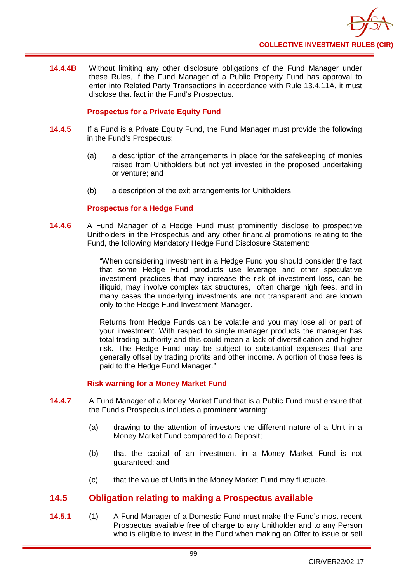

**14.4.4B** Without limiting any other disclosure obligations of the Fund Manager under these Rules, if the Fund Manager of a Public Property Fund has approval to enter into Related Party Transactions in accordance with Rule 13.4.11A, it must disclose that fact in the Fund's Prospectus.

# **Prospectus for a Private Equity Fund**

- **14.4.5** If a Fund is a Private Equity Fund, the Fund Manager must provide the following in the Fund's Prospectus:
	- (a) a description of the arrangements in place for the safekeeping of monies raised from Unitholders but not yet invested in the proposed undertaking or venture; and
	- (b) a description of the exit arrangements for Unitholders.

# **Prospectus for a Hedge Fund**

**14.4.6** A Fund Manager of a Hedge Fund must prominently disclose to prospective Unitholders in the Prospectus and any other financial promotions relating to the Fund, the following Mandatory Hedge Fund Disclosure Statement:

> "When considering investment in a Hedge Fund you should consider the fact that some Hedge Fund products use leverage and other speculative investment practices that may increase the risk of investment loss, can be illiquid, may involve complex tax structures, often charge high fees, and in many cases the underlying investments are not transparent and are known only to the Hedge Fund Investment Manager.

> Returns from Hedge Funds can be volatile and you may lose all or part of your investment. With respect to single manager products the manager has total trading authority and this could mean a lack of diversification and higher risk. The Hedge Fund may be subject to substantial expenses that are generally offset by trading profits and other income. A portion of those fees is paid to the Hedge Fund Manager."

# **Risk warning for a Money Market Fund**

- **14.4.7** A Fund Manager of a Money Market Fund that is a Public Fund must ensure that the Fund's Prospectus includes a prominent warning:
	- (a) drawing to the attention of investors the different nature of a Unit in a Money Market Fund compared to a Deposit;
	- (b) that the capital of an investment in a Money Market Fund is not guaranteed; and
	- (c) that the value of Units in the Money Market Fund may fluctuate.

# **14.5 Obligation relating to making a Prospectus available**

**14.5.1** (1) A Fund Manager of a Domestic Fund must make the Fund's most recent [Prospectus](http://fsahandbook.info/FSA/glossary.jsp?doc=glossary%5Cglossary&gloss=G924#G924) available free of charge to any Unitholder and to any [Person](http://fsahandbook.info/FSA/glossary.jsp?doc=glossary%5Cglossary&gloss=G869#G869) who is eligible to invest in the Fund when making an Offer to issue or sell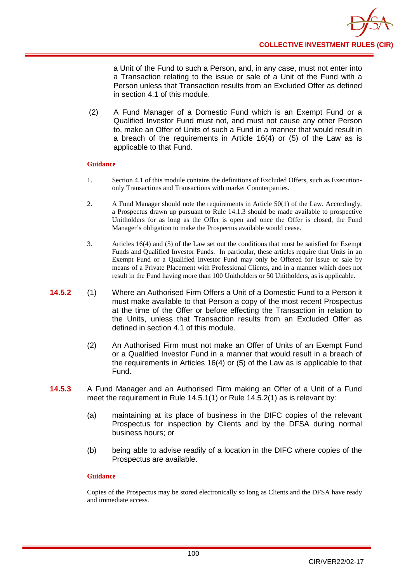a Unit of the Fund to such a Person, and, in any case, must not enter into a Transaction relating to the issue or sale of a Unit of the Fund with a Person unless that Transaction results from an Excluded Offer as defined in section 4.1 of this module.

(2) A Fund Manager of a Domestic Fund which is an Exempt Fund or a Qualified Investor Fund must not, and must not cause any other Person to, make an Offer of Units of such a Fund in a manner that would result in a breach of the requirements in Article 16(4) or (5) of the Law as is applicable to that Fund.

# **Guidance**

- 1. Section 4.1 of this module contains the definitions of Excluded Offers, such as Executiononly Transactions and Transactions with market Counterparties.
- 2. A Fund Manager should note the requirements in Article 50(1) of the Law. Accordingly, a Prospectus drawn up pursuant to Rule 14.1.3 should be made available to prospective Unitholders for as long as the Offer is open and once the Offer is closed, the Fund Manager's obligation to make the Prospectus available would cease.
- 3. Articles 16(4) and (5) of the Law set out the conditions that must be satisfied for Exempt Funds and Qualified Investor Funds. In particular, these articles require that Units in an Exempt Fund or a Qualified Investor Fund may only be Offered for issue or sale by means of a Private Placement with Professional Clients, and in a manner which does not result in the Fund having more than 100 Unitholders or 50 Unitholders, as is applicable.
- **14.5.2** (1) Where an Authorised Firm Offers a Unit of a Domestic Fund to a Person it must make available to that Person a copy of the most recent Prospectus at the time of the Offer or before effecting the Transaction in relation to the Units, unless that Transaction results from an Excluded Offer as defined in section 4.1 of this module.
	- (2) An Authorised Firm must not make an Offer of Units of an Exempt Fund or a Qualified Investor Fund in a manner that would result in a breach of the requirements in Articles 16(4) or (5) of the Law as is applicable to that Fund.
- **14.5.3** A Fund Manager and an Authorised Firm making an Offer of a Unit of a Fund meet the requirement in Rule 14.5.1(1) or Rule 14.5.2(1) as is relevant by:
	- (a) maintaining at its place of business in the DIFC copies of the relevant Prospectus for inspection by Clients and by the DFSA during normal business hours; or
	- (b) being able to advise readily of a location in the DIFC where copies of the Prospectus are available.

#### **Guidance**

Copies of the Prospectus may be stored electronically so long as Clients and the DFSA have ready and immediate access.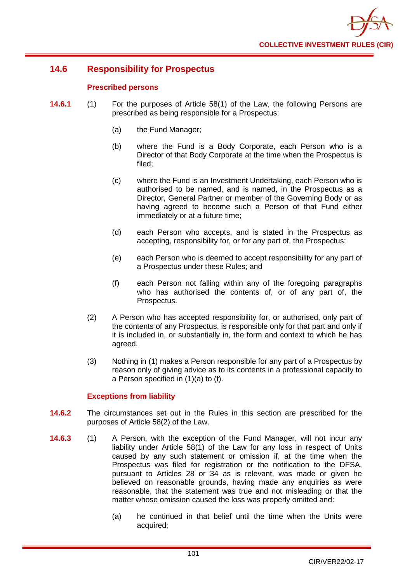

# **14.6 Responsibility for Prospectus**

# **Prescribed persons**

- **14.6.1** (1) For the purposes of Article 58(1) of the Law, the following Persons are prescribed as being responsible for a Prospectus:
	- (a) the Fund Manager;
	- (b) where the Fund is a Body Corporate, each Person who is a Director of that Body Corporate at the time when the Prospectus is filed;
	- (c) where the Fund is an Investment Undertaking, each Person who is authorised to be named, and is named, in the Prospectus as a Director, General Partner or member of the Governing Body or as having agreed to become such a Person of that Fund either immediately or at a future time;
	- (d) each Person who accepts, and is stated in the Prospectus as accepting, responsibility for, or for any part of, the Prospectus;
	- (e) each Person who is deemed to accept responsibility for any part of a Prospectus under these Rules; and
	- (f) each Person not falling within any of the foregoing paragraphs who has authorised the contents of, or of any part of, the Prospectus.
	- (2) A Person who has accepted responsibility for, or authorised, only part of the contents of any Prospectus, is responsible only for that part and only if it is included in, or substantially in, the form and context to which he has agreed.
	- (3) Nothing in (1) makes a Person responsible for any part of a Prospectus by reason only of giving advice as to its contents in a professional capacity to a Person specified in (1)(a) to (f).

# **Exceptions from liability**

- **14.6.2** The circumstances set out in the Rules in this section are prescribed for the purposes of Article 58(2) of the Law.
- **14.6.3** (1) A Person, with the exception of the Fund Manager, will not incur any liability under Article 58(1) of the Law for any loss in respect of Units caused by any such statement or omission if, at the time when the Prospectus was filed for registration or the notification to the DFSA, pursuant to Articles 28 or 34 as is relevant, was made or given he believed on reasonable grounds, having made any enquiries as were reasonable, that the statement was true and not misleading or that the matter whose omission caused the loss was properly omitted and:
	- (a) he continued in that belief until the time when the Units were acquired;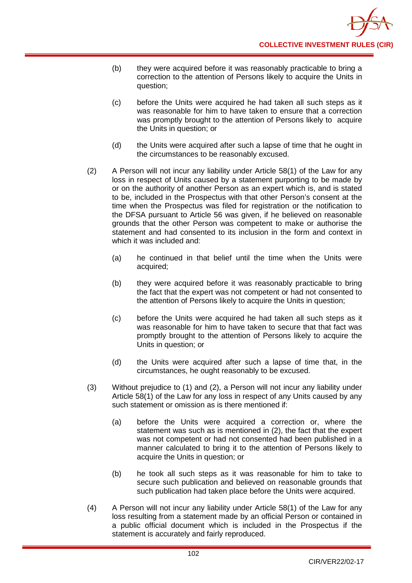- (b) they were acquired before it was reasonably practicable to bring a correction to the attention of Persons likely to acquire the Units in question;
- (c) before the Units were acquired he had taken all such steps as it was reasonable for him to have taken to ensure that a correction was promptly brought to the attention of Persons likely to acquire the Units in question; or
- (d) the Units were acquired after such a lapse of time that he ought in the circumstances to be reasonably excused.
- (2) A Person will not incur any liability under Article 58(1) of the Law for any loss in respect of Units caused by a statement purporting to be made by or on the authority of another Person as an expert which is, and is stated to be, included in the Prospectus with that other Person's consent at the time when the Prospectus was filed for registration or the notification to the DFSA pursuant to Article 56 was given, if he believed on reasonable grounds that the other Person was competent to make or authorise the statement and had consented to its inclusion in the form and context in which it was included and:
	- (a) he continued in that belief until the time when the Units were acquired;
	- (b) they were acquired before it was reasonably practicable to bring the fact that the expert was not competent or had not consented to the attention of Persons likely to acquire the Units in question;
	- (c) before the Units were acquired he had taken all such steps as it was reasonable for him to have taken to secure that that fact was promptly brought to the attention of Persons likely to acquire the Units in question; or
	- (d) the Units were acquired after such a lapse of time that, in the circumstances, he ought reasonably to be excused.
- (3) Without prejudice to (1) and (2), a Person will not incur any liability under Article 58(1) of the Law for any loss in respect of any Units caused by any such statement or omission as is there mentioned if:
	- (a) before the Units were acquired a correction or, where the statement was such as is mentioned in (2), the fact that the expert was not competent or had not consented had been published in a manner calculated to bring it to the attention of Persons likely to acquire the Units in question; or
	- (b) he took all such steps as it was reasonable for him to take to secure such publication and believed on reasonable grounds that such publication had taken place before the Units were acquired.
- (4) A Person will not incur any liability under Article 58(1) of the Law for any loss resulting from a statement made by an official Person or contained in a public official document which is included in the Prospectus if the statement is accurately and fairly reproduced.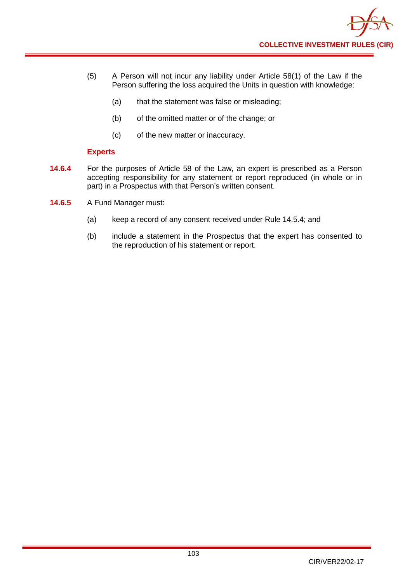- (5) A Person will not incur any liability under Article 58(1) of the Law if the Person suffering the loss acquired the Units in question with knowledge:
	- (a) that the statement was false or misleading;
	- (b) of the omitted matter or of the change; or
	- (c) of the new matter or inaccuracy.

# **Experts**

- **14.6.4** For the purposes of Article 58 of the Law, an expert is prescribed as a Person accepting responsibility for any statement or report reproduced (in whole or in part) in a Prospectus with that Person's written consent.
- **14.6.5** A Fund Manager must:
	- (a) keep a record of any consent received under Rule 14.5.4; and
	- (b) include a statement in the Prospectus that the expert has consented to the reproduction of his statement or report.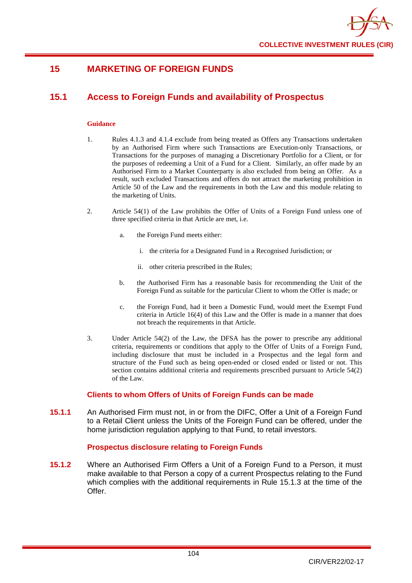

## **15 MARKETING OF FOREIGN FUNDS**

## **15.1 Access to Foreign Funds and availability of Prospectus**

#### **Guidance**

- 1. Rules 4.1.3 and 4.1.4 exclude from being treated as Offers any Transactions undertaken by an Authorised Firm where such Transactions are Execution-only Transactions, or Transactions for the purposes of managing a Discretionary Portfolio for a Client, or for the purposes of redeeming a Unit of a Fund for a Client. Similarly, an offer made by an Authorised Firm to a Market Counterparty is also excluded from being an Offer. As a result, such excluded Transactions and offers do not attract the marketing prohibition in Article 50 of the Law and the requirements in both the Law and this module relating to the marketing of Units.
- 2. Article 54(1) of the Law prohibits the Offer of Units of a Foreign Fund unless one of three specified criteria in that Article are met, i.e.
	- a. the Foreign Fund meets either:
		- i. the criteria for a Designated Fund in a Recognised Jurisdiction; or
		- ii. other criteria prescribed in the Rules;
	- b. the Authorised Firm has a reasonable basis for recommending the Unit of the Foreign Fund as suitable for the particular Client to whom the Offer is made; or
	- c. the Foreign Fund, had it been a Domestic Fund, would meet the Exempt Fund criteria in Article 16(4) of this Law and the Offer is made in a manner that does not breach the requirements in that Article.
- 3. Under Article 54(2) of the Law, the DFSA has the power to prescribe any additional criteria, requirements or conditions that apply to the Offer of Units of a Foreign Fund, including disclosure that must be included in a Prospectus and the legal form and structure of the Fund such as being open-ended or closed ended or listed or not. This section contains additional criteria and requirements prescribed pursuant to Article 54(2) of the Law.

## **Clients to whom Offers of Units of Foreign Funds can be made**

**15.1.1** An Authorised Firm must not, in or from the DIFC, Offer a Unit of a Foreign Fund to a Retail Client unless the Units of the Foreign Fund can be offered, under the home jurisdiction regulation applying to that Fund, to retail investors.

## **Prospectus disclosure relating to Foreign Funds**

**15.1.2** Where an Authorised Firm Offers a Unit of a Foreign Fund to a Person, it must make available to that Person a copy of a current Prospectus relating to the Fund which complies with the additional requirements in Rule 15.1.3 at the time of the Offer.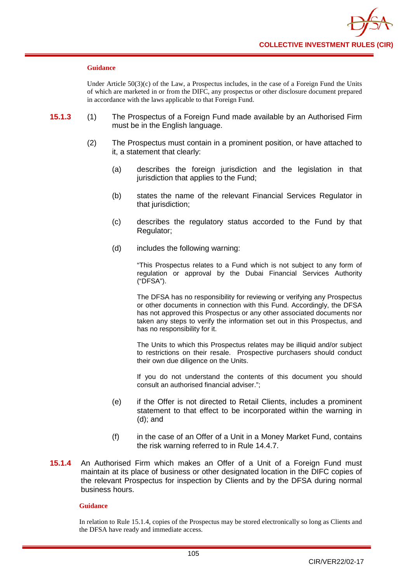

#### **Guidance**

Under Article 50(3)(c) of the Law, a Prospectus includes, in the case of a Foreign Fund the Units of which are marketed in or from the DIFC, any prospectus or other disclosure document prepared in accordance with the laws applicable to that Foreign Fund.

- **15.1.3** (1) The Prospectus of a Foreign Fund made available by an Authorised Firm must be in the English language.
	- (2) The Prospectus must contain in a prominent position, or have attached to it, a statement that clearly:
		- (a) describes the foreign jurisdiction and the legislation in that jurisdiction that applies to the Fund;
		- (b) states the name of the relevant Financial Services Regulator in that jurisdiction;
		- (c) describes the regulatory status accorded to the Fund by that Regulator;
		- (d) includes the following warning:

"This Prospectus relates to a Fund which is not subject to any form of regulation or approval by the Dubai Financial Services Authority ("DFSA").

The DFSA has no responsibility for reviewing or verifying any Prospectus or other documents in connection with this Fund. Accordingly, the DFSA has not approved this Prospectus or any other associated documents nor taken any steps to verify the information set out in this Prospectus, and has no responsibility for it.

The Units to which this Prospectus relates may be illiquid and/or subject to restrictions on their resale. Prospective purchasers should conduct their own due diligence on the Units.

If you do not understand the contents of this document you should consult an authorised financial adviser.";

- (e) if the Offer is not directed to Retail Clients, includes a prominent statement to that effect to be incorporated within the warning in (d); and
- (f) in the case of an Offer of a Unit in a Money Market Fund, contains the risk warning referred to in Rule 14.4.7.
- **15.1.4** An Authorised Firm which makes an Offer of a Unit of a Foreign Fund must maintain at its place of business or other designated location in the DIFC copies of the relevant Prospectus for inspection by Clients and by the DFSA during normal business hours.

#### **Guidance**

In relation to Rule 15.1.4, copies of the Prospectus may be stored electronically so long as Clients and the DFSA have ready and immediate access.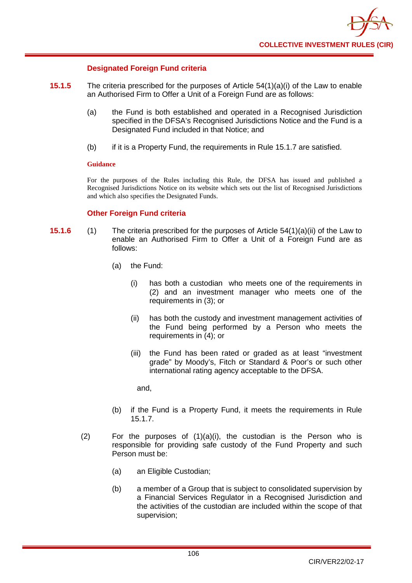

## **Designated Foreign Fund criteria**

- **15.1.5** The criteria prescribed for the purposes of Article 54(1)(a)(i) of the Law to enable an Authorised Firm to Offer a Unit of a Foreign Fund are as follows:
	- (a) the Fund is both established and operated in a Recognised Jurisdiction specified in the DFSA's Recognised Jurisdictions Notice and the Fund is a Designated Fund included in that Notice; and
	- (b) if it is a Property Fund, the requirements in Rule 15.1.7 are satisfied.

#### **Guidance**

For the purposes of the Rules including this Rule, the DFSA has issued and published a Recognised Jurisdictions Notice on its website which sets out the list of Recognised Jurisdictions and which also specifies the Designated Funds.

## **Other Foreign Fund criteria**

- **15.1.6** (1) The criteria prescribed for the purposes of Article 54(1)(a)(ii) of the Law to enable an Authorised Firm to Offer a Unit of a Foreign Fund are as follows:
	- (a) the Fund:
		- (i) has both a custodian who meets one of the requirements in (2) and an investment manager who meets one of the requirements in (3); or
		- (ii) has both the custody and investment management activities of the Fund being performed by a Person who meets the requirements in (4); or
		- (iii) the Fund has been rated or graded as at least "investment grade" by Moody's, Fitch or Standard & Poor's or such other international rating agency acceptable to the DFSA.

and,

- (b) if the Fund is a Property Fund, it meets the requirements in Rule 15.1.7.
- (2) For the purposes of  $(1)(a)(i)$ , the custodian is the Person who is responsible for providing safe custody of the Fund Property and such Person must be:
	- (a) an Eligible Custodian;
	- (b) a member of a Group that is subject to consolidated supervision by a Financial Services Regulator in a Recognised Jurisdiction and the activities of the custodian are included within the scope of that supervision;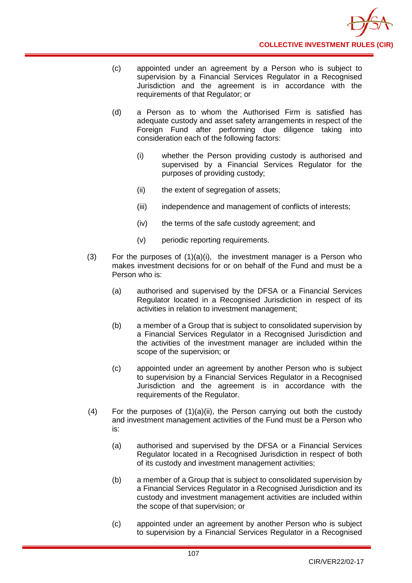- (c) appointed under an agreement by a Person who is subject to supervision by a Financial Services Regulator in a Recognised Jurisdiction and the agreement is in accordance with the requirements of that Regulator; or
- (d) a Person as to whom the Authorised Firm is satisfied has adequate custody and asset safety arrangements in respect of the Foreign Fund after performing due diligence taking into consideration each of the following factors:
	- (i) whether the Person providing custody is authorised and supervised by a Financial Services Regulator for the purposes of providing custody;
	- (ii) the extent of segregation of assets;
	- (iii) independence and management of conflicts of interests;
	- (iv) the terms of the safe custody agreement; and
	- (v) periodic reporting requirements.
- (3) For the purposes of (1)(a)(i), the investment manager is a Person who makes investment decisions for or on behalf of the Fund and must be a Person who is:
	- (a) authorised and supervised by the DFSA or a Financial Services Regulator located in a Recognised Jurisdiction in respect of its activities in relation to investment management;
	- (b) a member of a Group that is subject to consolidated supervision by a Financial Services Regulator in a Recognised Jurisdiction and the activities of the investment manager are included within the scope of the supervision; or
	- (c) appointed under an agreement by another Person who is subject to supervision by a Financial Services Regulator in a Recognised Jurisdiction and the agreement is in accordance with the requirements of the Regulator.
- $(4)$  For the purposes of  $(1)(a)(ii)$ , the Person carrying out both the custody and investment management activities of the Fund must be a Person who is:
	- (a) authorised and supervised by the DFSA or a Financial Services Regulator located in a Recognised Jurisdiction in respect of both of its custody and investment management activities;
	- (b) a member of a Group that is subject to consolidated supervision by a Financial Services Regulator in a Recognised Jurisdiction and its custody and investment management activities are included within the scope of that supervision; or
	- (c) appointed under an agreement by another Person who is subject to supervision by a Financial Services Regulator in a Recognised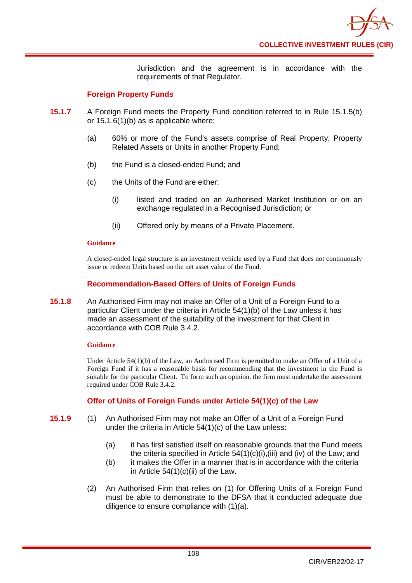Jurisdiction and the agreement is in accordance with the requirements of that Regulator.

## **Foreign Property Funds**

- **15.1.7** A Foreign Fund meets the Property Fund condition referred to in Rule 15.1.5(b) or 15.1.6(1)(b) as is applicable where:
	- (a) 60% or more of the Fund's assets comprise of Real Property, Property Related Assets or Units in another Property Fund;
	- (b) the Fund is a closed-ended Fund; and
	- (c) the Units of the Fund are either:
		- (i) listed and traded on an Authorised Market Institution or on an exchange regulated in a Recognised Jurisdiction; or
		- (ii) Offered only by means of a Private Placement.

#### **Guidance**

A closed-ended legal structure is an investment vehicle used by a Fund that does not continuously issue or redeem Units based on the net asset value of the Fund.

## **Recommendation-Based Offers of Units of Foreign Funds**

**15.1.8** An Authorised Firm may not make an Offer of a Unit of a Foreign Fund to a particular Client under the criteria in Article 54(1)(b) of the Law unless it has made an assessment of the suitability of the investment for that Client in accordance with COB Rule 3.4.2.

## **Guidance**

Under Article 54(1)(b) of the Law, an Authorised Firm is permitted to make an Offer of a Unit of a Foreign Fund if it has a reasonable basis for recommending that the investment in the Fund is suitable for the particular Client. To form such an opinion, the firm must undertake the assessment required under COB Rule 3.4.2.

## **Offer of Units of Foreign Funds under Article 54(1)(c) of the Law**

- **15.1.9** (1) An Authorised Firm may not make an Offer of a Unit of a Foreign Fund under the criteria in Article 54(1)(c) of the Law unless:
	- (a) it has first satisfied itself on reasonable grounds that the Fund meets the criteria specified in Article 54(1)(c)(i),(iii) and (iv) of the Law; and
	- (b) it makes the Offer in a manner that is in accordance with the criteria in Article  $54(1)(c)(ii)$  of the Law.
	- (2) An Authorised Firm that relies on (1) for Offering Units of a Foreign Fund must be able to demonstrate to the DFSA that it conducted adequate due diligence to ensure compliance with (1)(a).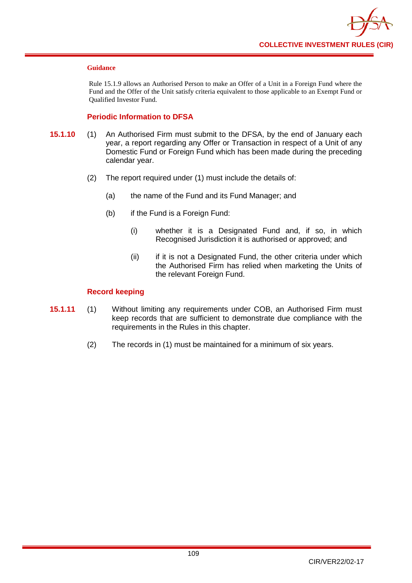

#### **Guidance**

Rule 15.1.9 allows an Authorised Person to make an Offer of a Unit in a Foreign Fund where the Fund and the Offer of the Unit satisfy criteria equivalent to those applicable to an Exempt Fund or Qualified Investor Fund.

## **Periodic Information to DFSA**

- **15.1.10** (1) An Authorised Firm must submit to the DFSA, by the end of January each year, a report regarding any Offer or Transaction in respect of a Unit of any Domestic Fund or Foreign Fund which has been made during the preceding calendar year.
	- (2) The report required under (1) must include the details of:
		- (a) the name of the Fund and its Fund Manager; and
		- (b) if the Fund is a Foreign Fund:
			- (i) whether it is a Designated Fund and, if so, in which Recognised Jurisdiction it is authorised or approved; and
			- (ii) if it is not a Designated Fund, the other criteria under which the Authorised Firm has relied when marketing the Units of the relevant Foreign Fund.

## **Record keeping**

- **15.1.11** (1) Without limiting any requirements under COB, an Authorised Firm must keep records that are sufficient to demonstrate due compliance with the requirements in the Rules in this chapter.
	- (2) The records in (1) must be maintained for a minimum of six years.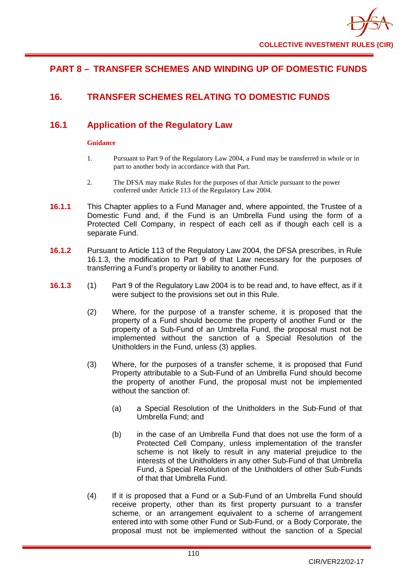## **PART 8 – TRANSFER SCHEMES AND WINDING UP OF DOMESTIC FUNDS**

## **16. TRANSFER SCHEMES RELATING TO DOMESTIC FUNDS**

## **16.1 Application of the Regulatory Law**

## **Guidance**

- 1. Pursuant to Part 9 of the Regulatory Law 2004, a Fund may be transferred in whole or in part to another body in accordance with that Part.
- 2. The DFSA may make Rules for the purposes of that Article pursuant to the power conferred under Article 113 of the Regulatory Law 2004.
- **16.1.1** This Chapter applies to a Fund Manager and, where appointed, the Trustee of a Domestic Fund and, if the Fund is an Umbrella Fund using the form of a Protected Cell Company, in respect of each cell as if though each cell is a separate Fund.
- **16.1.2** Pursuant to Article 113 of the Regulatory Law 2004, the DFSA prescribes, in Rule 16.1.3, the modification to Part 9 of that Law necessary for the purposes of transferring a Fund's property or liability to another Fund.
- **16.1.3** (1) Part 9 of the Regulatory Law 2004 is to be read and, to have effect, as if it were subject to the provisions set out in this Rule.
	- (2) Where, for the purpose of a transfer scheme, it is proposed that the property of a Fund should become the property of another Fund or the property of a Sub-Fund of an Umbrella Fund, the proposal must not be implemented without the sanction of a Special Resolution of the Unitholders in the Fund, unless (3) applies.
	- (3) Where, for the purposes of a transfer scheme, it is proposed that Fund Property attributable to a Sub-Fund of an Umbrella Fund should become the property of another Fund, the proposal must not be implemented without the sanction of:
		- (a) a Special Resolution of the Unitholders in the Sub-Fund of that Umbrella Fund; and
		- (b) in the case of an Umbrella Fund that does not use the form of a Protected Cell Company, unless implementation of the transfer scheme is not likely to result in any material prejudice to the interests of the Unitholders in any other Sub-Fund of that Umbrella Fund, a Special Resolution of the Unitholders of other Sub-Funds of that that Umbrella Fund.
	- (4) If it is proposed that a Fund or a Sub-Fund of an Umbrella Fund should receive property, other than its first property pursuant to a transfer scheme, or an arrangement equivalent to a scheme of arrangement entered into with some other Fund or Sub-Fund, or a Body Corporate, the proposal must not be implemented without the sanction of a Special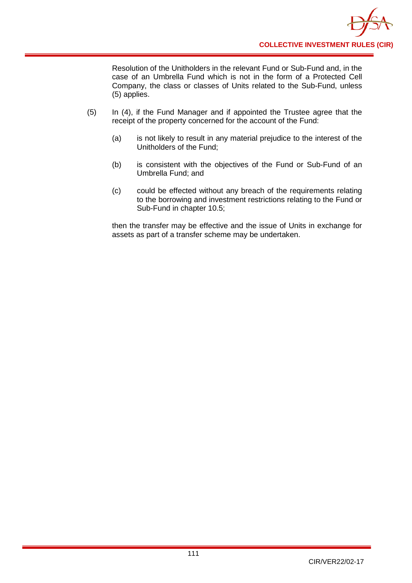Resolution of the Unitholders in the relevant Fund or Sub-Fund and, in the case of an Umbrella Fund which is not in the form of a Protected Cell Company, the class or classes of Units related to the Sub-Fund, unless (5) applies.

- (5) In (4), if the Fund Manager and if appointed the Trustee agree that the receipt of the property concerned for the account of the Fund:
	- (a) is not likely to result in any material prejudice to the interest of the Unitholders of the Fund;
	- (b) is consistent with the objectives of the Fund or Sub-Fund of an Umbrella Fund; and
	- (c) could be effected without any breach of the requirements relating to the borrowing and investment restrictions relating to the Fund or Sub-Fund in chapter 10.5;

then the transfer may be effective and the issue of Units in exchange for assets as part of a transfer scheme may be undertaken.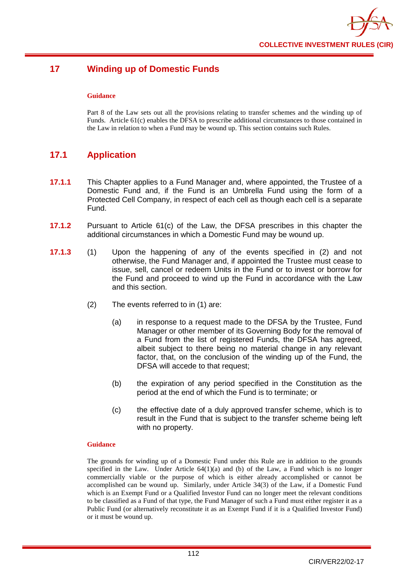

## **17 Winding up of Domestic Funds**

#### **Guidance**

Part 8 of the Law sets out all the provisions relating to transfer schemes and the winding up of Funds. Article 61(c) enables the DFSA to prescribe additional circumstances to those contained in the Law in relation to when a Fund may be wound up. This section contains such Rules.

## **17.1 Application**

- **17.1.1** This Chapter applies to a Fund Manager and, where appointed, the Trustee of a Domestic Fund and, if the Fund is an Umbrella Fund using the form of a Protected Cell Company, in respect of each cell as though each cell is a separate Fund.
- **17.1.2** Pursuant to Article 61(c) of the Law, the DFSA prescribes in this chapter the additional circumstances in which a Domestic Fund may be wound up.
- **17.1.3** (1) Upon the happening of any of the events specified in (2) and not otherwise, the Fund Manager and, if appointed the Trustee must cease to issue, sell, cancel or redeem Units in the Fund or to invest or borrow for the Fund and proceed to wind up the Fund in accordance with the Law and this section.
	- (2) The events referred to in (1) are:
		- (a) in response to a request made to the DFSA by the Trustee, Fund Manager or other member of its Governing Body for the removal of a Fund from the list of registered Funds, the DFSA has agreed, albeit subject to there being no material change in any relevant factor, that, on the conclusion of the winding up of the Fund, the DFSA will accede to that request;
		- (b) the expiration of any period specified in the Constitution as the period at the end of which the Fund is to terminate; or
		- (c) the effective date of a duly approved transfer scheme, which is to result in the Fund that is subject to the transfer scheme being left with no property.

#### **Guidance**

The grounds for winding up of a Domestic Fund under this Rule are in addition to the grounds specified in the Law. Under Article  $64(1)(a)$  and (b) of the Law, a Fund which is no longer commercially viable or the purpose of which is either already accomplished or cannot be accomplished can be wound up. Similarly, under Article 34(3) of the Law, if a Domestic Fund which is an Exempt Fund or a Qualified Investor Fund can no longer meet the relevant conditions to be classified as a Fund of that type, the Fund Manager of such a Fund must either register it as a Public Fund (or alternatively reconstitute it as an Exempt Fund if it is a Qualified Investor Fund) or it must be wound up.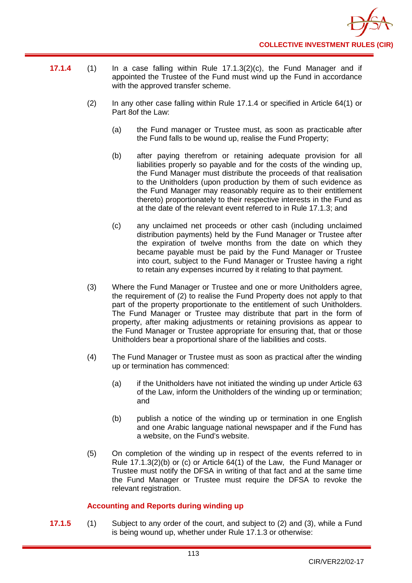

- **17.1.4** (1) In a case falling within Rule 17.1.3(2)(c), the Fund Manager and if appointed the Trustee of the Fund must wind up the Fund in accordance with the approved transfer scheme.
	- (2) In any other case falling within Rule 17.1.4 or specified in Article 64(1) or Part 8of the Law:
		- (a) the Fund manager or Trustee must, as soon as practicable after the Fund falls to be wound up, realise the Fund Property;
		- (b) after paying therefrom or retaining adequate provision for all liabilities properly so payable and for the costs of the winding up, the Fund Manager must distribute the proceeds of that realisation to the Unitholders (upon production by them of such evidence as the Fund Manager may reasonably require as to their entitlement thereto) proportionately to their respective interests in the Fund as at the date of the relevant event referred to in Rule 17.1.3; and
		- (c) any unclaimed net proceeds or other cash (including unclaimed distribution payments) held by the Fund Manager or Trustee after the expiration of twelve months from the date on which they became payable must be paid by the Fund Manager or Trustee into court, subject to the Fund Manager or Trustee having a right to retain any expenses incurred by it relating to that payment.
	- (3) Where the Fund Manager or Trustee and one or more Unitholders agree, the requirement of (2) to realise the Fund Property does not apply to that part of the property proportionate to the entitlement of such Unitholders. The Fund Manager or Trustee may distribute that part in the form of property, after making adjustments or retaining provisions as appear to the Fund Manager or Trustee appropriate for ensuring that, that or those Unitholders bear a proportional share of the liabilities and costs.
	- (4) The Fund Manager or Trustee must as soon as practical after the winding up or termination has commenced:
		- (a) if the Unitholders have not initiated the winding up under Article 63 of the Law, inform the Unitholders of the winding up or termination; and
		- (b) publish a notice of the winding up or termination in one English and one Arabic language national newspaper and if the Fund has a website, on the Fund's website.
	- (5) On completion of the winding up in respect of the events referred to in Rule 17.1.3(2)(b) or (c) or Article 64(1) of the Law, the Fund Manager or Trustee must notify the DFSA in writing of that fact and at the same time the Fund Manager or Trustee must require the DFSA to revoke the relevant registration.

## **Accounting and Reports during winding up**

**17.1.5** (1) Subject to any order of the court, and subject to (2) and (3), while a Fund is being wound up, whether under Rule 17.1.3 or otherwise: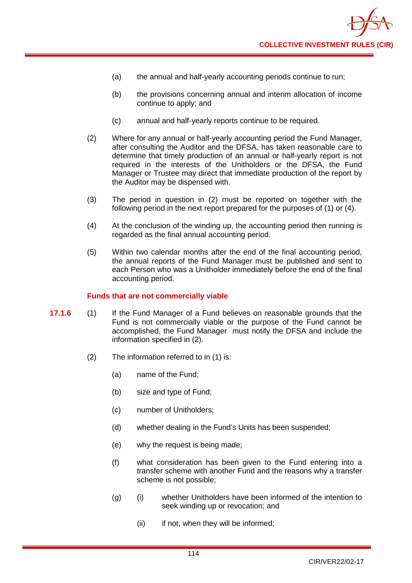

- (a) the annual and half-yearly accounting periods continue to run;
- (b) the provisions concerning annual and interim allocation of income continue to apply; and
- (c) annual and half-yearly reports continue to be required.
- (2) Where for any annual or half-yearly accounting period the Fund Manager, after consulting the Auditor and the DFSA, has taken reasonable care to determine that timely production of an annual or half-yearly report is not required in the interests of the Unitholders or the DFSA, the Fund Manager or Trustee may direct that immediate production of the report by the Auditor may be dispensed with.
- (3) The period in question in (2) must be reported on together with the following period in the next report prepared for the purposes of (1) or (4).
- (4) At the conclusion of the winding up, the accounting period then running is regarded as the final annual accounting period.
- (5) Within two calendar months after the end of the final accounting period, the annual reports of the Fund Manager must be published and sent to each Person who was a Unitholder immediately before the end of the final accounting period.

#### **Funds that are not commercially viable**

- **17.1.6** (1) If the Fund Manager of a Fund believes on reasonable grounds that the Fund is not commercially viable or the purpose of the Fund cannot be accomplished, the Fund Manager must notify the DFSA and include the information specified in (2).
	- (2) The information referred to in (1) is:
		- (a) name of the Fund;
		- (b) size and type of Fund;
		- (c) number of Unitholders;
		- (d) whether dealing in the Fund's Units has been suspended;
		- (e) why the request is being made;
		- (f) what consideration has been given to the Fund entering into a transfer scheme with another Fund and the reasons why a transfer scheme is not possible;
		- (g) (i) whether Unitholders have been informed of the intention to seek winding up or revocation; and
			- (ii) if not, when they will be informed;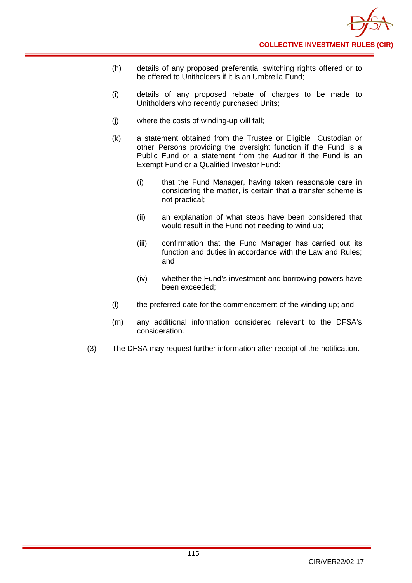- (h) details of any proposed preferential switching rights offered or to be offered to Unitholders if it is an Umbrella Fund;
- (i) details of any proposed rebate of charges to be made to Unitholders who recently purchased Units;
- (j) where the costs of winding-up will fall;
- (k) a statement obtained from the Trustee or Eligible Custodian or other Persons providing the oversight function if the Fund is a Public Fund or a statement from the Auditor if the Fund is an Exempt Fund or a Qualified Investor Fund:
	- (i) that the Fund Manager, having taken reasonable care in considering the matter, is certain that a transfer scheme is not practical;
	- (ii) an explanation of what steps have been considered that would result in the Fund not needing to wind up;
	- (iii) confirmation that the Fund Manager has carried out its function and duties in accordance with the Law and Rules; and
	- (iv) whether the Fund's investment and borrowing powers have been exceeded;
- (l) the preferred date for the commencement of the winding up; and
- (m) any additional information considered relevant to the DFSA's consideration.
- (3) The DFSA may request further information after receipt of the notification.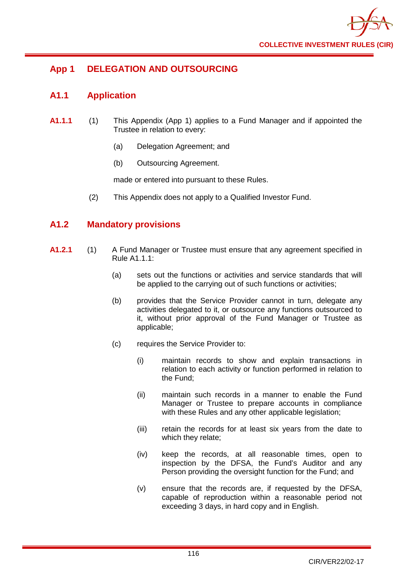

## **App 1 DELEGATION AND OUTSOURCING**

## **A1.1 Application**

- **A1.1.1** (1) This Appendix (App 1) applies to a Fund Manager and if appointed the Trustee in relation to every:
	- (a) Delegation Agreement; and
	- (b) Outsourcing Agreement.

made or entered into pursuant to these Rules.

(2) This Appendix does not apply to a Qualified Investor Fund.

## **A1.2 Mandatory provisions**

- **A1.2.1** (1) A Fund Manager or Trustee must ensure that any agreement specified in Rule A1.1.1:
	- (a) sets out the functions or activities and service standards that will be applied to the carrying out of such functions or activities;
	- (b) provides that the Service Provider cannot in turn, delegate any activities delegated to it, or outsource any functions outsourced to it, without prior approval of the Fund Manager or Trustee as applicable;
	- (c) requires the Service Provider to:
		- (i) maintain records to show and explain transactions in relation to each activity or function performed in relation to the Fund;
		- (ii) maintain such records in a manner to enable the Fund Manager or Trustee to prepare accounts in compliance with these Rules and any other applicable legislation;
		- (iii) retain the records for at least six years from the date to which they relate;
		- (iv) keep the records, at all reasonable times, open to inspection by the DFSA, the Fund's Auditor and any Person providing the oversight function for the Fund; and
		- (v) ensure that the records are, if requested by the DFSA, capable of reproduction within a reasonable period not exceeding 3 days, in hard copy and in English.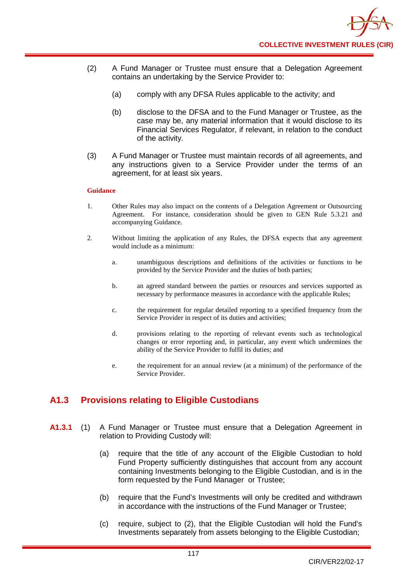- (2) A Fund Manager or Trustee must ensure that a Delegation Agreement contains an undertaking by the Service Provider to:
	- (a) comply with any DFSA Rules applicable to the activity; and
	- (b) disclose to the DFSA and to the Fund Manager or Trustee, as the case may be, any material information that it would disclose to its Financial Services Regulator, if relevant, in relation to the conduct of the activity.
- (3) A Fund Manager or Trustee must maintain records of all agreements, and any instructions given to a Service Provider under the terms of an agreement, for at least six years.

#### **Guidance**

- 1. Other Rules may also impact on the contents of a Delegation Agreement or Outsourcing Agreement. For instance, consideration should be given to GEN Rule 5.3.21 and accompanying Guidance.
- 2. Without limiting the application of any Rules, the DFSA expects that any agreement would include as a minimum:
	- a. unambiguous descriptions and definitions of the activities or functions to be provided by the Service Provider and the duties of both parties;
	- b. an agreed standard between the parties or resources and services supported as necessary by performance measures in accordance with the applicable Rules;
	- c. the requirement for regular detailed reporting to a specified frequency from the Service Provider in respect of its duties and activities;
	- d. provisions relating to the reporting of relevant events such as technological changes or error reporting and, in particular, any event which undermines the ability of the Service Provider to fulfil its duties; and
	- e. the requirement for an annual review (at a minimum) of the performance of the Service Provider.

## **A1.3 Provisions relating to Eligible Custodians**

- **A1.3.1** (1) A Fund Manager or Trustee must ensure that a Delegation Agreement in relation to Providing Custody will:
	- (a) require that the title of any account of the Eligible Custodian to hold Fund Property sufficiently distinguishes that account from any account containing Investments belonging to the Eligible Custodian, and is in the form requested by the Fund Manager or Trustee;
	- (b) require that the Fund's Investments will only be credited and withdrawn in accordance with the instructions of the Fund Manager or Trustee;
	- (c) require, subject to (2), that the Eligible Custodian will hold the Fund's Investments separately from assets belonging to the Eligible Custodian;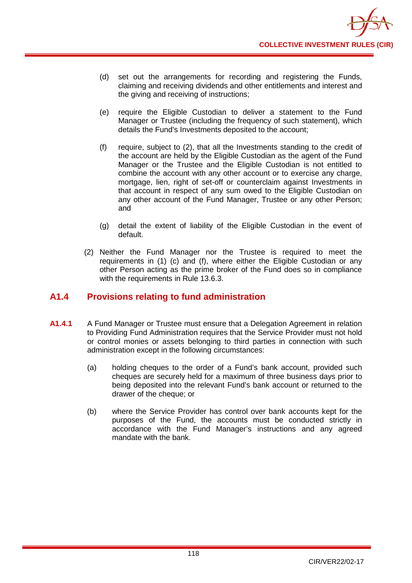

- (d) set out the arrangements for recording and registering the Funds, claiming and receiving dividends and other entitlements and interest and the giving and receiving of instructions;
- (e) require the Eligible Custodian to deliver a statement to the Fund Manager or Trustee (including the frequency of such statement), which details the Fund's Investments deposited to the account;
- (f) require, subject to (2), that all the Investments standing to the credit of the account are held by the Eligible Custodian as the agent of the Fund Manager or the Trustee and the Eligible Custodian is not entitled to combine the account with any other account or to exercise any charge, mortgage, lien, right of set-off or counterclaim against Investments in that account in respect of any sum owed to the Eligible Custodian on any other account of the Fund Manager, Trustee or any other Person; and
- (g) detail the extent of liability of the Eligible Custodian in the event of default.
- (2) Neither the Fund Manager nor the Trustee is required to meet the requirements in (1) (c) and (f), where either the Eligible Custodian or any other Person acting as the prime broker of the Fund does so in compliance with the requirements in Rule 13.6.3.

## **A1.4 Provisions relating to fund administration**

- **A1.4.1** A Fund Manager or Trustee must ensure that a Delegation Agreement in relation to Providing Fund Administration requires that the Service Provider must not hold or control monies or assets belonging to third parties in connection with such administration except in the following circumstances:
	- (a) holding cheques to the order of a Fund's bank account, provided such cheques are securely held for a maximum of three business days prior to being deposited into the relevant Fund's bank account or returned to the drawer of the cheque; or
	- (b) where the Service Provider has control over bank accounts kept for the purposes of the Fund, the accounts must be conducted strictly in accordance with the Fund Manager's instructions and any agreed mandate with the bank.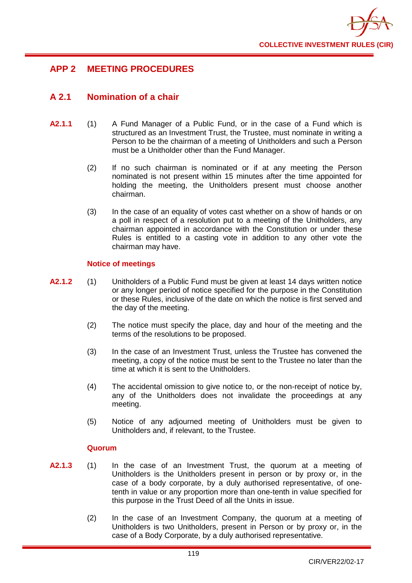

## **APP 2 MEETING PROCEDURES**

## **A 2.1 Nomination of a chair**

- **A2.1.1** (1) A Fund Manager of a Public Fund, or in the case of a Fund which is structured as an Investment Trust, the Trustee, must nominate in writing a Person to be the chairman of a meeting of Unitholders and such a Person must be a Unitholder other than the Fund Manager.
	- (2) If no such chairman is nominated or if at any meeting the Person nominated is not present within 15 minutes after the time appointed for holding the meeting, the Unitholders present must choose another chairman.
	- (3) In the case of an equality of votes cast whether on a show of hands or on a poll in respect of a resolution put to a meeting of the Unitholders, any chairman appointed in accordance with the Constitution or under these Rules is entitled to a casting vote in addition to any other vote the chairman may have.

## **Notice of meetings**

- **A2.1.2** (1) Unitholders of a Public Fund must be given at least 14 days written notice or any longer period of notice specified for the purpose in the Constitution or these Rules, inclusive of the date on which the notice is first served and the day of the meeting.
	- (2) The notice must specify the place, day and hour of the meeting and the terms of the resolutions to be proposed.
	- (3) In the case of an Investment Trust, unless the Trustee has convened the meeting, a copy of the notice must be sent to the Trustee no later than the time at which it is sent to the Unitholders.
	- (4) The accidental omission to give notice to, or the non-receipt of notice by, any of the Unitholders does not invalidate the proceedings at any meeting.
	- (5) Notice of any adjourned meeting of Unitholders must be given to Unitholders and, if relevant, to the Trustee.

## **Quorum**

- **A2.1.3** (1) In the case of an Investment Trust, the quorum at a meeting of Unitholders is the Unitholders present in person or by proxy or, in the case of a body corporate, by a duly authorised representative, of onetenth in value or any proportion more than one-tenth in value specified for this purpose in the Trust Deed of all the Units in issue.
	- (2) In the case of an Investment Company, the quorum at a meeting of Unitholders is two Unitholders, present in Person or by proxy or, in the case of a Body Corporate, by a duly authorised representative.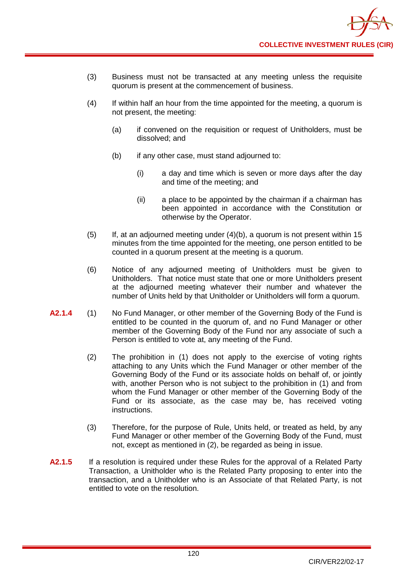- (3) Business must not be transacted at any meeting unless the requisite quorum is present at the commencement of business.
- (4) If within half an hour from the time appointed for the meeting, a quorum is not present, the meeting:
	- (a) if convened on the requisition or request of Unitholders, must be dissolved; and
	- (b) if any other case, must stand adjourned to:
		- (i) a day and time which is seven or more days after the day and time of the meeting; and
		- (ii) a place to be appointed by the chairman if a chairman has been appointed in accordance with the Constitution or otherwise by the Operator.
- (5) If, at an adjourned meeting under (4)(b), a quorum is not present within 15 minutes from the time appointed for the meeting, one person entitled to be counted in a quorum present at the meeting is a quorum.
- (6) Notice of any adjourned meeting of Unitholders must be given to Unitholders. That notice must state that one or more Unitholders present at the adjourned meeting whatever their number and whatever the number of Units held by that Unitholder or Unitholders will form a quorum.
- **A2.1.4** (1) No Fund Manager, or other member of the Governing Body of the Fund is entitled to be counted in the quorum of, and no Fund Manager or other member of the Governing Body of the Fund nor any associate of such a Person is entitled to vote at, any meeting of the Fund.
	- (2) The prohibition in (1) does not apply to the exercise of voting rights attaching to any Units which the Fund Manager or other member of the Governing Body of the Fund or its associate holds on behalf of, or jointly with, another Person who is not subject to the prohibition in (1) and from whom the Fund Manager or other member of the Governing Body of the Fund or its associate, as the case may be, has received voting instructions.
	- (3) Therefore, for the purpose of Rule, Units held, or treated as held, by any Fund Manager or other member of the Governing Body of the Fund, must not, except as mentioned in (2), be regarded as being in issue.
- **A2.1.5** If a resolution is required under these Rules for the approval of a Related Party Transaction, a Unitholder who is the Related Party proposing to enter into the transaction, and a Unitholder who is an Associate of that Related Party, is not entitled to vote on the resolution.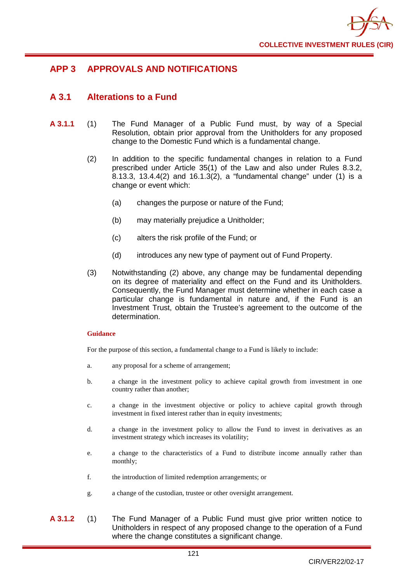

## **APP 3 APPROVALS AND NOTIFICATIONS**

## **A 3.1 Alterations to a Fund**

- **A 3.1.1** (1) The Fund Manager of a Public Fund must, by way of a Special Resolution, obtain prior approval from the Unitholders for any proposed change to the Domestic Fund which is a fundamental change.
	- (2) In addition to the specific fundamental changes in relation to a Fund prescribed under Article 35(1) of the Law and also under Rules 8.3.2, 8.13.3, 13.4.4(2) and 16.1.3(2), a "fundamental change" under (1) is a change or event which:
		- (a) changes the purpose or nature of the Fund;
		- (b) may materially prejudice a Unitholder;
		- (c) alters the risk profile of the Fund; or
		- (d) introduces any new type of payment out of Fund Property.
	- (3) Notwithstanding (2) above, any change may be fundamental depending on its degree of materiality and effect on the Fund and its Unitholders. Consequently, the Fund Manager must determine whether in each case a particular change is fundamental in nature and, if the Fund is an Investment Trust, obtain the Trustee's agreement to the outcome of the determination.

## **Guidance**

For the purpose of this section, a fundamental change to a Fund is likely to include:

- a. any proposal for a scheme of arrangement;
- b. a change in the investment policy to achieve capital growth from investment in one country rather than another;
- c. a change in the investment objective or policy to achieve capital growth through investment in fixed interest rather than in equity investments;
- d. a change in the investment policy to allow the Fund to invest in derivatives as an investment strategy which increases its volatility;
- e. a change to the characteristics of a Fund to distribute income annually rather than monthly;
- f. the introduction of limited redemption arrangements; or
- g. a change of the custodian, trustee or other oversight arrangement.
- **A 3.1.2** (1) The Fund Manager of a Public Fund must give prior written notice to Unitholders in respect of any proposed change to the operation of a Fund where the change constitutes a significant change.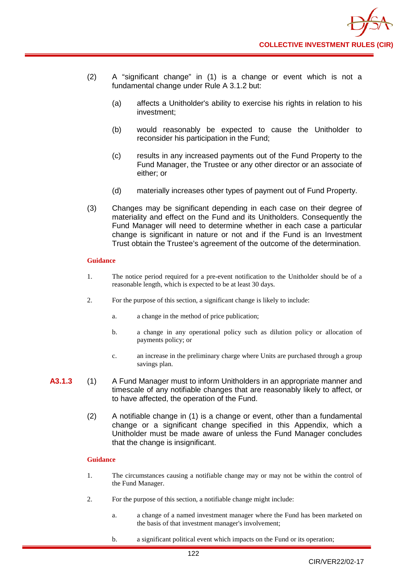- (2) A "significant change" in (1) is a change or event which is not a fundamental change under Rule A 3.1.2 but:
	- (a) affects a Unitholder's ability to exercise his rights in relation to his investment;
	- (b) would reasonably be expected to cause the Unitholder to reconsider his participation in the Fund;
	- (c) results in any increased payments out of the Fund Property to the Fund Manager, the Trustee or any other director or an associate of either; or
	- (d) materially increases other types of payment out of Fund Property.
- (3) Changes may be significant depending in each case on their degree of materiality and effect on the Fund and its Unitholders. Consequently the Fund Manager will need to determine whether in each case a particular change is significant in nature or not and if the Fund is an Investment Trust obtain the Trustee's agreement of the outcome of the determination.

#### **Guidance**

- 1. The notice period required for a pre-event notification to the Unitholder should be of a reasonable length, which is expected to be at least 30 days.
- 2. For the purpose of this section, a significant change is likely to include:
	- a. a change in the method of price publication;
	- b. a change in any operational policy such as dilution policy or allocation of payments policy; or
	- c. an increase in the preliminary charge where Units are purchased through a group savings plan.
- **A3.1.3** (1) A Fund Manager must to inform Unitholders in an appropriate manner and timescale of any notifiable changes that are reasonably likely to affect, or to have affected, the operation of the Fund.
	- (2) A notifiable change in (1) is a change or event, other than a fundamental change or a significant change specified in this Appendix, which a Unitholder must be made aware of unless the Fund Manager concludes that the change is insignificant.

## **Guidance**

- 1. The circumstances causing a notifiable change may or may not be within the control of the Fund Manager.
- 2. For the purpose of this section, a notifiable change might include:
	- a. a change of a named investment manager where the Fund has been marketed on the basis of that investment manager's involvement;
	- b. a significant political event which impacts on the Fund or its operation;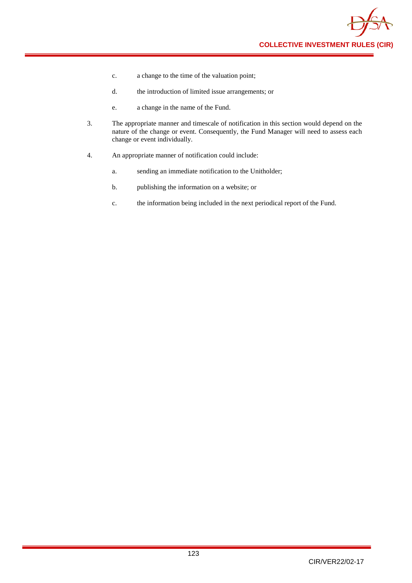

- c. a change to the time of the valuation point;
- d. the introduction of limited issue arrangements; or
- e. a change in the name of the Fund.
- 3. The appropriate manner and timescale of notification in this section would depend on the nature of the change or event. Consequently, the Fund Manager will need to assess each change or event individually.
- 4. An appropriate manner of notification could include:
	- a. sending an immediate notification to the Unitholder;
	- b. publishing the information on a website; or
	- c. the information being included in the next periodical report of the Fund.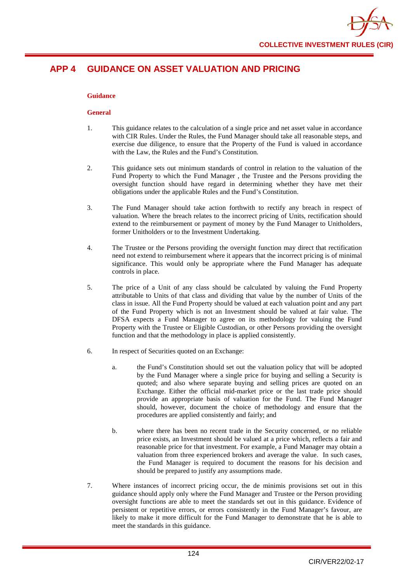

## **APP 4 GUIDANCE ON ASSET VALUATION AND PRICING**

## **Guidance**

#### **General**

- 1. This guidance relates to the calculation of a single price and net asset value in accordance with CIR Rules. Under the Rules, the Fund Manager should take all reasonable steps, and exercise due diligence, to ensure that the Property of the Fund is valued in accordance with the Law, the Rules and the Fund's Constitution.
- 2. This guidance sets out minimum standards of control in relation to the valuation of the Fund Property to which the Fund Manager , the Trustee and the Persons providing the oversight function should have regard in determining whether they have met their obligations under the applicable Rules and the Fund's Constitution.
- 3. The Fund Manager should take action forthwith to rectify any breach in respect of valuation. Where the breach relates to the incorrect pricing of Units, rectification should extend to the reimbursement or payment of money by the Fund Manager to Unitholders, former Unitholders or to the Investment Undertaking.
- 4. The Trustee or the Persons providing the oversight function may direct that rectification need not extend to reimbursement where it appears that the incorrect pricing is of minimal significance. This would only be appropriate where the Fund Manager has adequate controls in place.
- 5. The price of a Unit of any class should be calculated by valuing the Fund Property attributable to Units of that class and dividing that value by the number of Units of the class in issue. All the Fund Property should be valued at each valuation point and any part of the Fund Property which is not an Investment should be valued at fair value. The DFSA expects a Fund Manager to agree on its methodology for valuing the Fund Property with the Trustee or Eligible Custodian, or other Persons providing the oversight function and that the methodology in place is applied consistently.
- 6. In respect of Securities quoted on an Exchange:
	- a. the Fund's Constitution should set out the valuation policy that will be adopted by the Fund Manager where a single price for buying and selling a Security is quoted; and also where separate buying and selling prices are quoted on an Exchange. Either the official mid-market price or the last trade price should provide an appropriate basis of valuation for the Fund. The Fund Manager should, however, document the choice of methodology and ensure that the procedures are applied consistently and fairly; and
	- b. where there has been no recent trade in the Security concerned, or no reliable price exists, an Investment should be valued at a price which, reflects a fair and reasonable price for that investment. For example, a Fund Manager may obtain a valuation from three experienced brokers and average the value. In such cases, the Fund Manager is required to document the reasons for his decision and should be prepared to justify any assumptions made.
- 7. Where instances of incorrect pricing occur, the de minimis provisions set out in this guidance should apply only where the Fund Manager and Trustee or the Person providing oversight functions are able to meet the standards set out in this guidance. Evidence of persistent or repetitive errors, or errors consistently in the Fund Manager's favour, are likely to make it more difficult for the Fund Manager to demonstrate that he is able to meet the standards in this guidance.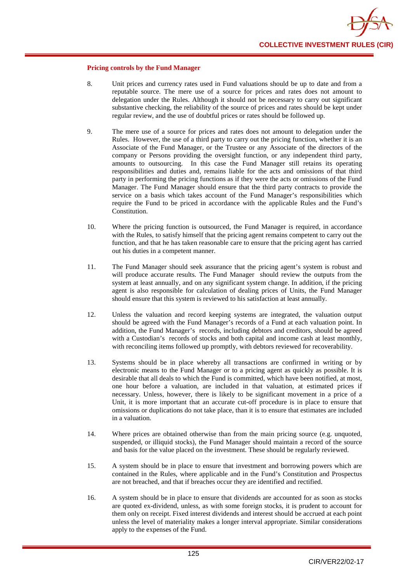

#### **Pricing controls by the Fund Manager**

- 8. Unit prices and currency rates used in Fund valuations should be up to date and from a reputable source. The mere use of a source for prices and rates does not amount to delegation under the Rules. Although it should not be necessary to carry out significant substantive checking, the reliability of the source of prices and rates should be kept under regular review, and the use of doubtful prices or rates should be followed up.
- 9. The mere use of a source for prices and rates does not amount to delegation under the Rules. However, the use of a third party to carry out the pricing function, whether it is an Associate of the Fund Manager, or the Trustee or any Associate of the directors of the company or Persons providing the oversight function, or any independent third party, amounts to outsourcing. In this case the Fund Manager still retains its operating responsibilities and duties and, remains liable for the acts and omissions of that third party in performing the pricing functions as if they were the acts or omissions of the Fund Manager. The Fund Manager should ensure that the third party contracts to provide the service on a basis which takes account of the Fund Manager's responsibilities which require the Fund to be priced in accordance with the applicable Rules and the Fund's **Constitution**
- 10. Where the pricing function is outsourced, the Fund Manager is required, in accordance with the Rules, to satisfy himself that the pricing agent remains competent to carry out the function, and that he has taken reasonable care to ensure that the pricing agent has carried out his duties in a competent manner.
- 11. The Fund Manager should seek assurance that the pricing agent's system is robust and will produce accurate results. The Fund Manager should review the outputs from the system at least annually, and on any significant system change. In addition, if the pricing agent is also responsible for calculation of dealing prices of Units, the Fund Manager should ensure that this system is reviewed to his satisfaction at least annually.
- 12. Unless the valuation and record keeping systems are integrated, the valuation output should be agreed with the Fund Manager's records of a Fund at each valuation point. In addition, the Fund Manager's records, including debtors and creditors, should be agreed with a Custodian's records of stocks and both capital and income cash at least monthly, with reconciling items followed up promptly, with debtors reviewed for recoverability.
- 13. Systems should be in place whereby all transactions are confirmed in writing or by electronic means to the Fund Manager or to a pricing agent as quickly as possible. It is desirable that all deals to which the Fund is committed, which have been notified, at most, one hour before a valuation, are included in that valuation, at estimated prices if necessary. Unless, however, there is likely to be significant movement in a price of a Unit, it is more important that an accurate cut-off procedure is in place to ensure that omissions or duplications do not take place, than it is to ensure that estimates are included in a valuation.
- 14. Where prices are obtained otherwise than from the main pricing source (e.g. unquoted, suspended, or illiquid stocks), the Fund Manager should maintain a record of the source and basis for the value placed on the investment. These should be regularly reviewed.
- 15. A system should be in place to ensure that investment and borrowing powers which are contained in the Rules, where applicable and in the Fund's Constitution and Prospectus are not breached, and that if breaches occur they are identified and rectified.
- 16. A system should be in place to ensure that dividends are accounted for as soon as stocks are quoted ex-dividend, unless, as with some foreign stocks, it is prudent to account for them only on receipt. Fixed interest dividends and interest should be accrued at each point unless the level of materiality makes a longer interval appropriate. Similar considerations apply to the expenses of the Fund.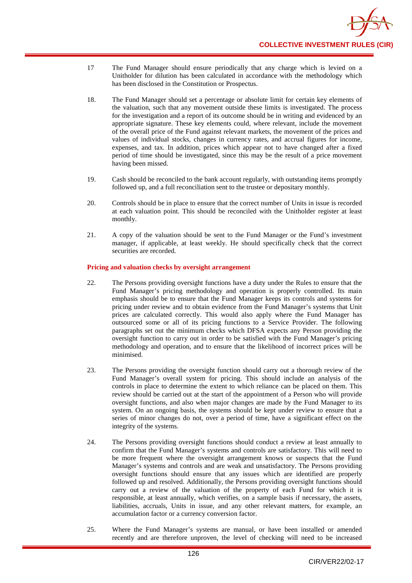- 17 The Fund Manager should ensure periodically that any charge which is levied on a Unitholder for dilution has been calculated in accordance with the methodology which has been disclosed in the Constitution or Prospectus.
- 18. The Fund Manager should set a percentage or absolute limit for certain key elements of the valuation, such that any movement outside these limits is investigated. The process for the investigation and a report of its outcome should be in writing and evidenced by an appropriate signature. These key elements could, where relevant, include the movement of the overall price of the Fund against relevant markets, the movement of the prices and values of individual stocks, changes in currency rates, and accrual figures for income, expenses, and tax. In addition, prices which appear not to have changed after a fixed period of time should be investigated, since this may be the result of a price movement having been missed.
- 19. Cash should be reconciled to the bank account regularly, with outstanding items promptly followed up, and a full reconciliation sent to the trustee or depositary monthly.
- 20. Controls should be in place to ensure that the correct number of Units in issue is recorded at each valuation point. This should be reconciled with the Unitholder register at least monthly.
- 21. A copy of the valuation should be sent to the Fund Manager or the Fund's investment manager, if applicable, at least weekly. He should specifically check that the correct securities are recorded.

#### **Pricing and valuation checks by oversight arrangement**

- 22. The Persons providing oversight functions have a duty under the Rules to ensure that the Fund Manager's pricing methodology and operation is properly controlled. Its main emphasis should be to ensure that the Fund Manager keeps its controls and systems for pricing under review and to obtain evidence from the Fund Manager's systems that Unit prices are calculated correctly. This would also apply where the Fund Manager has outsourced some or all of its pricing functions to a Service Provider. The following paragraphs set out the minimum checks which DFSA expects any Person providing the oversight function to carry out in order to be satisfied with the Fund Manager's pricing methodology and operation, and to ensure that the likelihood of incorrect prices will be minimised.
- 23. The Persons providing the oversight function should carry out a thorough review of the Fund Manager's overall system for pricing. This should include an analysis of the controls in place to determine the extent to which reliance can be placed on them. This review should be carried out at the start of the appointment of a Person who will provide oversight functions, and also when major changes are made by the Fund Manager to its system. On an ongoing basis, the systems should be kept under review to ensure that a series of minor changes do not, over a period of time, have a significant effect on the integrity of the systems.
- 24. The Persons providing oversight functions should conduct a review at least annually to confirm that the Fund Manager's systems and controls are satisfactory. This will need to be more frequent where the oversight arrangement knows or suspects that the Fund Manager's systems and controls and are weak and unsatisfactory. The Persons providing oversight functions should ensure that any issues which are identified are properly followed up and resolved. Additionally, the Persons providing oversight functions should carry out a review of the valuation of the property of each Fund for which it is responsible, at least annually, which verifies, on a sample basis if necessary, the assets, liabilities, accruals, Units in issue, and any other relevant matters, for example, an accumulation factor or a currency conversion factor.
- 25. Where the Fund Manager's systems are manual, or have been installed or amended recently and are therefore unproven, the level of checking will need to be increased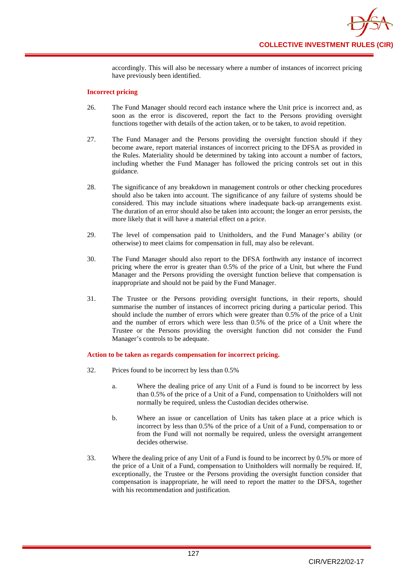accordingly. This will also be necessary where a number of instances of incorrect pricing have previously been identified.

#### **Incorrect pricing**

- 26. The Fund Manager should record each instance where the Unit price is incorrect and, as soon as the error is discovered, report the fact to the Persons providing oversight functions together with details of the action taken, or to be taken, to avoid repetition.
- 27. The Fund Manager and the Persons providing the oversight function should if they become aware, report material instances of incorrect pricing to the DFSA as provided in the Rules. Materiality should be determined by taking into account a number of factors, including whether the Fund Manager has followed the pricing controls set out in this guidance.
- 28. The significance of any breakdown in management controls or other checking procedures should also be taken into account. The significance of any failure of systems should be considered. This may include situations where inadequate back-up arrangements exist. The duration of an error should also be taken into account; the longer an error persists, the more likely that it will have a material effect on a price.
- 29. The level of compensation paid to Unitholders, and the Fund Manager's ability (or otherwise) to meet claims for compensation in full, may also be relevant.
- 30. The Fund Manager should also report to the DFSA forthwith any instance of incorrect pricing where the error is greater than 0.5% of the price of a Unit, but where the Fund Manager and the Persons providing the oversight function believe that compensation is inappropriate and should not be paid by the Fund Manager.
- 31. The Trustee or the Persons providing oversight functions, in their reports, should summarise the number of instances of incorrect pricing during a particular period. This should include the number of errors which were greater than 0.5% of the price of a Unit and the number of errors which were less than 0.5% of the price of a Unit where the Trustee or the Persons providing the oversight function did not consider the Fund Manager's controls to be adequate.

#### **Action to be taken as regards compensation for incorrect pricing.**

- 32. Prices found to be incorrect by less than 0.5%
	- a. Where the dealing price of any Unit of a Fund is found to be incorrect by less than 0.5% of the price of a Unit of a Fund, compensation to Unitholders will not normally be required, unless the Custodian decides otherwise.
	- b. Where an issue or cancellation of Units has taken place at a price which is incorrect by less than 0.5% of the price of a Unit of a Fund, compensation to or from the Fund will not normally be required, unless the oversight arrangement decides otherwise.
- 33. Where the dealing price of any Unit of a Fund is found to be incorrect by 0.5% or more of the price of a Unit of a Fund, compensation to Unitholders will normally be required. If, exceptionally, the Trustee or the Persons providing the oversight function consider that compensation is inappropriate, he will need to report the matter to the DFSA, together with his recommendation and justification.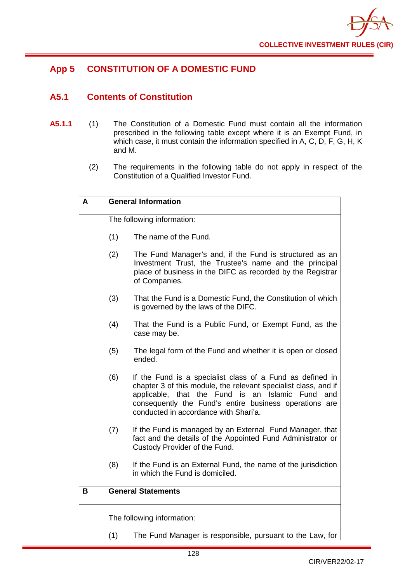

## **App 5 CONSTITUTION OF A DOMESTIC FUND**

## **A5.1 Contents of Constitution**

- **A5.1.1** (1) The Constitution of a Domestic Fund must contain all the information prescribed in the following table except where it is an Exempt Fund, in which case, it must contain the information specified in A, C, D, F, G, H, K and M.
	- (2) The requirements in the following table do not apply in respect of the Constitution of a Qualified Investor Fund.

| A | <b>General Information</b> |                                                                                                                                                                                                                                                                                              |  |
|---|----------------------------|----------------------------------------------------------------------------------------------------------------------------------------------------------------------------------------------------------------------------------------------------------------------------------------------|--|
|   | The following information: |                                                                                                                                                                                                                                                                                              |  |
|   | (1)                        | The name of the Fund.                                                                                                                                                                                                                                                                        |  |
|   | (2)                        | The Fund Manager's and, if the Fund is structured as an<br>Investment Trust, the Trustee's name and the principal<br>place of business in the DIFC as recorded by the Registrar<br>of Companies.                                                                                             |  |
|   | (3)                        | That the Fund is a Domestic Fund, the Constitution of which<br>is governed by the laws of the DIFC.                                                                                                                                                                                          |  |
|   | (4)                        | That the Fund is a Public Fund, or Exempt Fund, as the<br>case may be.                                                                                                                                                                                                                       |  |
|   | (5)                        | The legal form of the Fund and whether it is open or closed<br>ended.                                                                                                                                                                                                                        |  |
|   | (6)                        | If the Fund is a specialist class of a Fund as defined in<br>chapter 3 of this module, the relevant specialist class, and if<br>applicable, that the Fund is<br>an<br>Islamic Fund<br>and<br>consequently the Fund's entire business operations are<br>conducted in accordance with Shari'a. |  |
|   | (7)                        | If the Fund is managed by an External Fund Manager, that<br>fact and the details of the Appointed Fund Administrator or<br>Custody Provider of the Fund.                                                                                                                                     |  |
|   | (8)                        | If the Fund is an External Fund, the name of the jurisdiction<br>in which the Fund is domiciled.                                                                                                                                                                                             |  |
| в |                            | <b>General Statements</b>                                                                                                                                                                                                                                                                    |  |
|   |                            | The following information:                                                                                                                                                                                                                                                                   |  |
|   | (1)                        | The Fund Manager is responsible, pursuant to the Law, for                                                                                                                                                                                                                                    |  |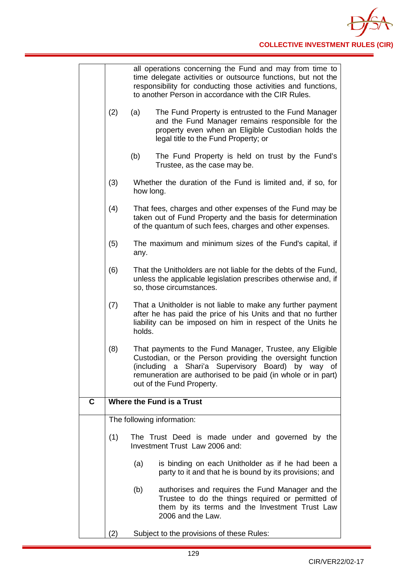|   |     | all operations concerning the Fund and may from time to<br>time delegate activities or outsource functions, but not the<br>responsibility for conducting those activities and functions,<br>to another Person in accordance with the CIR Rules.                                     |
|---|-----|-------------------------------------------------------------------------------------------------------------------------------------------------------------------------------------------------------------------------------------------------------------------------------------|
|   | (2) | (a)<br>The Fund Property is entrusted to the Fund Manager<br>and the Fund Manager remains responsible for the<br>property even when an Eligible Custodian holds the<br>legal title to the Fund Property; or                                                                         |
|   |     | (b)<br>The Fund Property is held on trust by the Fund's<br>Trustee, as the case may be.                                                                                                                                                                                             |
|   | (3) | Whether the duration of the Fund is limited and, if so, for<br>how long.                                                                                                                                                                                                            |
|   | (4) | That fees, charges and other expenses of the Fund may be<br>taken out of Fund Property and the basis for determination<br>of the quantum of such fees, charges and other expenses.                                                                                                  |
|   | (5) | The maximum and minimum sizes of the Fund's capital, if<br>any.                                                                                                                                                                                                                     |
|   | (6) | That the Unitholders are not liable for the debts of the Fund,<br>unless the applicable legislation prescribes otherwise and, if<br>so, those circumstances.                                                                                                                        |
|   | (7) | That a Unitholder is not liable to make any further payment<br>after he has paid the price of his Units and that no further<br>liability can be imposed on him in respect of the Units he<br>holds.                                                                                 |
|   | (8) | That payments to the Fund Manager, Trustee, any Eligible<br>Custodian, or the Person providing the oversight function<br>Shari'a Supervisory Board)<br>(including<br>a<br>by way<br>0f<br>remuneration are authorised to be paid (in whole or in part)<br>out of the Fund Property. |
| C |     | Where the Fund is a Trust                                                                                                                                                                                                                                                           |
|   |     | The following information:                                                                                                                                                                                                                                                          |
|   | (1) | The Trust Deed is made under and governed by the<br>Investment Trust Law 2006 and:                                                                                                                                                                                                  |
|   |     | (a)<br>is binding on each Unitholder as if he had been a<br>party to it and that he is bound by its provisions; and                                                                                                                                                                 |
|   |     | (b)<br>authorises and requires the Fund Manager and the<br>Trustee to do the things required or permitted of<br>them by its terms and the Investment Trust Law<br>2006 and the Law.                                                                                                 |
|   | (2) | Subject to the provisions of these Rules:                                                                                                                                                                                                                                           |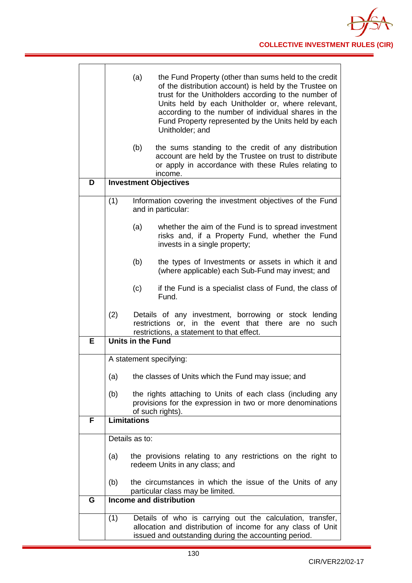|   | (a)<br>the Fund Property (other than sums held to the credit<br>of the distribution account) is held by the Trustee on<br>trust for the Unitholders according to the number of<br>Units held by each Unitholder or, where relevant,<br>according to the number of individual shares in the<br>Fund Property represented by the Units held by each<br>Unitholder; and |
|---|----------------------------------------------------------------------------------------------------------------------------------------------------------------------------------------------------------------------------------------------------------------------------------------------------------------------------------------------------------------------|
|   | (b)<br>the sums standing to the credit of any distribution<br>account are held by the Trustee on trust to distribute<br>or apply in accordance with these Rules relating to<br>income.                                                                                                                                                                               |
| D | <b>Investment Objectives</b>                                                                                                                                                                                                                                                                                                                                         |
|   | (1)<br>Information covering the investment objectives of the Fund<br>and in particular:                                                                                                                                                                                                                                                                              |
|   | (a)<br>whether the aim of the Fund is to spread investment<br>risks and, if a Property Fund, whether the Fund<br>invests in a single property;                                                                                                                                                                                                                       |
|   | (b)<br>the types of Investments or assets in which it and<br>(where applicable) each Sub-Fund may invest; and                                                                                                                                                                                                                                                        |
|   | (c)<br>if the Fund is a specialist class of Fund, the class of<br>Fund.                                                                                                                                                                                                                                                                                              |
|   | (2)<br>Details of any investment, borrowing or stock lending<br>restrictions or, in the event that there<br>are no such<br>restrictions, a statement to that effect.                                                                                                                                                                                                 |
| E | <b>Units in the Fund</b>                                                                                                                                                                                                                                                                                                                                             |
|   | A statement specifying:                                                                                                                                                                                                                                                                                                                                              |
|   |                                                                                                                                                                                                                                                                                                                                                                      |
|   | the classes of Units which the Fund may issue; and<br>(a)                                                                                                                                                                                                                                                                                                            |
|   | the rights attaching to Units of each class (including any<br>(b)<br>provisions for the expression in two or more denominations<br>of such rights).                                                                                                                                                                                                                  |
| F | <b>Limitations</b>                                                                                                                                                                                                                                                                                                                                                   |
|   | Details as to:                                                                                                                                                                                                                                                                                                                                                       |
|   | the provisions relating to any restrictions on the right to<br>(a)                                                                                                                                                                                                                                                                                                   |
|   | redeem Units in any class; and                                                                                                                                                                                                                                                                                                                                       |
|   | the circumstances in which the issue of the Units of any<br>(b)<br>particular class may be limited.                                                                                                                                                                                                                                                                  |
| G | <b>Income and distribution</b>                                                                                                                                                                                                                                                                                                                                       |
|   | (1)<br>Details of who is carrying out the calculation, transfer,<br>allocation and distribution of income for any class of Unit<br>issued and outstanding during the accounting period.                                                                                                                                                                              |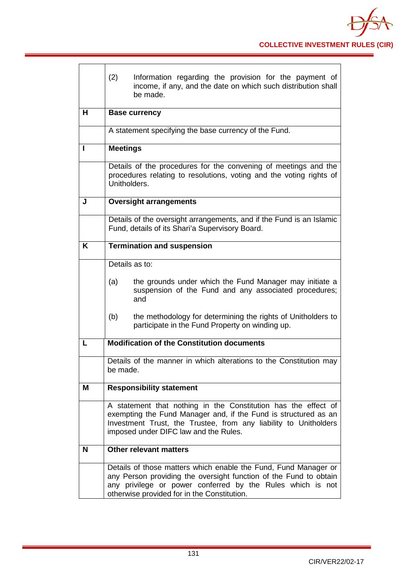|   | (2)             | Information regarding the provision for the payment of<br>income, if any, and the date on which such distribution shall<br>be made.                                                                                                               |
|---|-----------------|---------------------------------------------------------------------------------------------------------------------------------------------------------------------------------------------------------------------------------------------------|
| н |                 | <b>Base currency</b>                                                                                                                                                                                                                              |
|   |                 | A statement specifying the base currency of the Fund.                                                                                                                                                                                             |
| п | <b>Meetings</b> |                                                                                                                                                                                                                                                   |
|   |                 | Details of the procedures for the convening of meetings and the<br>procedures relating to resolutions, voting and the voting rights of<br>Unitholders.                                                                                            |
| J |                 | <b>Oversight arrangements</b>                                                                                                                                                                                                                     |
|   |                 | Details of the oversight arrangements, and if the Fund is an Islamic<br>Fund, details of its Shari'a Supervisory Board.                                                                                                                           |
| K |                 | <b>Termination and suspension</b>                                                                                                                                                                                                                 |
|   |                 | Details as to:                                                                                                                                                                                                                                    |
|   | (a)             | the grounds under which the Fund Manager may initiate a<br>suspension of the Fund and any associated procedures;<br>and                                                                                                                           |
|   | (b)             | the methodology for determining the rights of Unitholders to<br>participate in the Fund Property on winding up.                                                                                                                                   |
| L |                 | <b>Modification of the Constitution documents</b>                                                                                                                                                                                                 |
|   | be made.        | Details of the manner in which alterations to the Constitution may                                                                                                                                                                                |
| Μ |                 | <b>Responsibility statement</b>                                                                                                                                                                                                                   |
|   |                 | A statement that nothing in the Constitution has the effect of<br>exempting the Fund Manager and, if the Fund is structured as an<br>Investment Trust, the Trustee, from any liability to Unitholders<br>imposed under DIFC law and the Rules.    |
| N |                 | Other relevant matters                                                                                                                                                                                                                            |
|   |                 | Details of those matters which enable the Fund, Fund Manager or<br>any Person providing the oversight function of the Fund to obtain<br>any privilege or power conferred by the Rules which is not<br>otherwise provided for in the Constitution. |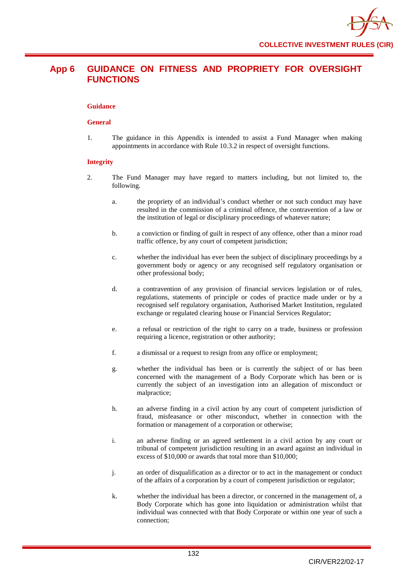## **App 6 GUIDANCE ON FITNESS AND PROPRIETY FOR OVERSIGHT FUNCTIONS**

#### **Guidance**

#### **General**

1. The guidance in this Appendix is intended to assist a Fund Manager when making appointments in accordance with Rule 10.3.2 in respect of oversight functions.

#### **Integrity**

- 2. The Fund Manager may have regard to matters including, but not limited to, the following.
	- a. the propriety of an individual's conduct whether or not such conduct may have resulted in the commission of a criminal offence, the contravention of a law or the institution of legal or disciplinary proceedings of whatever nature;
	- b. a conviction or finding of guilt in respect of any offence, other than a minor road traffic offence, by any court of competent jurisdiction;
	- c. whether the individual has ever been the subject of disciplinary proceedings by a government body or agency or any recognised self regulatory organisation or other professional body;
	- d. a contravention of any provision of financial services legislation or of rules, regulations, statements of principle or codes of practice made under or by a recognised self regulatory organisation, Authorised Market Institution, regulated exchange or regulated clearing house or Financial Services Regulator;
	- e. a refusal or restriction of the right to carry on a trade, business or profession requiring a licence, registration or other authority;
	- f. a dismissal or a request to resign from any office or employment;
	- g. whether the individual has been or is currently the subject of or has been concerned with the management of a Body Corporate which has been or is currently the subject of an investigation into an allegation of misconduct or malpractice;
	- h. an adverse finding in a civil action by any court of competent jurisdiction of fraud, misfeasance or other misconduct, whether in connection with the formation or management of a corporation or otherwise;
	- i. an adverse finding or an agreed settlement in a civil action by any court or tribunal of competent jurisdiction resulting in an award against an individual in excess of \$10,000 or awards that total more than \$10,000;
	- j. an order of disqualification as a director or to act in the management or conduct of the affairs of a corporation by a court of competent jurisdiction or regulator;
	- k. whether the individual has been a director, or concerned in the management of, a Body Corporate which has gone into liquidation or administration whilst that individual was connected with that Body Corporate or within one year of such a connection;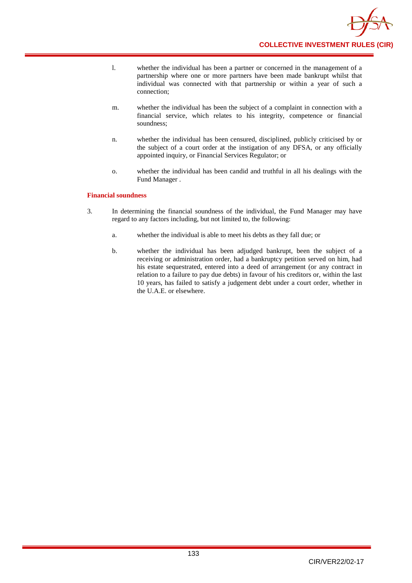

- l. whether the individual has been a partner or concerned in the management of a partnership where one or more partners have been made bankrupt whilst that individual was connected with that partnership or within a year of such a connection;
- m. whether the individual has been the subject of a complaint in connection with a financial service, which relates to his integrity, competence or financial soundness;
- n. whether the individual has been censured, disciplined, publicly criticised by or the subject of a court order at the instigation of any DFSA, or any officially appointed inquiry, or Financial Services Regulator; or
- o. whether the individual has been candid and truthful in all his dealings with the Fund Manager .

#### **Financial soundness**

- 3. In determining the financial soundness of the individual, the Fund Manager may have regard to any factors including, but not limited to, the following:
	- a. whether the individual is able to meet his debts as they fall due; or
	- b. whether the individual has been adjudged bankrupt, been the subject of a receiving or administration order, had a bankruptcy petition served on him, had his estate sequestrated, entered into a deed of arrangement (or any contract in relation to a failure to pay due debts) in favour of his creditors or, within the last 10 years, has failed to satisfy a judgement debt under a court order, whether in the U.A.E. or elsewhere.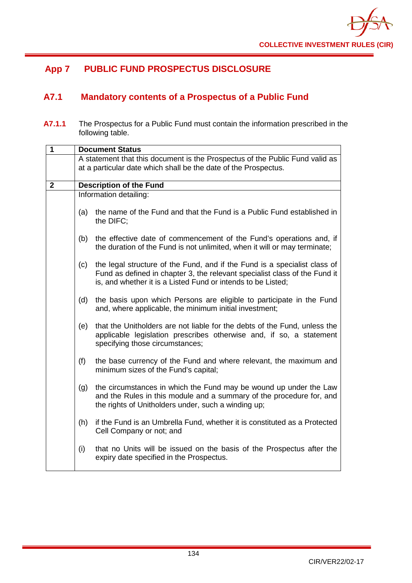

## **App 7 PUBLIC FUND PROSPECTUS DISCLOSURE**

## **A7.1 Mandatory contents of a Prospectus of a Public Fund**

**A7.1.1** The Prospectus for a Public Fund must contain the information prescribed in the following table.

| 1            | <b>Document Status</b> |                                                                                                                                                                                                                         |  |
|--------------|------------------------|-------------------------------------------------------------------------------------------------------------------------------------------------------------------------------------------------------------------------|--|
|              |                        | A statement that this document is the Prospectus of the Public Fund valid as<br>at a particular date which shall be the date of the Prospectus.                                                                         |  |
| $\mathbf{2}$ |                        | <b>Description of the Fund</b>                                                                                                                                                                                          |  |
|              |                        | Information detailing:                                                                                                                                                                                                  |  |
|              | (a)                    | the name of the Fund and that the Fund is a Public Fund established in<br>the DIFC;                                                                                                                                     |  |
|              | (b)                    | the effective date of commencement of the Fund's operations and, if<br>the duration of the Fund is not unlimited, when it will or may terminate;                                                                        |  |
|              | (c)                    | the legal structure of the Fund, and if the Fund is a specialist class of<br>Fund as defined in chapter 3, the relevant specialist class of the Fund it<br>is, and whether it is a Listed Fund or intends to be Listed; |  |
|              | (d)                    | the basis upon which Persons are eligible to participate in the Fund<br>and, where applicable, the minimum initial investment;                                                                                          |  |
|              | (e)                    | that the Unitholders are not liable for the debts of the Fund, unless the<br>applicable legislation prescribes otherwise and, if so, a statement<br>specifying those circumstances;                                     |  |
|              | (f)                    | the base currency of the Fund and where relevant, the maximum and<br>minimum sizes of the Fund's capital;                                                                                                               |  |
|              | (g)                    | the circumstances in which the Fund may be wound up under the Law<br>and the Rules in this module and a summary of the procedure for, and<br>the rights of Unitholders under, such a winding up;                        |  |
|              | (h)                    | if the Fund is an Umbrella Fund, whether it is constituted as a Protected<br>Cell Company or not; and                                                                                                                   |  |
|              | (i)                    | that no Units will be issued on the basis of the Prospectus after the<br>expiry date specified in the Prospectus.                                                                                                       |  |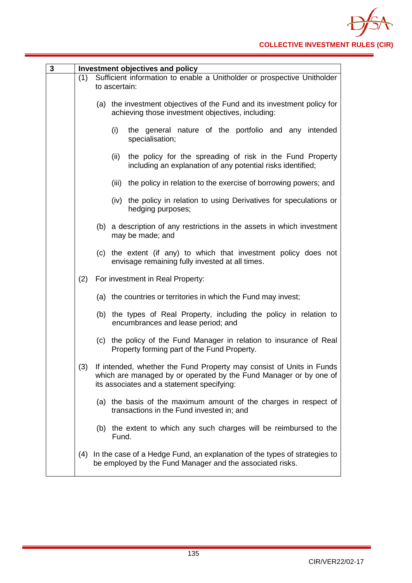| 3 |     | Investment objectives and policy                                                                                                                                                        |
|---|-----|-----------------------------------------------------------------------------------------------------------------------------------------------------------------------------------------|
|   | (1) | Sufficient information to enable a Unitholder or prospective Unitholder<br>to ascertain:                                                                                                |
|   |     | (a) the investment objectives of the Fund and its investment policy for<br>achieving those investment objectives, including:                                                            |
|   |     | the general nature of the portfolio and any intended<br>(i)<br>specialisation;                                                                                                          |
|   |     | the policy for the spreading of risk in the Fund Property<br>(ii)<br>including an explanation of any potential risks identified;                                                        |
|   |     | the policy in relation to the exercise of borrowing powers; and<br>(iii)                                                                                                                |
|   |     | (iv) the policy in relation to using Derivatives for speculations or<br>hedging purposes;                                                                                               |
|   |     | (b) a description of any restrictions in the assets in which investment<br>may be made; and                                                                                             |
|   |     | (c) the extent (if any) to which that investment policy does not<br>envisage remaining fully invested at all times.                                                                     |
|   | (2) | For investment in Real Property:                                                                                                                                                        |
|   |     | (a) the countries or territories in which the Fund may invest;                                                                                                                          |
|   |     | (b) the types of Real Property, including the policy in relation to<br>encumbrances and lease period; and                                                                               |
|   |     | the policy of the Fund Manager in relation to insurance of Real<br>(c)<br>Property forming part of the Fund Property.                                                                   |
|   | (3) | If intended, whether the Fund Property may consist of Units in Funds<br>which are managed by or operated by the Fund Manager or by one of<br>its associates and a statement specifying: |
|   |     | (a) the basis of the maximum amount of the charges in respect of<br>transactions in the Fund invested in; and                                                                           |
|   |     | the extent to which any such charges will be reimbursed to the<br>(b)<br>Fund.                                                                                                          |
|   | (4) | In the case of a Hedge Fund, an explanation of the types of strategies to<br>be employed by the Fund Manager and the associated risks.                                                  |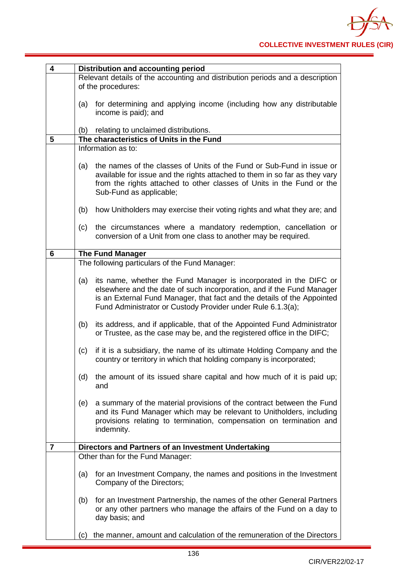| 4              | Distribution and accounting period                                                                                                                                                                                                                                                          |  |
|----------------|---------------------------------------------------------------------------------------------------------------------------------------------------------------------------------------------------------------------------------------------------------------------------------------------|--|
|                | Relevant details of the accounting and distribution periods and a description<br>of the procedures:                                                                                                                                                                                         |  |
|                | for determining and applying income (including how any distributable<br>(a)<br>income is paid); and                                                                                                                                                                                         |  |
|                | relating to unclaimed distributions.<br>(b)                                                                                                                                                                                                                                                 |  |
| 5              | The characteristics of Units in the Fund                                                                                                                                                                                                                                                    |  |
|                | Information as to:                                                                                                                                                                                                                                                                          |  |
|                | the names of the classes of Units of the Fund or Sub-Fund in issue or<br>(a)<br>available for issue and the rights attached to them in so far as they vary<br>from the rights attached to other classes of Units in the Fund or the<br>Sub-Fund as applicable;                              |  |
|                | (b)<br>how Unitholders may exercise their voting rights and what they are; and                                                                                                                                                                                                              |  |
|                | the circumstances where a mandatory redemption, cancellation or<br>(c)<br>conversion of a Unit from one class to another may be required.                                                                                                                                                   |  |
| 6              | <b>The Fund Manager</b>                                                                                                                                                                                                                                                                     |  |
|                | The following particulars of the Fund Manager:                                                                                                                                                                                                                                              |  |
|                | its name, whether the Fund Manager is incorporated in the DIFC or<br>(a)<br>elsewhere and the date of such incorporation, and if the Fund Manager<br>is an External Fund Manager, that fact and the details of the Appointed<br>Fund Administrator or Custody Provider under Rule 6.1.3(a); |  |
|                | its address, and if applicable, that of the Appointed Fund Administrator<br>(b)<br>or Trustee, as the case may be, and the registered office in the DIFC;                                                                                                                                   |  |
|                | if it is a subsidiary, the name of its ultimate Holding Company and the<br>(c)<br>country or territory in which that holding company is incorporated;                                                                                                                                       |  |
|                | the amount of its issued share capital and how much of it is paid up;<br>(d)<br>and                                                                                                                                                                                                         |  |
|                | a summary of the material provisions of the contract between the Fund<br>(e)<br>and its Fund Manager which may be relevant to Unitholders, including<br>provisions relating to termination, compensation on termination and<br>indemnity.                                                   |  |
| $\overline{7}$ | Directors and Partners of an Investment Undertaking                                                                                                                                                                                                                                         |  |
|                | Other than for the Fund Manager:                                                                                                                                                                                                                                                            |  |
|                | for an Investment Company, the names and positions in the Investment<br>(a)<br>Company of the Directors;                                                                                                                                                                                    |  |
|                | for an Investment Partnership, the names of the other General Partners<br>(b)<br>or any other partners who manage the affairs of the Fund on a day to<br>day basis; and                                                                                                                     |  |
|                | the manner, amount and calculation of the remuneration of the Directors<br>(c)                                                                                                                                                                                                              |  |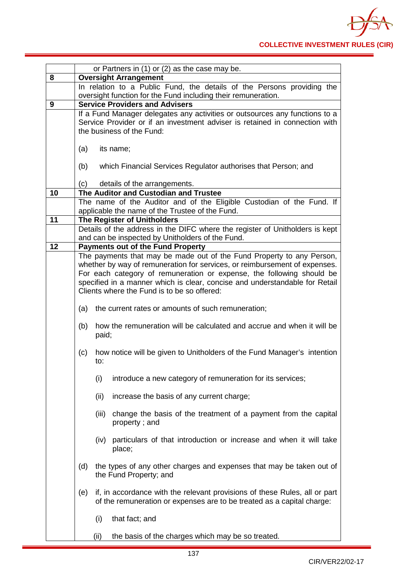

|    | or Partners in (1) or (2) as the case may be.                                                                                                               |  |  |
|----|-------------------------------------------------------------------------------------------------------------------------------------------------------------|--|--|
| 8  | <b>Oversight Arrangement</b>                                                                                                                                |  |  |
|    | In relation to a Public Fund, the details of the Persons providing the                                                                                      |  |  |
|    | oversight function for the Fund including their remuneration.                                                                                               |  |  |
| 9  | <b>Service Providers and Advisers</b>                                                                                                                       |  |  |
|    | If a Fund Manager delegates any activities or outsources any functions to a<br>Service Provider or if an investment adviser is retained in connection with  |  |  |
|    | the business of the Fund:                                                                                                                                   |  |  |
|    |                                                                                                                                                             |  |  |
|    | (a)<br>its name;                                                                                                                                            |  |  |
|    |                                                                                                                                                             |  |  |
|    | which Financial Services Regulator authorises that Person; and<br>(b)                                                                                       |  |  |
|    |                                                                                                                                                             |  |  |
| 10 | details of the arrangements.<br>(c)<br>The Auditor and Custodian and Trustee                                                                                |  |  |
|    | The name of the Auditor and of the Eligible Custodian of the Fund. If                                                                                       |  |  |
|    | applicable the name of the Trustee of the Fund.                                                                                                             |  |  |
| 11 | <b>The Register of Unitholders</b>                                                                                                                          |  |  |
|    | Details of the address in the DIFC where the register of Unitholders is kept                                                                                |  |  |
|    | and can be inspected by Unitholders of the Fund.                                                                                                            |  |  |
| 12 | <b>Payments out of the Fund Property</b>                                                                                                                    |  |  |
|    | The payments that may be made out of the Fund Property to any Person,<br>whether by way of remuneration for services, or reimbursement of expenses.         |  |  |
|    | For each category of remuneration or expense, the following should be                                                                                       |  |  |
|    | specified in a manner which is clear, concise and understandable for Retail                                                                                 |  |  |
|    | Clients where the Fund is to be so offered:                                                                                                                 |  |  |
|    |                                                                                                                                                             |  |  |
|    | (a)<br>the current rates or amounts of such remuneration;                                                                                                   |  |  |
|    | how the remuneration will be calculated and accrue and when it will be<br>(b)<br>paid;                                                                      |  |  |
|    | how notice will be given to Unitholders of the Fund Manager's intention<br>(c)<br>to:                                                                       |  |  |
|    | introduce a new category of remuneration for its services;<br>(i)                                                                                           |  |  |
|    | (ii)<br>increase the basis of any current charge;                                                                                                           |  |  |
|    | change the basis of the treatment of a payment from the capital<br>(iii)<br>property; and                                                                   |  |  |
|    | (iv) particulars of that introduction or increase and when it will take<br>place;                                                                           |  |  |
|    | (d)<br>the types of any other charges and expenses that may be taken out of<br>the Fund Property; and                                                       |  |  |
|    | if, in accordance with the relevant provisions of these Rules, all or part<br>(e)<br>of the remuneration or expenses are to be treated as a capital charge: |  |  |
|    | that fact; and<br>(i)                                                                                                                                       |  |  |
|    | the basis of the charges which may be so treated.<br>(ii)                                                                                                   |  |  |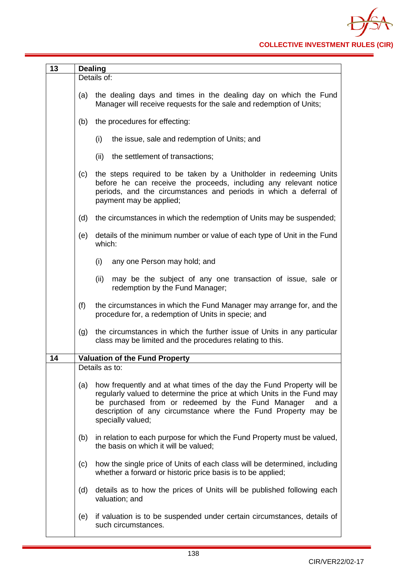| 13 |     | <b>Dealing</b>                                                                                                                                                                                                                                                                                       |
|----|-----|------------------------------------------------------------------------------------------------------------------------------------------------------------------------------------------------------------------------------------------------------------------------------------------------------|
|    |     | Details of:                                                                                                                                                                                                                                                                                          |
|    | (a) | the dealing days and times in the dealing day on which the Fund<br>Manager will receive requests for the sale and redemption of Units;                                                                                                                                                               |
|    | (b) | the procedures for effecting:                                                                                                                                                                                                                                                                        |
|    |     | the issue, sale and redemption of Units; and<br>(i)                                                                                                                                                                                                                                                  |
|    |     | the settlement of transactions;<br>(ii)                                                                                                                                                                                                                                                              |
|    | (c) | the steps required to be taken by a Unitholder in redeeming Units<br>before he can receive the proceeds, including any relevant notice<br>periods, and the circumstances and periods in which a deferral of<br>payment may be applied;                                                               |
|    | (d) | the circumstances in which the redemption of Units may be suspended;                                                                                                                                                                                                                                 |
|    | (e) | details of the minimum number or value of each type of Unit in the Fund<br>which:                                                                                                                                                                                                                    |
|    |     | (i)<br>any one Person may hold; and                                                                                                                                                                                                                                                                  |
|    |     | (ii)<br>may be the subject of any one transaction of issue, sale or<br>redemption by the Fund Manager;                                                                                                                                                                                               |
|    | (f) | the circumstances in which the Fund Manager may arrange for, and the<br>procedure for, a redemption of Units in specie; and                                                                                                                                                                          |
|    | (g) | the circumstances in which the further issue of Units in any particular<br>class may be limited and the procedures relating to this.                                                                                                                                                                 |
| 14 |     | <b>Valuation of the Fund Property</b>                                                                                                                                                                                                                                                                |
|    |     | Details as to:                                                                                                                                                                                                                                                                                       |
|    | (a) | how frequently and at what times of the day the Fund Property will be<br>regularly valued to determine the price at which Units in the Fund may<br>be purchased from or redeemed by the Fund Manager<br>and a<br>description of any circumstance where the Fund Property may be<br>specially valued; |
|    | (b) | in relation to each purpose for which the Fund Property must be valued,<br>the basis on which it will be valued;                                                                                                                                                                                     |
|    | (c) | how the single price of Units of each class will be determined, including<br>whether a forward or historic price basis is to be applied;                                                                                                                                                             |
|    | (d) | details as to how the prices of Units will be published following each<br>valuation; and                                                                                                                                                                                                             |
|    | (e) | if valuation is to be suspended under certain circumstances, details of<br>such circumstances.                                                                                                                                                                                                       |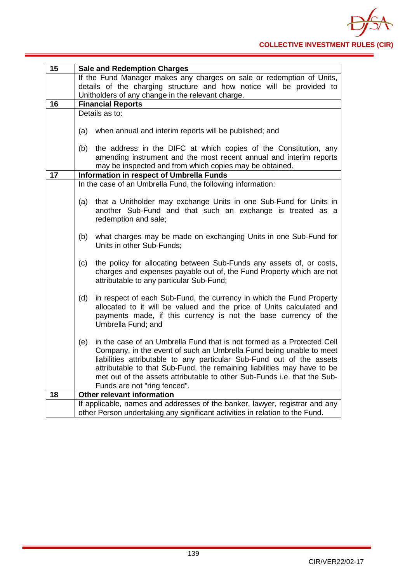| 15              | <b>Sale and Redemption Charges</b>                                            |
|-----------------|-------------------------------------------------------------------------------|
|                 | If the Fund Manager makes any charges on sale or redemption of Units,         |
|                 | details of the charging structure and how notice will be provided to          |
|                 | Unitholders of any change in the relevant charge.                             |
| 16              | <b>Financial Reports</b>                                                      |
|                 | Details as to:                                                                |
|                 |                                                                               |
|                 | when annual and interim reports will be published; and<br>(a)                 |
|                 |                                                                               |
|                 | the address in the DIFC at which copies of the Constitution, any<br>(b)       |
|                 | amending instrument and the most recent annual and interim reports            |
| $\overline{17}$ | may be inspected and from which copies may be obtained.                       |
|                 | Information in respect of Umbrella Funds                                      |
|                 | In the case of an Umbrella Fund, the following information:                   |
|                 | that a Unitholder may exchange Units in one Sub-Fund for Units in<br>(a)      |
|                 | another Sub-Fund and that such an exchange is treated as a                    |
|                 | redemption and sale;                                                          |
|                 |                                                                               |
|                 | what charges may be made on exchanging Units in one Sub-Fund for<br>(b)       |
|                 | Units in other Sub-Funds;                                                     |
|                 |                                                                               |
|                 | the policy for allocating between Sub-Funds any assets of, or costs,<br>(c)   |
|                 | charges and expenses payable out of, the Fund Property which are not          |
|                 | attributable to any particular Sub-Fund;                                      |
|                 |                                                                               |
|                 | (d)<br>in respect of each Sub-Fund, the currency in which the Fund Property   |
|                 | allocated to it will be valued and the price of Units calculated and          |
|                 | payments made, if this currency is not the base currency of the               |
|                 | Umbrella Fund; and                                                            |
|                 |                                                                               |
|                 | in the case of an Umbrella Fund that is not formed as a Protected Cell<br>(e) |
|                 | Company, in the event of such an Umbrella Fund being unable to meet           |
|                 | liabilities attributable to any particular Sub-Fund out of the assets         |
|                 | attributable to that Sub-Fund, the remaining liabilities may have to be       |
|                 | met out of the assets attributable to other Sub-Funds i.e. that the Sub-      |
|                 | Funds are not "ring fenced".                                                  |
| 18              | Other relevant information                                                    |
|                 | If applicable, names and addresses of the banker, lawyer, registrar and any   |
|                 | other Person undertaking any significant activities in relation to the Fund.  |